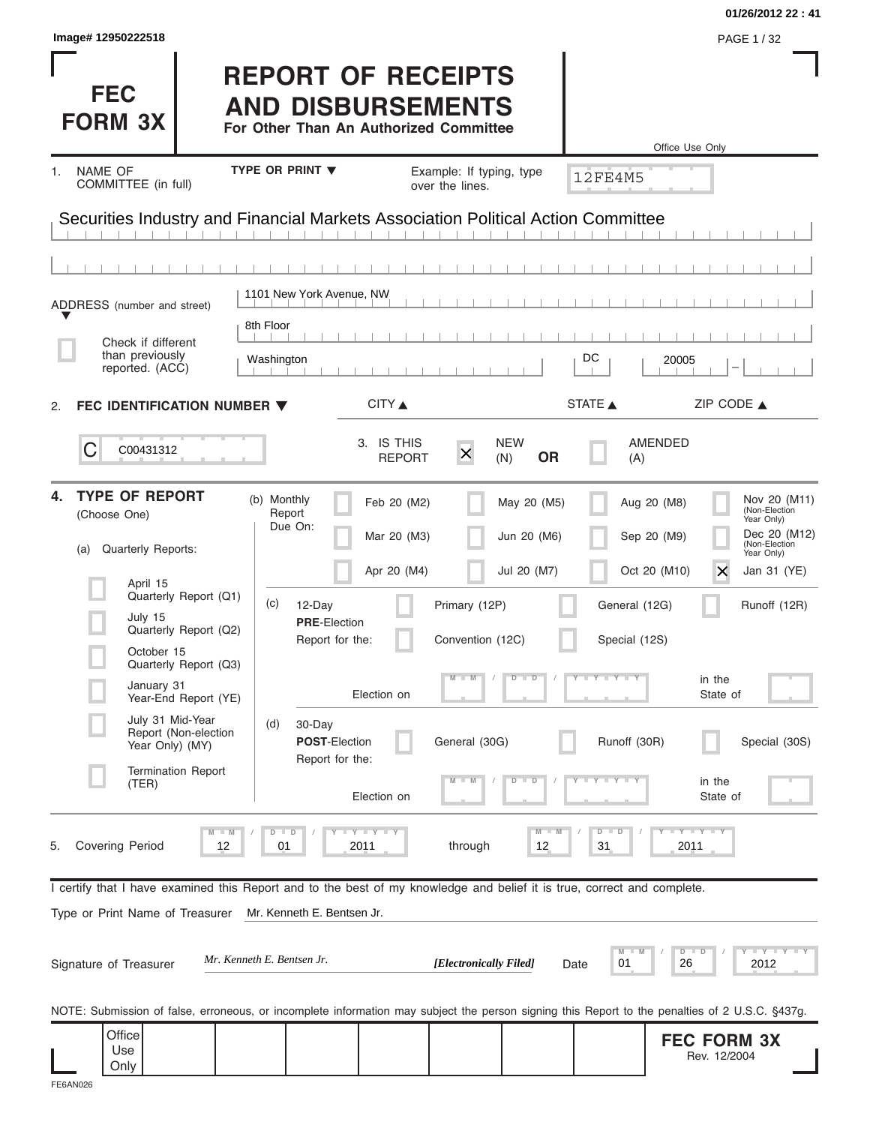|                                  |                             |                                                                                                                                                                                                                                  |                              |                                                                                                                                                                                                                                                                               | 01/26/2012 22:41                                                                                                                                                                                                                                                                                                                                                                                                                  |
|----------------------------------|-----------------------------|----------------------------------------------------------------------------------------------------------------------------------------------------------------------------------------------------------------------------------|------------------------------|-------------------------------------------------------------------------------------------------------------------------------------------------------------------------------------------------------------------------------------------------------------------------------|-----------------------------------------------------------------------------------------------------------------------------------------------------------------------------------------------------------------------------------------------------------------------------------------------------------------------------------------------------------------------------------------------------------------------------------|
|                                  |                             |                                                                                                                                                                                                                                  |                              |                                                                                                                                                                                                                                                                               | PAGE 1/32                                                                                                                                                                                                                                                                                                                                                                                                                         |
|                                  |                             |                                                                                                                                                                                                                                  |                              |                                                                                                                                                                                                                                                                               | Office Use Only                                                                                                                                                                                                                                                                                                                                                                                                                   |
|                                  |                             |                                                                                                                                                                                                                                  |                              |                                                                                                                                                                                                                                                                               |                                                                                                                                                                                                                                                                                                                                                                                                                                   |
|                                  |                             |                                                                                                                                                                                                                                  |                              |                                                                                                                                                                                                                                                                               |                                                                                                                                                                                                                                                                                                                                                                                                                                   |
|                                  |                             |                                                                                                                                                                                                                                  |                              |                                                                                                                                                                                                                                                                               |                                                                                                                                                                                                                                                                                                                                                                                                                                   |
|                                  |                             |                                                                                                                                                                                                                                  |                              |                                                                                                                                                                                                                                                                               |                                                                                                                                                                                                                                                                                                                                                                                                                                   |
|                                  |                             |                                                                                                                                                                                                                                  |                              |                                                                                                                                                                                                                                                                               |                                                                                                                                                                                                                                                                                                                                                                                                                                   |
| 8th Floor                        |                             |                                                                                                                                                                                                                                  |                              |                                                                                                                                                                                                                                                                               |                                                                                                                                                                                                                                                                                                                                                                                                                                   |
| Washington                       |                             |                                                                                                                                                                                                                                  |                              | DC                                                                                                                                                                                                                                                                            | 20005                                                                                                                                                                                                                                                                                                                                                                                                                             |
| FEC IDENTIFICATION NUMBER ▼      | CITY ▲                      |                                                                                                                                                                                                                                  |                              |                                                                                                                                                                                                                                                                               | ZIP CODE $\triangle$                                                                                                                                                                                                                                                                                                                                                                                                              |
|                                  | 3. IS THIS<br><b>REPORT</b> | $\times$                                                                                                                                                                                                                         | <b>OR</b>                    | (A)                                                                                                                                                                                                                                                                           | AMENDED                                                                                                                                                                                                                                                                                                                                                                                                                           |
| (b) Monthly<br>Report<br>Due On: | Feb 20 (M2)                 |                                                                                                                                                                                                                                  |                              |                                                                                                                                                                                                                                                                               | Nov 20 (M11)<br>Aug 20 (M8)<br>(Non-Election<br>Year Only)<br>Dec 20 (M12)                                                                                                                                                                                                                                                                                                                                                        |
|                                  |                             |                                                                                                                                                                                                                                  |                              |                                                                                                                                                                                                                                                                               | (Non-Election<br>Year Only)<br>Oct 20 (M10)<br>X<br>Jan 31 (YE)                                                                                                                                                                                                                                                                                                                                                                   |
| (c)<br>12-Day                    |                             |                                                                                                                                                                                                                                  |                              | General (12G)                                                                                                                                                                                                                                                                 | Runoff (12R)                                                                                                                                                                                                                                                                                                                                                                                                                      |
|                                  |                             |                                                                                                                                                                                                                                  |                              | Special (12S)                                                                                                                                                                                                                                                                 |                                                                                                                                                                                                                                                                                                                                                                                                                                   |
|                                  |                             |                                                                                                                                                                                                                                  | $\overline{D}$<br>$\Box$     | $Y + Y + Y$                                                                                                                                                                                                                                                                   | in the<br>State of                                                                                                                                                                                                                                                                                                                                                                                                                |
| (d)<br>30-Day                    |                             |                                                                                                                                                                                                                                  |                              |                                                                                                                                                                                                                                                                               |                                                                                                                                                                                                                                                                                                                                                                                                                                   |
|                                  |                             |                                                                                                                                                                                                                                  |                              |                                                                                                                                                                                                                                                                               | Special (30S)                                                                                                                                                                                                                                                                                                                                                                                                                     |
|                                  |                             |                                                                                                                                                                                                                                  | $\overline{\mathbf{D}}$<br>D |                                                                                                                                                                                                                                                                               | in the<br>State of                                                                                                                                                                                                                                                                                                                                                                                                                |
| $D$ $D$<br>01                    |                             | through                                                                                                                                                                                                                          | $M - M$<br>12                | $\overline{D}$<br>$\Box$<br>31                                                                                                                                                                                                                                                | $-Y - Y - Y$<br>2011                                                                                                                                                                                                                                                                                                                                                                                                              |
|                                  |                             |                                                                                                                                                                                                                                  |                              |                                                                                                                                                                                                                                                                               |                                                                                                                                                                                                                                                                                                                                                                                                                                   |
|                                  |                             |                                                                                                                                                                                                                                  |                              |                                                                                                                                                                                                                                                                               |                                                                                                                                                                                                                                                                                                                                                                                                                                   |
| Mr. Kenneth E. Bentsen Jr.       |                             |                                                                                                                                                                                                                                  |                              | M<br>01                                                                                                                                                                                                                                                                       | $\bot$ $\gamma$ $\bot$ $\gamma$ $\bot$ $\gamma$<br>$D$ $D$<br>26<br>2012                                                                                                                                                                                                                                                                                                                                                          |
|                                  |                             |                                                                                                                                                                                                                                  |                              |                                                                                                                                                                                                                                                                               |                                                                                                                                                                                                                                                                                                                                                                                                                                   |
|                                  |                             |                                                                                                                                                                                                                                  |                              |                                                                                                                                                                                                                                                                               | <b>FEC FORM 3X</b><br>Rev. 12/2004                                                                                                                                                                                                                                                                                                                                                                                                |
|                                  | TYPE OR PRINT V             | 1101 New York Avenue, NW<br>Mar 20 (M3)<br>Apr 20 (M4)<br><b>PRE-Election</b><br>Report for the:<br>Election on<br><b>POST-Election</b><br>Report for the:<br>Election on<br><b>LYLYLY</b><br>2011<br>Mr. Kenneth E. Bentsen Jr. | over the lines.              | <b>REPORT OF RECEIPTS</b><br><b>AND DISBURSEMENTS</b><br>For Other Than An Authorized Committee<br>Example: If typing, type<br><b>NEW</b><br>(N)<br>May 20 (M5)<br>Jun 20 (M6)<br>Jul 20 (M7)<br>Primary (12P)<br>Convention (12C)<br>General (30G)<br>[Electronically Filed] | <b>12FE4M5</b><br>Securities Industry and Financial Markets Association Political Action Committee<br>STATE A<br>Sep 20 (M9)<br>Runoff (30R)<br>I certify that I have examined this Report and to the best of my knowledge and belief it is true, correct and complete.<br>Date<br>NOTE: Submission of false, erroneous, or incomplete information may subject the person signing this Report to the penalties of 2 U.S.C. §437g. |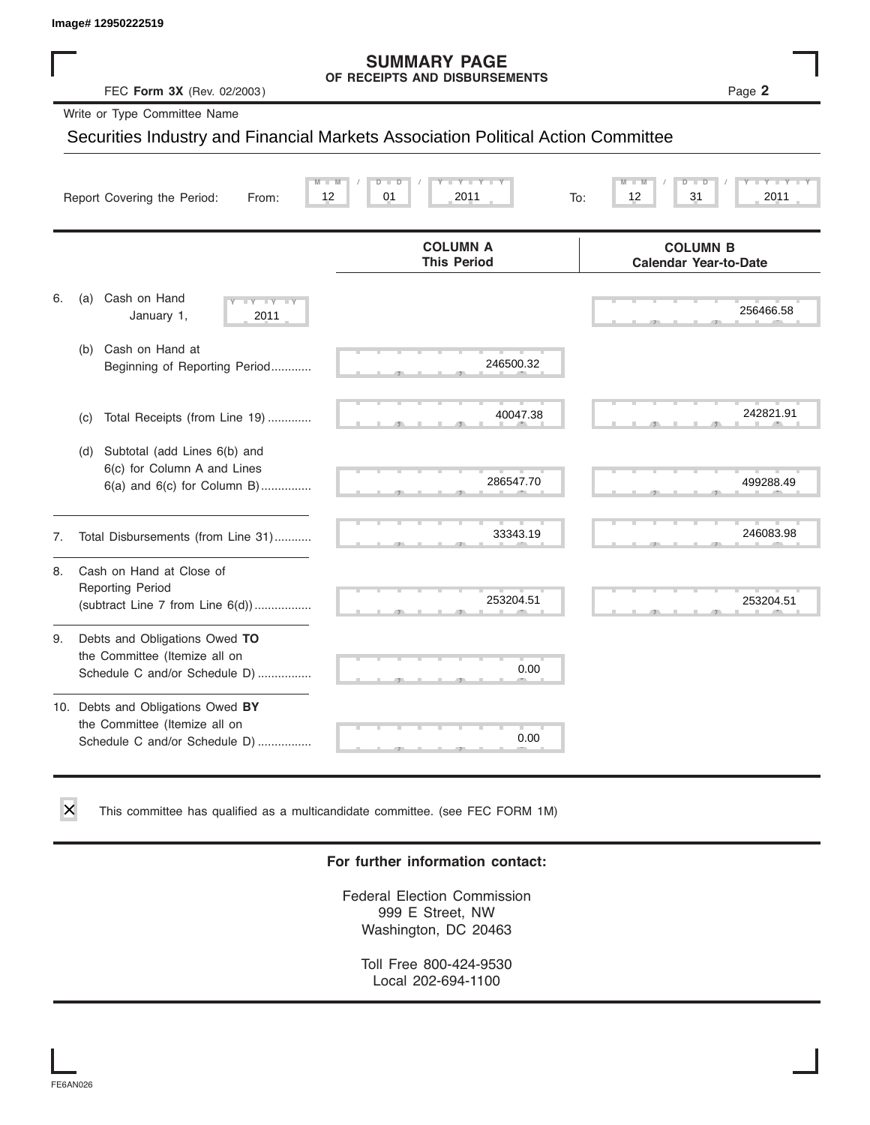#### **SUMMARY PAGE OF RECEIPTS AND DISBURSEMENTS**

|    | Image# 12950222519                                                                                    |                                                                                  |                                                 |
|----|-------------------------------------------------------------------------------------------------------|----------------------------------------------------------------------------------|-------------------------------------------------|
|    | FEC Form 3X (Rev. 02/2003)                                                                            | <b>SUMMARY PAGE</b><br>OF RECEIPTS AND DISBURSEMENTS                             | Page 2                                          |
|    | Write or Type Committee Name                                                                          |                                                                                  |                                                 |
|    |                                                                                                       | Securities Industry and Financial Markets Association Political Action Committee |                                                 |
|    | 12<br>Report Covering the Period:<br>From:                                                            | $Y - Y$<br>D<br>01<br>2011<br>To:                                                | ъ<br>12<br>31<br>2011                           |
|    |                                                                                                       | <b>COLUMN A</b><br><b>This Period</b>                                            | <b>COLUMN B</b><br><b>Calendar Year-to-Date</b> |
| 6. | Cash on Hand<br>(a)<br>$\overline{Y}$<br>January 1,<br>2011                                           |                                                                                  | 256466.58                                       |
|    | (b) Cash on Hand at<br>Beginning of Reporting Period                                                  | 246500.32                                                                        |                                                 |
|    | Total Receipts (from Line 19)<br>(C)                                                                  | 40047.38                                                                         | 242821.91                                       |
|    | Subtotal (add Lines 6(b) and<br>(d)<br>6(c) for Column A and Lines<br>$6(a)$ and $6(c)$ for Column B) | 286547.70                                                                        | 499288.49                                       |
| 7. | Total Disbursements (from Line 31)                                                                    | 33343.19                                                                         | 246083.98                                       |
| 8. | Cash on Hand at Close of<br><b>Reporting Period</b><br>(subtract Line $7$ from Line $6(d)$ )          | 253204.51                                                                        | 253204.51                                       |
| 9. | Debts and Obligations Owed TO<br>the Committee (Itemize all on<br>Schedule C and/or Schedule D)       | 0.00                                                                             |                                                 |
|    | 10. Debts and Obligations Owed BY<br>the Committee (Itemize all on<br>Schedule C and/or Schedule D)   | 0.00                                                                             |                                                 |

This committee has qualified as a multicandidate committee. (see FEC FORM 1M)

#### **For further information contact:**

Federal Election Commission 999 E Street, NW Washington, DC 20463

Toll Free 800-424-9530 Local 202-694-1100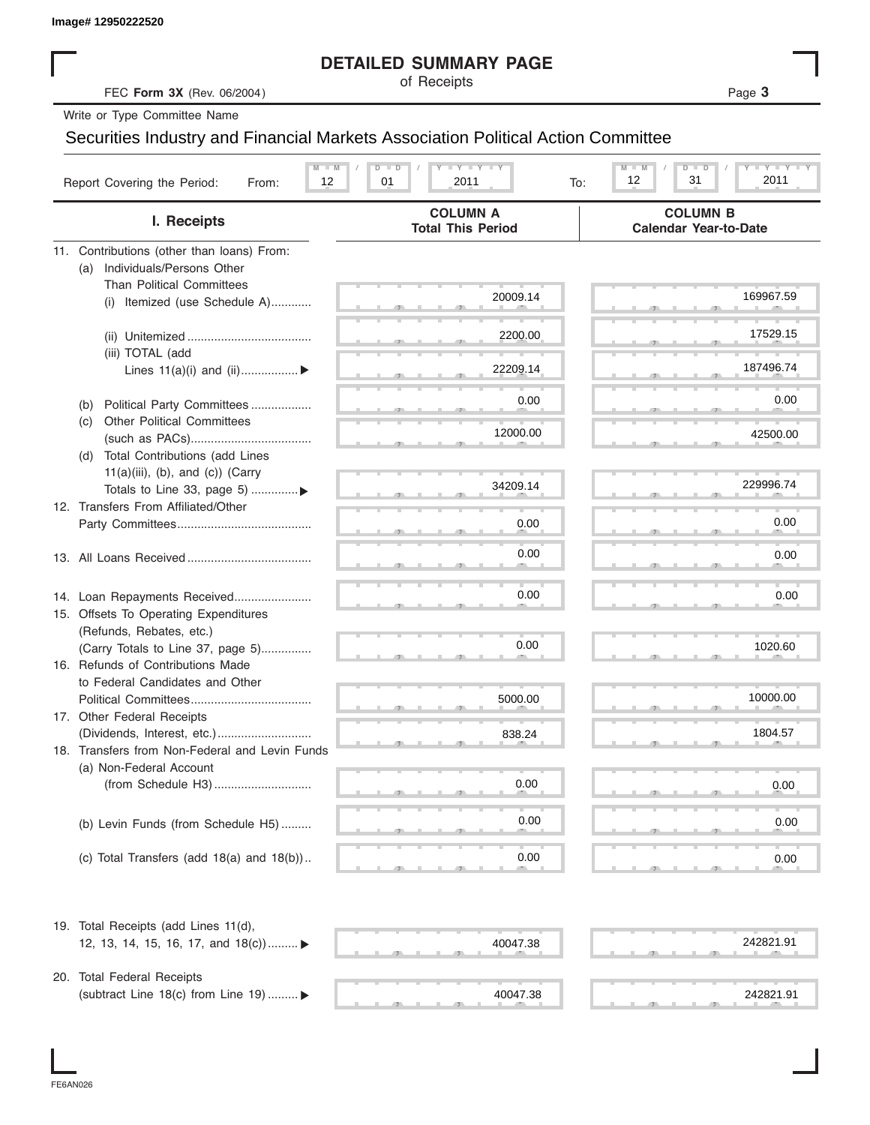|                                                                                  | <b>DETAILED SUMMARY PAGE</b>                                                                            |                                                                                                            |
|----------------------------------------------------------------------------------|---------------------------------------------------------------------------------------------------------|------------------------------------------------------------------------------------------------------------|
| FEC Form 3X (Rev. 06/2004)                                                       | of Receipts                                                                                             | Page 3                                                                                                     |
| Write or Type Committee Name                                                     |                                                                                                         |                                                                                                            |
| Securities Industry and Financial Markets Association Political Action Committee |                                                                                                         |                                                                                                            |
| $M - M$<br>Report Covering the Period:<br>12<br>From:                            | $\mathbf{I}$ $\mathbf{Y}$ $\mathbf{I}$ $\mathbf{Y}$ $\mathbf{I}$ $\mathbf{Y}$<br>D<br>01<br>2011<br>To: | $\mathbf{I} = \mathbf{Y} - \mathbf{I} - \mathbf{Y} - \mathbf{I}$<br>$M - M$<br>$D$ $D$<br>12<br>31<br>2011 |
| I. Receipts                                                                      | <b>COLUMN A</b><br><b>Total This Period</b>                                                             | <b>COLUMN B</b><br><b>Calendar Year-to-Date</b>                                                            |
| 11. Contributions (other than loans) From:                                       |                                                                                                         |                                                                                                            |
| Individuals/Persons Other<br>(a)                                                 |                                                                                                         |                                                                                                            |
| <b>Than Political Committees</b>                                                 | 20009.14                                                                                                | 169967.59                                                                                                  |
| Itemized (use Schedule A)<br>(i)                                                 |                                                                                                         |                                                                                                            |
|                                                                                  | 2200.00                                                                                                 | 17529.15                                                                                                   |
| (iii) TOTAL (add                                                                 |                                                                                                         |                                                                                                            |
| Lines $11(a)(i)$ and $(ii)$                                                      | 22209.14                                                                                                | 187496.74                                                                                                  |
|                                                                                  |                                                                                                         | 0.00                                                                                                       |
| Political Party Committees<br>(b)                                                | 0.00                                                                                                    |                                                                                                            |
| <b>Other Political Committees</b><br>(c)                                         | 12000.00                                                                                                | 42500.00                                                                                                   |
| Total Contributions (add Lines<br>(d)                                            |                                                                                                         |                                                                                                            |
| $11(a)(iii)$ , (b), and (c)) (Carry                                              |                                                                                                         |                                                                                                            |
| Totals to Line 33, page 5) ▶                                                     | 34209.14                                                                                                | 229996.74                                                                                                  |
| 12. Transfers From Affiliated/Other                                              |                                                                                                         |                                                                                                            |
|                                                                                  | 0.00                                                                                                    | 0.00                                                                                                       |
|                                                                                  | 0.00                                                                                                    | 0.00                                                                                                       |
|                                                                                  |                                                                                                         |                                                                                                            |
| 14. Loan Repayments Received                                                     | 0.00                                                                                                    | 0.00                                                                                                       |
| 15. Offsets To Operating Expenditures                                            |                                                                                                         |                                                                                                            |
| (Refunds, Rebates, etc.)                                                         |                                                                                                         |                                                                                                            |
| (Carry Totals to Line 37, page 5)                                                | 0.00                                                                                                    | 1020.60                                                                                                    |
| 16. Refunds of Contributions Made                                                |                                                                                                         |                                                                                                            |
| to Federal Candidates and Other<br>Political Committees                          | 5000.00                                                                                                 | 10000.00                                                                                                   |
| 17. Other Federal Receipts                                                       |                                                                                                         |                                                                                                            |
|                                                                                  | 838.24                                                                                                  | 1804.57                                                                                                    |
| 18. Transfers from Non-Federal and Levin Funds                                   |                                                                                                         |                                                                                                            |
| (a) Non-Federal Account                                                          |                                                                                                         |                                                                                                            |
|                                                                                  | 0.00                                                                                                    | 0.00                                                                                                       |
|                                                                                  |                                                                                                         |                                                                                                            |
| (b) Levin Funds (from Schedule H5)                                               | 0.00                                                                                                    | 0.00                                                                                                       |
| (c) Total Transfers (add $18(a)$ and $18(b)$ )                                   | 0.00                                                                                                    | 0.00                                                                                                       |
|                                                                                  |                                                                                                         |                                                                                                            |
| 19. Total Receipts (add Lines 11(d),                                             |                                                                                                         |                                                                                                            |
| 12, 13, 14, 15, 16, 17, and $18(c)$                                              | 40047.38                                                                                                | 242821.91                                                                                                  |
| 20. Total Federal Receipts                                                       |                                                                                                         |                                                                                                            |
| (subtract Line 18(c) from Line 19)  ▶                                            | 40047.38                                                                                                | 242821.91                                                                                                  |

I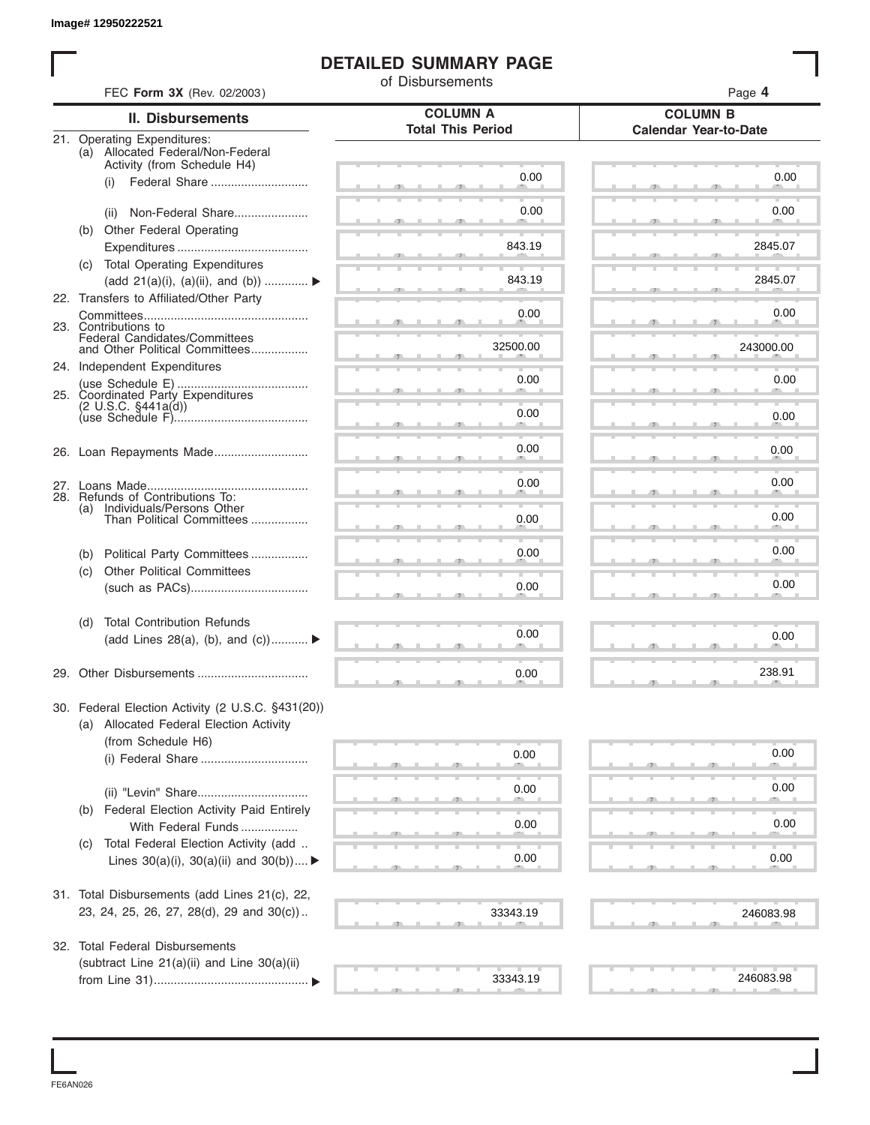#### **DETAILED SUMMARY PAGE**

|                              | FEC Form 3X (Rev. 02/2003)                                                          | of Disbursements         | Page 4                       |
|------------------------------|-------------------------------------------------------------------------------------|--------------------------|------------------------------|
|                              | <b>II. Disbursements</b>                                                            | <b>COLUMN A</b>          | <b>COLUMN B</b>              |
| 21. Operating Expenditures:  |                                                                                     | <b>Total This Period</b> | <b>Calendar Year-to-Date</b> |
|                              | (a) Allocated Federal/Non-Federal                                                   |                          |                              |
| (i)                          | Activity (from Schedule H4)<br>Federal Share                                        | 0.00                     | 0.00                         |
|                              |                                                                                     |                          |                              |
| (ii)                         | Non-Federal Share                                                                   | 0.00                     | 0.00                         |
|                              | (b) Other Federal Operating                                                         |                          |                              |
|                              |                                                                                     | 843.19                   | 2845.07                      |
|                              | (c) Total Operating Expenditures<br>(add 21(a)(i), (a)(ii), and (b))                | 843.19                   | 2845.07                      |
|                              | 22. Transfers to Affiliated/Other Party                                             |                          |                              |
|                              |                                                                                     | 0.00                     | 0.00                         |
| 23. Contributions to         | Federal Candidates/Committees                                                       |                          |                              |
|                              | and Other Political Committees                                                      | 32500.00                 | 243000.00                    |
| 24. Independent Expenditures |                                                                                     | 0.00                     | 0.00                         |
|                              | 25. Coordinated Party Expenditures                                                  |                          |                              |
| $(2 \cup S.C. \S441a(d))$    |                                                                                     | 0.00                     | 0.00                         |
|                              |                                                                                     |                          |                              |
|                              |                                                                                     | 0.00                     | 0.00                         |
|                              |                                                                                     |                          | 0.00                         |
|                              | 28. Refunds of Contributions To:                                                    | 0.00                     |                              |
| (a)                          | Individuals/Persons Other<br>Than Political Committees                              | 0.00                     | 0.00                         |
|                              |                                                                                     |                          |                              |
| (b)                          | Political Party Committees                                                          | 0.00                     | 0.00                         |
| (c)                          | <b>Other Political Committees</b>                                                   |                          |                              |
|                              |                                                                                     | 0.00                     | 0.00                         |
| (d)                          | <b>Total Contribution Refunds</b>                                                   |                          |                              |
|                              | (add Lines 28(a), (b), and $(c)$ )                                                  | 0.00                     | 0.00                         |
|                              |                                                                                     |                          | 238.91                       |
|                              |                                                                                     | 0.00                     |                              |
|                              | 30. Federal Election Activity (2 U.S.C. §431(20))                                   |                          |                              |
|                              | (a) Allocated Federal Election Activity<br>(from Schedule H6)                       |                          |                              |
|                              |                                                                                     | 0.00                     | 0.00                         |
|                              |                                                                                     |                          |                              |
|                              |                                                                                     | 0.00                     | 0.00                         |
| (b)                          | Federal Election Activity Paid Entirely                                             |                          | 0.00                         |
|                              | With Federal Funds                                                                  | 0.00                     |                              |
| (C)                          | Total Federal Election Activity (add<br>Lines $30(a)(i)$ , $30(a)(ii)$ and $30(b))$ | 0.00                     | 0.00                         |
|                              |                                                                                     |                          |                              |
|                              | 31. Total Disbursements (add Lines 21(c), 22,                                       |                          |                              |
|                              | 23, 24, 25, 26, 27, 28(d), 29 and 30(c))                                            | 33343.19                 | 246083.98                    |
|                              | 32. Total Federal Disbursements                                                     |                          |                              |
|                              | (subtract Line 21(a)(ii) and Line 30(a)(ii)                                         |                          |                              |
|                              |                                                                                     | 33343.19                 | 246083.98                    |

FE6AN026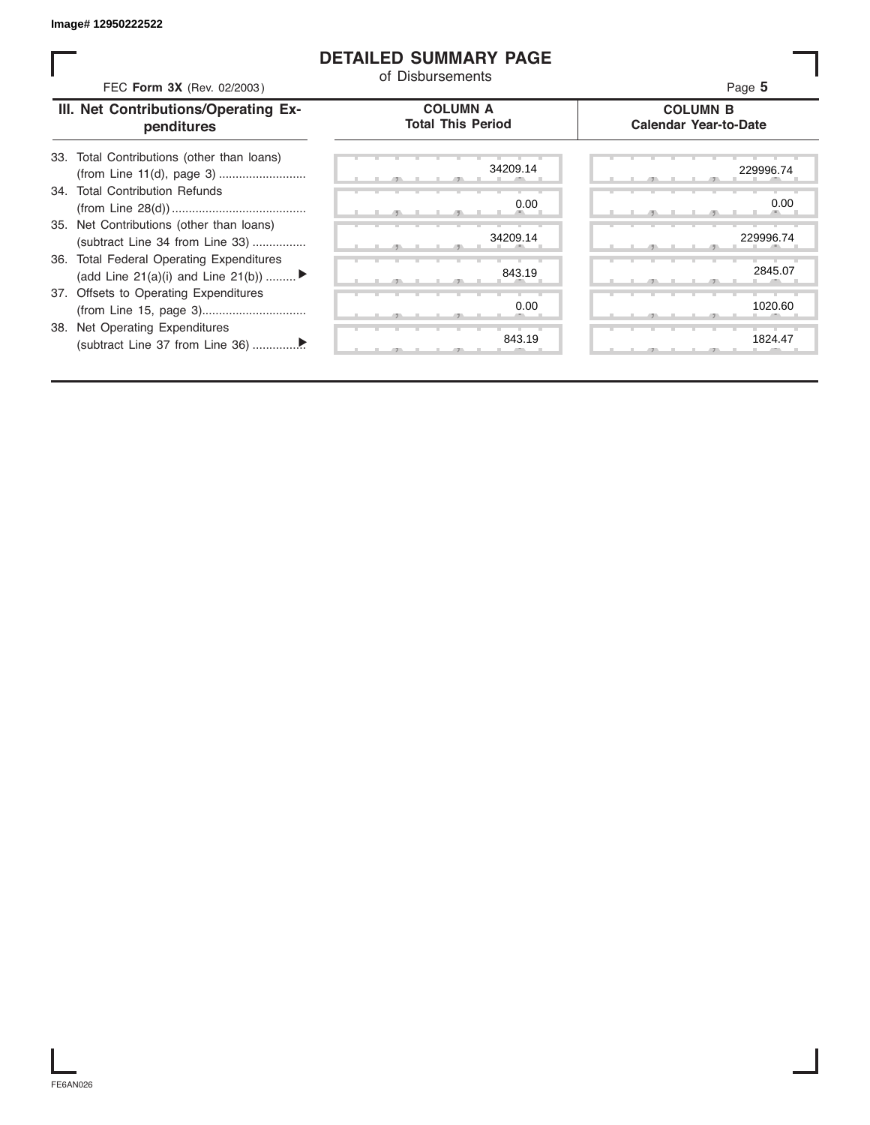#### **DETAILED SUMMARY PAGE**

| FEC Form 3X (Rev. 02/2003)                                                               | of Disbursements                            | Page 5                                          |
|------------------------------------------------------------------------------------------|---------------------------------------------|-------------------------------------------------|
| III. Net Contributions/Operating Ex-<br>penditures                                       | <b>COLUMN A</b><br><b>Total This Period</b> | <b>COLUMN B</b><br><b>Calendar Year-to-Date</b> |
| Total Contributions (other than loans)<br>33.                                            | 34209.14                                    | 229996.74                                       |
| 34. Total Contribution Refunds                                                           | 0.00                                        | 0.00                                            |
| 35. Net Contributions (other than loans)<br>(subtract Line 34 from Line 33)              | 34209.14                                    | 229996.74                                       |
| <b>Total Federal Operating Expenditures</b><br>36.<br>(add Line 21(a)(i) and Line 21(b)) | 843.19                                      | 2845.07                                         |
| 37. Offsets to Operating Expenditures                                                    | 0.00                                        | 1020.60                                         |
| 38. Net Operating Expenditures                                                           | 843.19                                      | 1824.47                                         |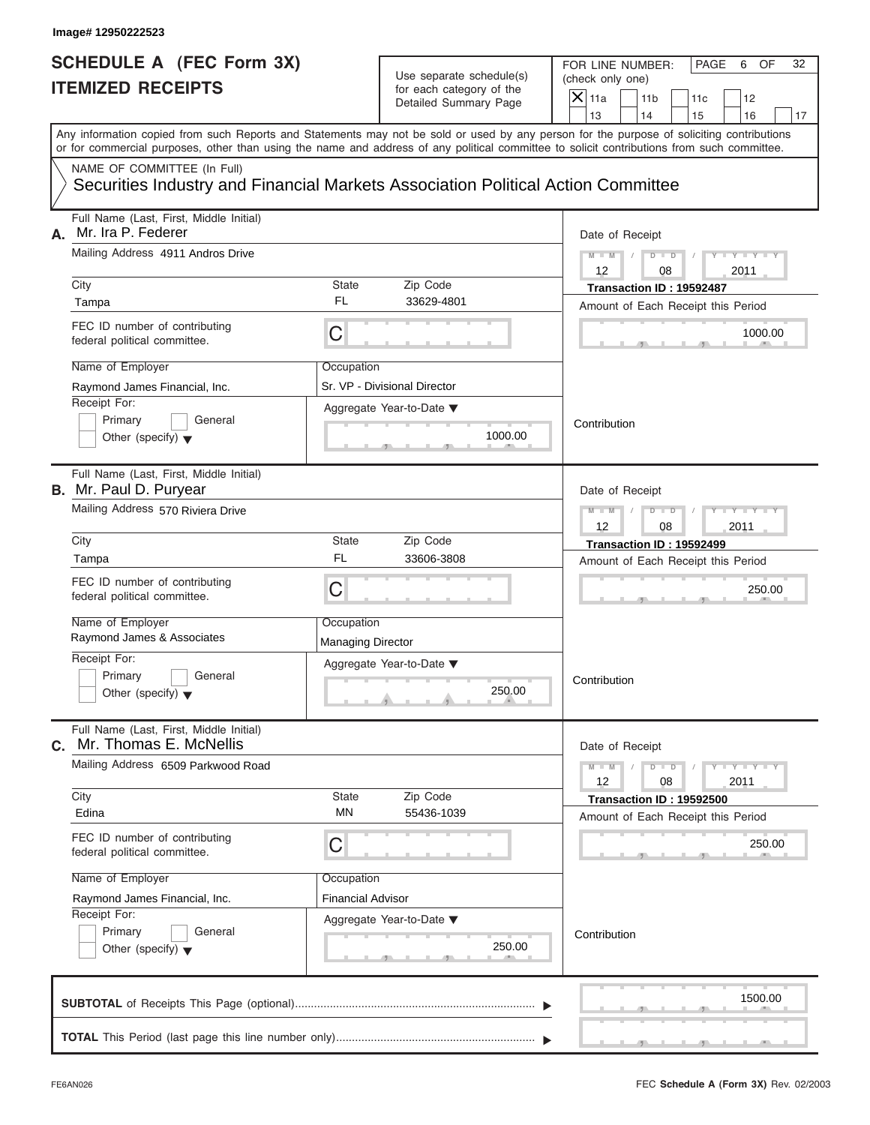#### **Image# 12950222523**

### **SCHEDULE A (FEC Form 3X) ITEMIZED RECEIPTS**

# Use separate schedule(s) (check only one)<br>for each category of the  $\Box$

FOR LINE NUMBER: PAGE 6 OF<br>(check only one)

| SCHEDULE A (FEC Form 3X)<br><b>ITEMIZED RECEIPTS</b>                     |                                                                                                                                            |                          | Use separate schedule(s)<br>for each category of the<br>Detailed Summary Page | FOR LINE NUMBER:<br>PAGE<br>6<br>OF<br>32<br>(check only one)<br>$\overline{\mathsf{x}}$<br>11a<br>11 <sub>b</sub><br>12<br>11c |
|--------------------------------------------------------------------------|--------------------------------------------------------------------------------------------------------------------------------------------|--------------------------|-------------------------------------------------------------------------------|---------------------------------------------------------------------------------------------------------------------------------|
|                                                                          | Any information copied from such Reports and Statements may not be sold or used by any person for the purpose of soliciting contributions  |                          |                                                                               | 13<br>14<br>16<br>15<br>17                                                                                                      |
|                                                                          | or for commercial purposes, other than using the name and address of any political committee to solicit contributions from such committee. |                          |                                                                               |                                                                                                                                 |
|                                                                          | NAME OF COMMITTEE (In Full)<br>Securities Industry and Financial Markets Association Political Action Committee                            |                          |                                                                               |                                                                                                                                 |
| А.                                                                       | Full Name (Last, First, Middle Initial)<br>Mr. Ira P. Federer                                                                              |                          |                                                                               | Date of Receipt                                                                                                                 |
|                                                                          | Mailing Address 4911 Andros Drive<br>City                                                                                                  | <b>State</b>             | Zip Code                                                                      | $M - M$<br>$D$ $D$<br>12<br>08<br>2011<br>Transaction ID: 19592487                                                              |
|                                                                          | Tampa                                                                                                                                      | <b>FL</b>                | 33629-4801                                                                    | Amount of Each Receipt this Period                                                                                              |
|                                                                          | FEC ID number of contributing<br>federal political committee.                                                                              | C                        |                                                                               | 1000.00                                                                                                                         |
|                                                                          | Name of Employer<br>Raymond James Financial, Inc.                                                                                          | Occupation               | Sr. VP - Divisional Director                                                  |                                                                                                                                 |
|                                                                          | Receipt For:<br>Primary<br>General<br>Other (specify) $\blacktriangledown$                                                                 |                          | Aggregate Year-to-Date ▼<br>1000.00<br>$-9$                                   | Contribution                                                                                                                    |
| Full Name (Last, First, Middle Initial)<br><b>B.</b> Mr. Paul D. Puryear |                                                                                                                                            |                          |                                                                               | Date of Receipt                                                                                                                 |
|                                                                          | Mailing Address 570 Riviera Drive                                                                                                          |                          |                                                                               | $M - M$<br>D<br>$\Box$<br>12<br>08<br>2011                                                                                      |
|                                                                          | City                                                                                                                                       | <b>State</b><br>FL       | Zip Code<br>33606-3808                                                        | Transaction ID: 19592499                                                                                                        |
|                                                                          | Tampa                                                                                                                                      |                          |                                                                               | Amount of Each Receipt this Period                                                                                              |
|                                                                          | FEC ID number of contributing<br>federal political committee.                                                                              | $\mathsf C$              |                                                                               | 250.00                                                                                                                          |
|                                                                          | Name of Employer<br>Raymond James & Associates                                                                                             | Occupation               |                                                                               |                                                                                                                                 |
|                                                                          | Receipt For:                                                                                                                               | <b>Managing Director</b> |                                                                               |                                                                                                                                 |
|                                                                          | Primary<br>General                                                                                                                         |                          | Aggregate Year-to-Date ▼                                                      | Contribution                                                                                                                    |
|                                                                          | Other (specify) $\blacktriangledown$                                                                                                       |                          | 250.00<br>مس                                                                  |                                                                                                                                 |
| С.                                                                       | Full Name (Last, First, Middle Initial)<br>Mr. Thomas E. McNellis                                                                          |                          |                                                                               | Date of Receipt                                                                                                                 |
|                                                                          | Mailing Address 6509 Parkwood Road                                                                                                         |                          |                                                                               | $Y = Y$<br>$M - M$<br>D<br>$\overline{\phantom{a}}$<br>12<br>08<br>2011                                                         |
|                                                                          | City<br>Edina                                                                                                                              | <b>State</b><br>ΜN       | Zip Code<br>55436-1039                                                        | Transaction ID: 19592500                                                                                                        |
|                                                                          |                                                                                                                                            |                          |                                                                               | Amount of Each Receipt this Period                                                                                              |
|                                                                          | FEC ID number of contributing<br>federal political committee.                                                                              | C                        |                                                                               | 250.00                                                                                                                          |
|                                                                          | Name of Employer                                                                                                                           | Occupation               |                                                                               |                                                                                                                                 |
|                                                                          | Raymond James Financial, Inc.<br>Receipt For:                                                                                              | <b>Financial Advisor</b> |                                                                               |                                                                                                                                 |
|                                                                          | Primary<br>General<br>Other (specify) $\blacktriangledown$                                                                                 |                          | Aggregate Year-to-Date ▼<br>250.00                                            | Contribution                                                                                                                    |
|                                                                          |                                                                                                                                            |                          |                                                                               | 1500.00                                                                                                                         |
|                                                                          |                                                                                                                                            |                          |                                                                               |                                                                                                                                 |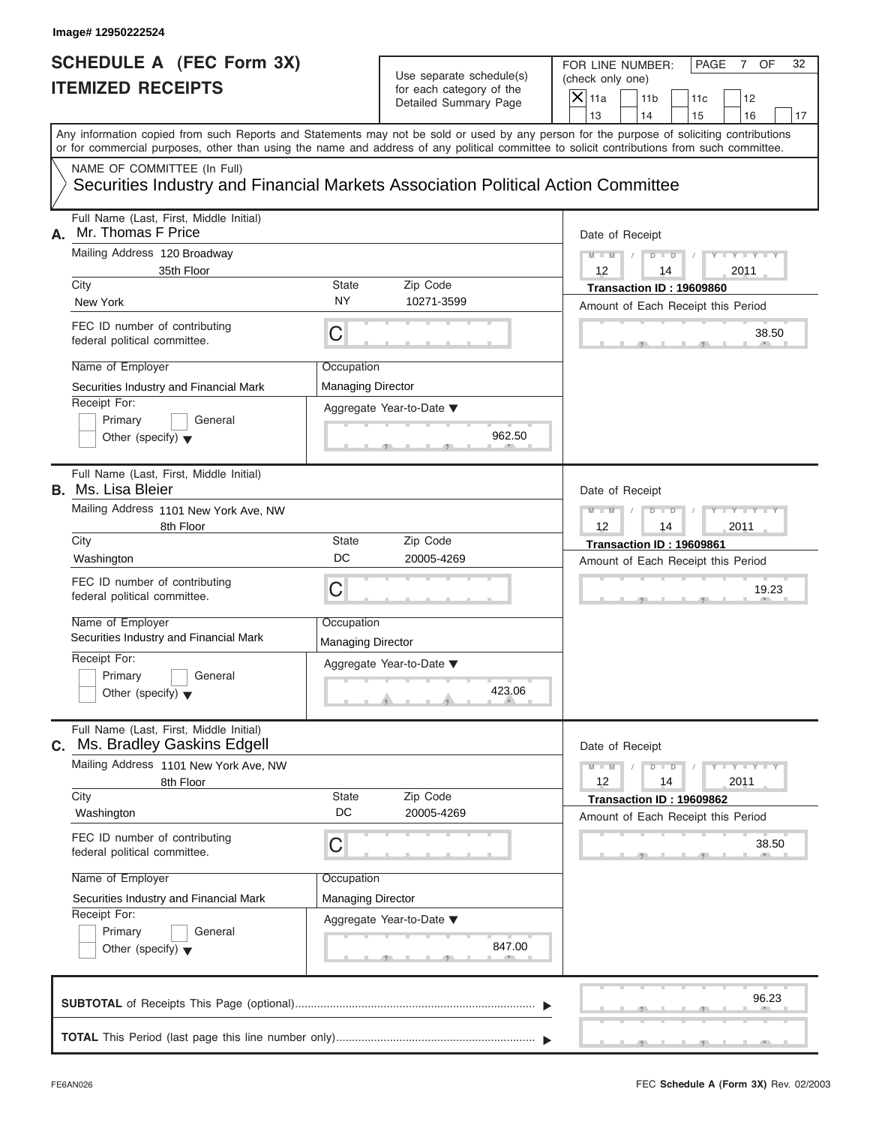#### **Image# 12950222524**

### **SCHEDULE A (FEC Form 3X) ITEMIZED RECEIPTS**

# Use separate schedule(s) (check only one)<br>for each category of the  $\Box$

FOR LINE NUMBER: PAGE 7 OF<br>(check only one)

| SCHEDULE A (FEC Form 3X)<br><b>ITEMIZED RECEIPTS</b> |                                                                                                                                                                                                                                                                                         |                          | Use separate schedule(s)<br>for each category of the | FOR LINE NUMBER:<br>(check only one) | PAGE<br>$7^{\circ}$<br>OF<br>32                        |
|------------------------------------------------------|-----------------------------------------------------------------------------------------------------------------------------------------------------------------------------------------------------------------------------------------------------------------------------------------|--------------------------|------------------------------------------------------|--------------------------------------|--------------------------------------------------------|
|                                                      |                                                                                                                                                                                                                                                                                         |                          | Detailed Summary Page                                | $X$ 11a<br>13                        | 11 <sub>b</sub><br>11c<br>12<br>14<br>15<br>16<br>17   |
|                                                      | Any information copied from such Reports and Statements may not be sold or used by any person for the purpose of soliciting contributions<br>or for commercial purposes, other than using the name and address of any political committee to solicit contributions from such committee. |                          |                                                      |                                      |                                                        |
|                                                      | NAME OF COMMITTEE (In Full)<br>Securities Industry and Financial Markets Association Political Action Committee                                                                                                                                                                         |                          |                                                      |                                      |                                                        |
| А.                                                   | Full Name (Last, First, Middle Initial)<br>Mr. Thomas F Price                                                                                                                                                                                                                           |                          |                                                      | Date of Receipt                      |                                                        |
|                                                      | Mailing Address 120 Broadway<br>35th Floor<br>City                                                                                                                                                                                                                                      | <b>State</b>             | Zip Code                                             | $M - M$<br>12                        | D<br>2011<br>14<br>Transaction ID: 19609860            |
|                                                      | New York                                                                                                                                                                                                                                                                                | <b>NY</b>                | 10271-3599                                           |                                      | Amount of Each Receipt this Period                     |
|                                                      | FEC ID number of contributing<br>federal political committee.                                                                                                                                                                                                                           | С                        |                                                      |                                      | 38.50                                                  |
|                                                      | Name of Employer                                                                                                                                                                                                                                                                        | Occupation               |                                                      |                                      |                                                        |
|                                                      | Securities Industry and Financial Mark                                                                                                                                                                                                                                                  | <b>Managing Director</b> |                                                      |                                      |                                                        |
|                                                      | Receipt For:<br>Primary<br>General                                                                                                                                                                                                                                                      |                          | Aggregate Year-to-Date ▼                             |                                      |                                                        |
|                                                      | Other (specify) $\blacktriangledown$                                                                                                                                                                                                                                                    |                          | 962.50                                               |                                      |                                                        |
|                                                      | Full Name (Last, First, Middle Initial)<br><b>B.</b> Ms. Lisa Bleier                                                                                                                                                                                                                    |                          |                                                      | Date of Receipt                      |                                                        |
|                                                      | Mailing Address 1101 New York Ave, NW<br>8th Floor                                                                                                                                                                                                                                      |                          |                                                      | $M - M$<br>12                        | D<br>$\Box$<br>2011<br>14                              |
|                                                      | City                                                                                                                                                                                                                                                                                    | <b>State</b>             | Zip Code                                             |                                      | Transaction ID: 19609861                               |
|                                                      | Washington                                                                                                                                                                                                                                                                              | DC                       | 20005-4269                                           |                                      | Amount of Each Receipt this Period                     |
|                                                      | FEC ID number of contributing<br>federal political committee.                                                                                                                                                                                                                           | C                        |                                                      |                                      | 19.23                                                  |
|                                                      | Name of Employer<br>Securities Industry and Financial Mark                                                                                                                                                                                                                              | Occupation               |                                                      |                                      |                                                        |
|                                                      | Receipt For:                                                                                                                                                                                                                                                                            | <b>Managing Director</b> |                                                      |                                      |                                                        |
|                                                      | Primary<br>General                                                                                                                                                                                                                                                                      |                          | Aggregate Year-to-Date ▼                             |                                      |                                                        |
|                                                      | Other (specify) $\blacktriangledown$                                                                                                                                                                                                                                                    |                          | 423.06<br>A                                          |                                      |                                                        |
| С.                                                   | Full Name (Last, First, Middle Initial)<br>Ms. Bradley Gaskins Edgell                                                                                                                                                                                                                   |                          |                                                      | Date of Receipt                      |                                                        |
|                                                      | Mailing Address 1101 New York Ave, NW                                                                                                                                                                                                                                                   |                          |                                                      | $M - M$<br>12                        | $Y = Y$<br>D<br>$\overline{\phantom{a}}$<br>14<br>2011 |
|                                                      | 8th Floor<br>City                                                                                                                                                                                                                                                                       | State                    | Zip Code                                             |                                      | Transaction ID: 19609862                               |
|                                                      | Washington                                                                                                                                                                                                                                                                              | DC                       | 20005-4269                                           |                                      | Amount of Each Receipt this Period                     |
|                                                      | FEC ID number of contributing<br>federal political committee.                                                                                                                                                                                                                           | C                        |                                                      |                                      | 38.50                                                  |
|                                                      | Name of Employer                                                                                                                                                                                                                                                                        | Occupation               |                                                      |                                      |                                                        |
|                                                      | Securities Industry and Financial Mark                                                                                                                                                                                                                                                  | <b>Managing Director</b> |                                                      |                                      |                                                        |
|                                                      | Receipt For:<br>Primary<br>General                                                                                                                                                                                                                                                      |                          | Aggregate Year-to-Date ▼                             |                                      |                                                        |
|                                                      | Other (specify) $\blacktriangledown$                                                                                                                                                                                                                                                    |                          | 847.00                                               |                                      |                                                        |
|                                                      |                                                                                                                                                                                                                                                                                         |                          |                                                      |                                      | 96.23                                                  |
|                                                      |                                                                                                                                                                                                                                                                                         |                          |                                                      |                                      |                                                        |

FEC **Schedule A (Form 3X)** Rev. 02/2003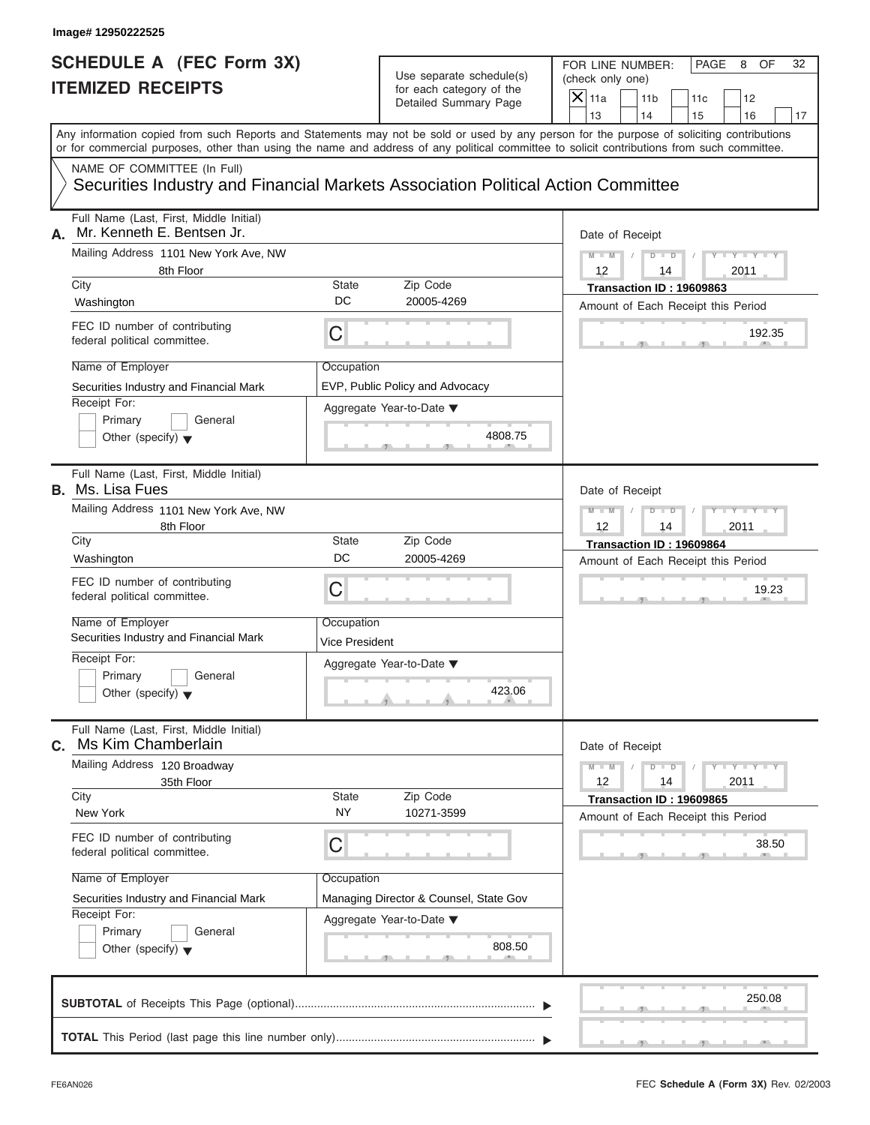|    | SCHEDULE A (FEC Form 3X)<br><b>ITEMIZED RECEIPTS</b>                                                                                       |                              | Use separate schedule(s)<br>for each category of the                 | FOR LINE NUMBER:<br>PAGE<br>OF<br>32<br>8<br>(check only one)<br>$\overline{X}$ 11a<br>11 <sub>b</sub><br>12<br>11c                       |
|----|--------------------------------------------------------------------------------------------------------------------------------------------|------------------------------|----------------------------------------------------------------------|-------------------------------------------------------------------------------------------------------------------------------------------|
|    |                                                                                                                                            |                              | Detailed Summary Page                                                | 13<br>14<br>16<br>15<br>17                                                                                                                |
|    | or for commercial purposes, other than using the name and address of any political committee to solicit contributions from such committee. |                              |                                                                      | Any information copied from such Reports and Statements may not be sold or used by any person for the purpose of soliciting contributions |
|    | NAME OF COMMITTEE (In Full)<br>Securities Industry and Financial Markets Association Political Action Committee                            |                              |                                                                      |                                                                                                                                           |
| А. | Full Name (Last, First, Middle Initial)<br>Mr. Kenneth E. Bentsen Jr.                                                                      |                              |                                                                      | Date of Receipt                                                                                                                           |
|    | Mailing Address 1101 New York Ave, NW<br>8th Floor<br>City                                                                                 | State                        | Zip Code                                                             | $M - M - 1$<br>$D$ $D$<br>$T - Y = Y - Y$<br>12<br>2011<br>14<br>Transaction ID: 19609863                                                 |
|    | Washington                                                                                                                                 | DC                           | 20005-4269                                                           | Amount of Each Receipt this Period                                                                                                        |
|    | FEC ID number of contributing<br>federal political committee.                                                                              | С                            |                                                                      | 192.35                                                                                                                                    |
|    | Name of Employer<br>Securities Industry and Financial Mark<br>Receipt For:<br>Primary<br>General                                           | Occupation                   | EVP, Public Policy and Advocacy<br>Aggregate Year-to-Date ▼          |                                                                                                                                           |
|    | Other (specify) $\blacktriangledown$<br>Full Name (Last, First, Middle Initial)<br><b>B.</b> Ms. Lisa Fues                                 |                              | 4808.75                                                              |                                                                                                                                           |
|    | Mailing Address 1101 New York Ave, NW<br>8th Floor                                                                                         |                              |                                                                      | Date of Receipt<br>$M - M$<br>$D - D$<br>$+Y+Y+$<br>2011<br>12<br>14                                                                      |
|    | City<br>Washington                                                                                                                         | State<br>DC                  | Zip Code<br>20005-4269                                               | Transaction ID: 19609864<br>Amount of Each Receipt this Period                                                                            |
|    | FEC ID number of contributing<br>federal political committee.                                                                              | С                            |                                                                      | 19.23                                                                                                                                     |
|    | Name of Employer<br>Securities Industry and Financial Mark                                                                                 | Occupation<br>Vice President |                                                                      |                                                                                                                                           |
|    | Receipt For:<br>Primary<br>General<br>Other (specify) $\blacktriangledown$                                                                 |                              | Aggregate Year-to-Date ▼<br>423.06<br><b>All Additional Property</b> |                                                                                                                                           |
| С. | Full Name (Last, First, Middle Initial)<br>Ms Kim Chamberlain                                                                              |                              |                                                                      | Date of Receipt                                                                                                                           |
|    | Mailing Address 120 Broadway<br>35th Floor                                                                                                 |                              |                                                                      | $M - M$<br>$D$ $D$<br>$T - Y = T - Y = T - Y$<br>12<br>14<br>2011                                                                         |
|    | City<br>New York                                                                                                                           | <b>State</b><br>NY.          | Zip Code<br>10271-3599                                               | Transaction ID: 19609865<br>Amount of Each Receipt this Period                                                                            |
|    | FEC ID number of contributing<br>federal political committee.                                                                              | С                            |                                                                      | 38.50                                                                                                                                     |
|    | Name of Employer                                                                                                                           | Occupation                   |                                                                      |                                                                                                                                           |
|    | Securities Industry and Financial Mark<br>Receipt For:                                                                                     |                              | Managing Director & Counsel, State Gov                               |                                                                                                                                           |
|    | Primary<br>General<br>Other (specify) $\blacktriangledown$                                                                                 |                              | Aggregate Year-to-Date ▼<br>808.50                                   |                                                                                                                                           |
|    |                                                                                                                                            |                              |                                                                      | 250.08                                                                                                                                    |
|    |                                                                                                                                            |                              |                                                                      |                                                                                                                                           |

 $S = 1, 1, 2, 3, ...$  ,  $S = 1, 3, ...$  ,  $S = 1, 3, ...$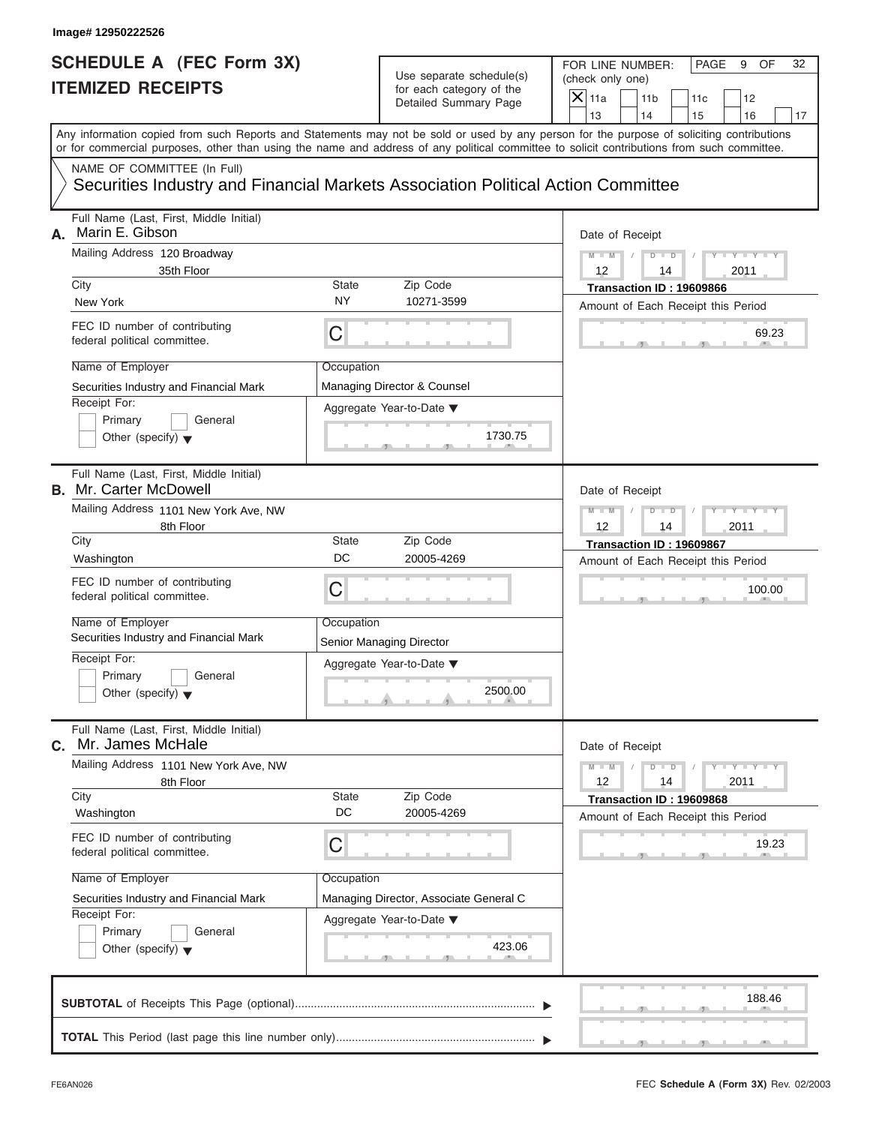#### **Image# 12950222526**

### **SCHEDULE A (FEC Form 3X) ITEMIZED RECEIPTS**

# Use separate schedule(s) (check only one)<br>for each category of the  $\Box$

FOR LINE NUMBER: PAGE 9 OF<br>(check only one)

| SCHEDULE A (FEC FOrm 3X)                                                                                                                                                                                                                                                                                                                                          | Use separate schedule(s)                                                                                                                 | FOR LINE NUMBER:<br>PAGE<br>9<br>OF<br>32<br>(check only one)                                                                                                    |
|-------------------------------------------------------------------------------------------------------------------------------------------------------------------------------------------------------------------------------------------------------------------------------------------------------------------------------------------------------------------|------------------------------------------------------------------------------------------------------------------------------------------|------------------------------------------------------------------------------------------------------------------------------------------------------------------|
| <b>ITEMIZED RECEIPTS</b>                                                                                                                                                                                                                                                                                                                                          | for each category of the<br>Detailed Summary Page                                                                                        | $\overline{\mathsf{x}}$<br>11a<br>11 <sub>b</sub><br>12<br>11c<br>13<br>14<br>15<br>16<br>17                                                                     |
| Any information copied from such Reports and Statements may not be sold or used by any person for the purpose of soliciting contributions<br>or for commercial purposes, other than using the name and address of any political committee to solicit contributions from such committee.                                                                           |                                                                                                                                          |                                                                                                                                                                  |
| NAME OF COMMITTEE (In Full)<br>Securities Industry and Financial Markets Association Political Action Committee                                                                                                                                                                                                                                                   |                                                                                                                                          |                                                                                                                                                                  |
| Full Name (Last, First, Middle Initial)<br>Marin E. Gibson<br>А.<br>Mailing Address 120 Broadway<br>35th Floor<br>City<br>New York<br>FEC ID number of contributing<br>federal political committee.<br>Name of Employer                                                                                                                                           | State<br>Zip Code<br><b>NY</b><br>10271-3599<br>C<br>Occupation                                                                          | Date of Receipt<br>$Y - Y - I$<br>$M - M$<br>D<br>$\Box$<br>12<br>2011<br>14<br>Transaction ID: 19609866<br>Amount of Each Receipt this Period<br>69.23          |
| Securities Industry and Financial Mark<br>Receipt For:<br>Primary<br>General<br>Other (specify) $\blacktriangledown$                                                                                                                                                                                                                                              | Managing Director & Counsel<br>Aggregate Year-to-Date ▼<br>1730.75                                                                       |                                                                                                                                                                  |
| Full Name (Last, First, Middle Initial)<br><b>B.</b> Mr. Carter McDowell<br>Mailing Address 1101 New York Ave, NW<br>8th Floor<br>City<br>Washington<br>FEC ID number of contributing<br>federal political committee.<br>Name of Employer<br>Securities Industry and Financial Mark<br>Receipt For:<br>Primary<br>General<br>Other (specify) $\blacktriangledown$ | State<br>Zip Code<br>DC<br>20005-4269<br>C<br>Occupation<br>Senior Managing Director<br>Aggregate Year-to-Date ▼<br>2500.00<br>A         | Date of Receipt<br>$M - M$<br>ъ<br>□□<br>12<br>2011<br>14<br>Transaction ID: 19609867<br>Amount of Each Receipt this Period<br>100.00                            |
| Full Name (Last, First, Middle Initial)<br>Mr. James McHale<br>С.<br>Mailing Address 1101 New York Ave, NW<br>8th Floor<br>City<br>Washington<br>FEC ID number of contributing<br>federal political committee.<br>Name of Employer<br>Securities Industry and Financial Mark<br>Receipt For:<br>Primary<br>General<br>Other (specify) $\blacktriangledown$        | Zip Code<br>State<br>DC<br>20005-4269<br>С<br>Occupation<br>Managing Director, Associate General C<br>Aggregate Year-to-Date ▼<br>423.06 | Date of Receipt<br>$Y = Y$<br>$M - M$<br>T<br>D<br>$\overline{D}$<br>12<br>2011<br>14<br>Transaction ID: 19609868<br>Amount of Each Receipt this Period<br>19.23 |
|                                                                                                                                                                                                                                                                                                                                                                   |                                                                                                                                          | 188.46                                                                                                                                                           |

 $S = \{x_1, x_2, \ldots, x_{n-1}, x_{n-1}, \ldots, x_{n-1}, x_{n-1}, \ldots, x_{n-1}, x_{n-1}, \ldots, x_{n-1}, x_{n-1}, \ldots, x_{n-1}, x_{n-1}, \ldots, x_{n-1}, x_{n-1}, \ldots, x_{n-1}, \ldots, x_{n-1}, \ldots, x_{n-1}, \ldots, x_{n-1}, \ldots, x_{n-1}, \ldots, x_{n-1}, \ldots, x_{n-1}, \ldots, x_{n-1}, \ldots, x_{n-1}, \ldots, x_{n-1}, \ldots, x_{n-1}, \ld$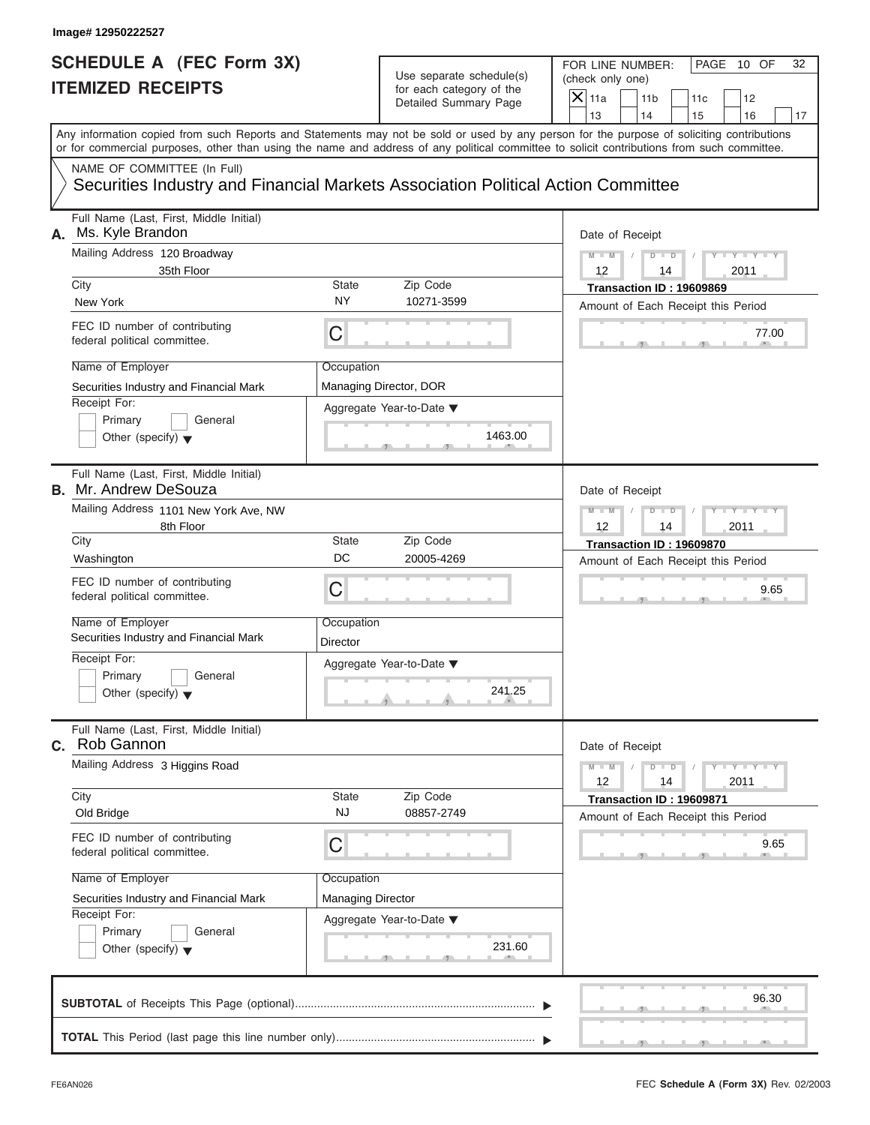| Image# 12950222527                                                      |                                         |                                               |                                                                                                                                                                                                                                                                                         |                                                                                         |                                |
|-------------------------------------------------------------------------|-----------------------------------------|-----------------------------------------------|-----------------------------------------------------------------------------------------------------------------------------------------------------------------------------------------------------------------------------------------------------------------------------------------|-----------------------------------------------------------------------------------------|--------------------------------|
| <b>SCHEDULE A (FEC Form 3X)</b><br><b>ITEMIZED RECEIPTS</b>             |                                         |                                               | Use separate schedule(s)<br>for each category of the<br>Detailed Summary Page                                                                                                                                                                                                           | FOR LINE NUMBER:<br>(check only one)<br>$\mathsf{X}$ 11a<br>11 <sub>b</sub><br>13<br>14 | PAGE 10 OF<br>32<br>11c<br>12  |
|                                                                         |                                         |                                               | Any information copied from such Reports and Statements may not be sold or used by any person for the purpose of soliciting contributions<br>or for commercial purposes, other than using the name and address of any political committee to solicit contributions from such committee. |                                                                                         | 15<br>16<br>17                 |
| NAME OF COMMITTEE (In Full)                                             |                                         |                                               | Securities Industry and Financial Markets Association Political Action Committee                                                                                                                                                                                                        |                                                                                         |                                |
| Ms. Kyle Brandon<br>А.                                                  | Full Name (Last, First, Middle Initial) |                                               |                                                                                                                                                                                                                                                                                         | Date of Receipt                                                                         |                                |
| Mailing Address 120 Broadway                                            | 35th Floor                              | $D$ $D$<br>$M - M$<br>$12 \overline{ }$<br>14 | $Y - Y - Y - Y - Y$<br>2011                                                                                                                                                                                                                                                             |                                                                                         |                                |
| City                                                                    |                                         | State                                         | Zip Code                                                                                                                                                                                                                                                                                | Transaction ID: 19609869                                                                |                                |
| New York                                                                |                                         | NY                                            | 10271-3599                                                                                                                                                                                                                                                                              | Amount of Each Receipt this Period                                                      |                                |
| FEC ID number of contributing<br>federal political committee.           |                                         | C                                             |                                                                                                                                                                                                                                                                                         |                                                                                         | 77.00                          |
| Name of Employer                                                        |                                         | Occupation                                    |                                                                                                                                                                                                                                                                                         |                                                                                         |                                |
|                                                                         | Securities Industry and Financial Mark  |                                               | Managing Director, DOR                                                                                                                                                                                                                                                                  |                                                                                         |                                |
| Receipt For:<br>Primary<br>Other (specify) $\blacktriangledown$         | General                                 |                                               | Aggregate Year-to-Date ▼<br>1463.00                                                                                                                                                                                                                                                     |                                                                                         |                                |
| Full Name (Last, First, Middle Initial)<br><b>B.</b> Mr. Andrew DeSouza |                                         |                                               | Date of Receipt                                                                                                                                                                                                                                                                         |                                                                                         |                                |
|                                                                         | Mailing Address 1101 New York Ave, NW   |                                               |                                                                                                                                                                                                                                                                                         |                                                                                         | $Y - Y - Y - Y - I$<br>$D$ $D$ |
|                                                                         | 8th Floor                               |                                               |                                                                                                                                                                                                                                                                                         |                                                                                         | 2011<br>14                     |
| City                                                                    |                                         | State                                         | Zip Code                                                                                                                                                                                                                                                                                | Transaction ID: 19609870                                                                |                                |
| Washington                                                              |                                         | DC                                            | 20005-4269                                                                                                                                                                                                                                                                              | Amount of Each Receipt this Period                                                      |                                |
| FEC ID number of contributing<br>federal political committee.           |                                         | C                                             |                                                                                                                                                                                                                                                                                         |                                                                                         | 9.65                           |
| Name of Employer                                                        | Securities Industry and Financial Mark  | Occupation<br>Director                        |                                                                                                                                                                                                                                                                                         |                                                                                         |                                |
| Receipt For:                                                            |                                         |                                               | Aggregate Year-to-Date ▼                                                                                                                                                                                                                                                                |                                                                                         |                                |
| Primary<br>Other (specify) $\blacktriangledown$                         | General                                 |                                               | 241.25                                                                                                                                                                                                                                                                                  |                                                                                         |                                |
| Rob Gannon<br>C.                                                        | Full Name (Last, First, Middle Initial) |                                               |                                                                                                                                                                                                                                                                                         | Date of Receipt                                                                         |                                |
|                                                                         | Mailing Address 3 Higgins Road          |                                               |                                                                                                                                                                                                                                                                                         |                                                                                         | $Y = Y$<br>$D$ $D$<br>2011     |
| City<br>Old Bridge                                                      |                                         | State<br><b>NJ</b>                            | Zip Code<br>08857-2749                                                                                                                                                                                                                                                                  | Transaction ID: 19609871<br>Amount of Each Receipt this Period                          |                                |
| FEC ID number of contributing<br>federal political committee.           |                                         | C                                             |                                                                                                                                                                                                                                                                                         |                                                                                         | 9.65                           |
| Name of Employer                                                        |                                         | Occupation                                    |                                                                                                                                                                                                                                                                                         |                                                                                         |                                |
|                                                                         | Securities Industry and Financial Mark  | Managing Director                             |                                                                                                                                                                                                                                                                                         |                                                                                         |                                |
| Receipt For:                                                            |                                         |                                               | Aggregate Year-to-Date ▼                                                                                                                                                                                                                                                                |                                                                                         |                                |
| Primary<br>Other (specify) $\blacktriangledown$                         | General                                 |                                               | 231.60                                                                                                                                                                                                                                                                                  |                                                                                         |                                |
|                                                                         |                                         |                                               |                                                                                                                                                                                                                                                                                         |                                                                                         | 96.30                          |
|                                                                         |                                         |                                               |                                                                                                                                                                                                                                                                                         |                                                                                         |                                |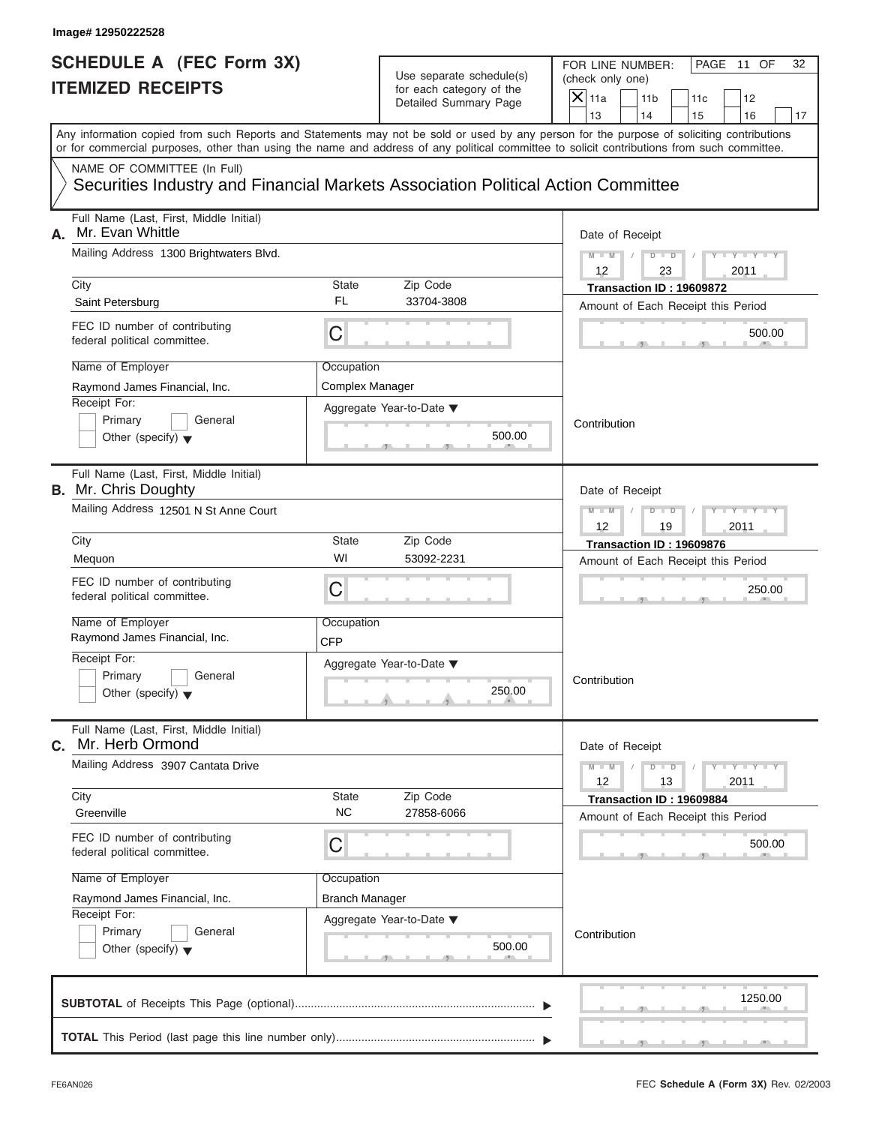#### Use separate schedule(s) for each category of the

| Image# 12950222528                                                                                              |                                                |                                                                               |                                                                                                                                                                         |  |
|-----------------------------------------------------------------------------------------------------------------|------------------------------------------------|-------------------------------------------------------------------------------|-------------------------------------------------------------------------------------------------------------------------------------------------------------------------|--|
| <b>SCHEDULE A (FEC Form 3X)</b><br><b>ITEMIZED RECEIPTS</b>                                                     |                                                | Use separate schedule(s)<br>for each category of the<br>Detailed Summary Page | FOR LINE NUMBER:<br>PAGE 11 OF<br>32<br>(check only one)<br>$\overline{X}$ 11a<br>11 <sub>b</sub><br>11c<br>12                                                          |  |
|                                                                                                                 |                                                |                                                                               | 13<br>14<br>15<br>16<br>17<br>Any information copied from such Reports and Statements may not be sold or used by any person for the purpose of soliciting contributions |  |
|                                                                                                                 |                                                |                                                                               | or for commercial purposes, other than using the name and address of any political committee to solicit contributions from such committee.                              |  |
| NAME OF COMMITTEE (In Full)<br>Securities Industry and Financial Markets Association Political Action Committee |                                                |                                                                               |                                                                                                                                                                         |  |
| Full Name (Last, First, Middle Initial)<br>Mr. Evan Whittle<br>А.                                               |                                                |                                                                               | Date of Receipt                                                                                                                                                         |  |
| Mailing Address 1300 Brightwaters Blvd.                                                                         |                                                |                                                                               |                                                                                                                                                                         |  |
| City                                                                                                            | State                                          | Zip Code                                                                      | 12<br>2011<br>23<br>Transaction ID: 19609872                                                                                                                            |  |
| Saint Petersburg                                                                                                | FL                                             | 33704-3808                                                                    | Amount of Each Receipt this Period                                                                                                                                      |  |
| FEC ID number of contributing<br>federal political committee.                                                   | С                                              |                                                                               | 500.00                                                                                                                                                                  |  |
| Name of Employer                                                                                                | Occupation                                     |                                                                               |                                                                                                                                                                         |  |
| Raymond James Financial, Inc.<br>Receipt For:                                                                   | Complex Manager                                |                                                                               |                                                                                                                                                                         |  |
| Primary<br>General<br>Other (specify) $\blacktriangledown$                                                      |                                                | Aggregate Year-to-Date ▼<br>500.00                                            | Contribution                                                                                                                                                            |  |
| Full Name (Last, First, Middle Initial)<br><b>B.</b> Mr. Chris Doughty                                          |                                                |                                                                               | Date of Receipt                                                                                                                                                         |  |
| Mailing Address 12501 N St Anne Court                                                                           | $M - M$<br>$D$ $D$<br>Y TY<br>2011<br>12<br>19 |                                                                               |                                                                                                                                                                         |  |
| City                                                                                                            | State                                          | Zip Code                                                                      | Transaction ID: 19609876                                                                                                                                                |  |
| Mequon                                                                                                          | WI                                             | 53092-2231                                                                    | Amount of Each Receipt this Period                                                                                                                                      |  |
| FEC ID number of contributing<br>federal political committee.                                                   | С                                              |                                                                               | 250.00                                                                                                                                                                  |  |
| Name of Employer<br>Raymond James Financial, Inc.                                                               | Occupation<br><b>CFP</b>                       |                                                                               |                                                                                                                                                                         |  |
| Receipt For:                                                                                                    |                                                | Aggregate Year-to-Date ▼                                                      |                                                                                                                                                                         |  |
| Primary<br>General<br>Other (specify) $\blacktriangledown$                                                      |                                                | 250.00                                                                        | Contribution                                                                                                                                                            |  |
| Full Name (Last, First, Middle Initial)<br>Mr. Herb Ormond<br>С.                                                |                                                |                                                                               | Date of Receipt                                                                                                                                                         |  |
| Mailing Address 3907 Cantata Drive                                                                              |                                                |                                                                               | $Y = Y$<br>$M - M$<br>$D$ $D$<br>2011<br>12<br>13                                                                                                                       |  |
| City<br>Greenville                                                                                              | State<br><b>NC</b>                             | Zip Code<br>27858-6066                                                        | Transaction ID: 19609884<br>Amount of Each Receipt this Period                                                                                                          |  |
| FEC ID number of contributing<br>federal political committee.                                                   | С                                              |                                                                               | 500.00                                                                                                                                                                  |  |
| Name of Employer                                                                                                | Occupation                                     |                                                                               |                                                                                                                                                                         |  |
| Raymond James Financial, Inc.                                                                                   | <b>Branch Manager</b>                          |                                                                               |                                                                                                                                                                         |  |
| Receipt For:<br>Primary<br>General                                                                              |                                                | Aggregate Year-to-Date ▼                                                      |                                                                                                                                                                         |  |
| Other (specify) $\blacktriangledown$                                                                            |                                                | 500.00                                                                        | Contribution                                                                                                                                                            |  |
|                                                                                                                 |                                                |                                                                               | 1250.00                                                                                                                                                                 |  |
|                                                                                                                 |                                                |                                                                               |                                                                                                                                                                         |  |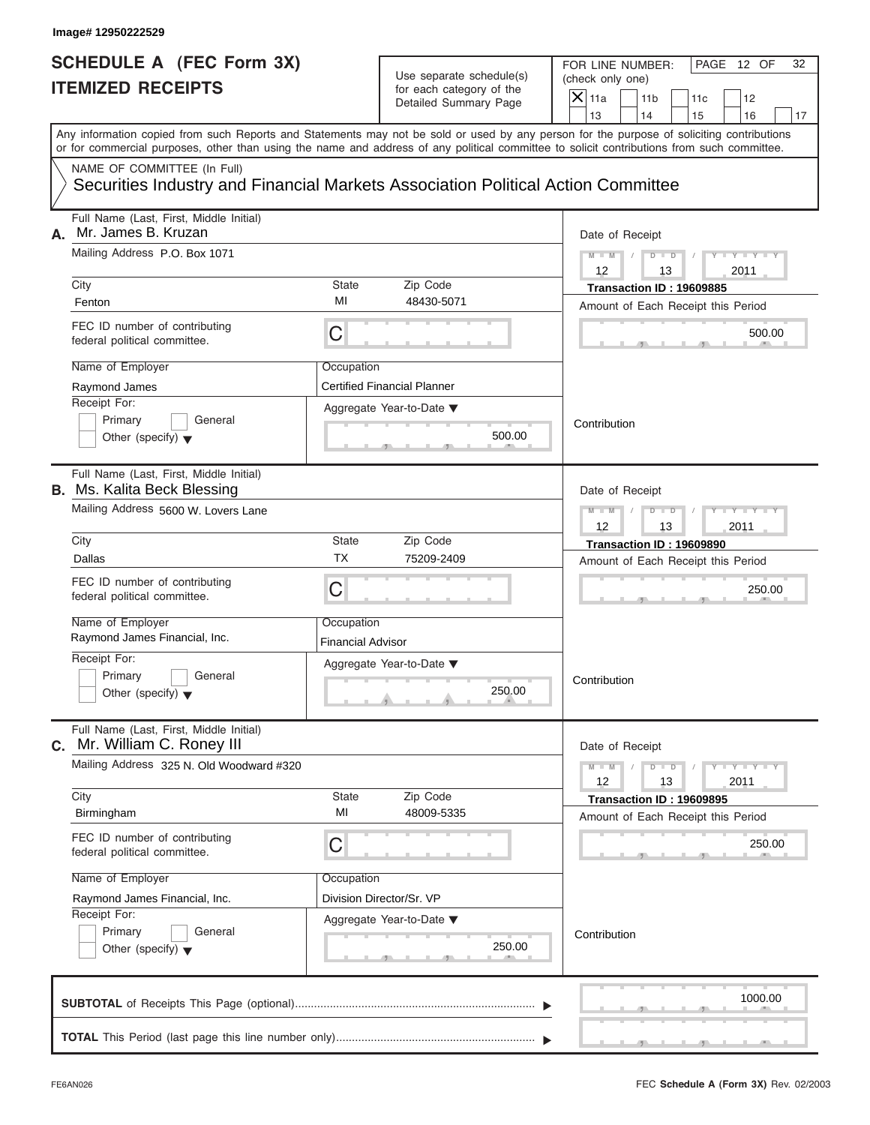# Use separate schedule(s) (check only one)<br>for each category of the  $\Box$

|                                                             | Image# 12950222529                                                                                                                         |                          |                                                      |                                                                                                                                           |
|-------------------------------------------------------------|--------------------------------------------------------------------------------------------------------------------------------------------|--------------------------|------------------------------------------------------|-------------------------------------------------------------------------------------------------------------------------------------------|
| <b>SCHEDULE A (FEC Form 3X)</b><br><b>ITEMIZED RECEIPTS</b> |                                                                                                                                            |                          | Use separate schedule(s)<br>for each category of the | FOR LINE NUMBER:<br>PAGE 12 OF<br>32<br>(check only one)<br>$\overline{X}$ 11a<br>11 <sub>b</sub>                                         |
|                                                             |                                                                                                                                            |                          | Detailed Summary Page                                | 11c<br>12<br>13<br>14<br>15<br>16<br>17                                                                                                   |
|                                                             | or for commercial purposes, other than using the name and address of any political committee to solicit contributions from such committee. |                          |                                                      | Any information copied from such Reports and Statements may not be sold or used by any person for the purpose of soliciting contributions |
|                                                             | NAME OF COMMITTEE (In Full)<br>Securities Industry and Financial Markets Association Political Action Committee                            |                          |                                                      |                                                                                                                                           |
| А.                                                          | Full Name (Last, First, Middle Initial)<br>Mr. James B. Kruzan                                                                             |                          |                                                      | Date of Receipt                                                                                                                           |
|                                                             | Mailing Address P.O. Box 1071                                                                                                              |                          |                                                      | $D$ $\Box$ $D$<br>$Y - Y - Y - Y - Y$<br>$M - M$<br>12<br>2011<br>13                                                                      |
|                                                             | City                                                                                                                                       | <b>State</b>             | Zip Code                                             | Transaction ID: 19609885                                                                                                                  |
|                                                             | Fenton                                                                                                                                     | MI                       | 48430-5071                                           | Amount of Each Receipt this Period                                                                                                        |
|                                                             | FEC ID number of contributing<br>federal political committee.                                                                              | C                        |                                                      | 500.00                                                                                                                                    |
|                                                             | Name of Employer                                                                                                                           | Occupation               |                                                      |                                                                                                                                           |
|                                                             | Raymond James                                                                                                                              |                          | <b>Certified Financial Planner</b>                   |                                                                                                                                           |
|                                                             | Receipt For:<br>Primary<br>General                                                                                                         |                          | Aggregate Year-to-Date ▼                             |                                                                                                                                           |
|                                                             | Other (specify) $\blacktriangledown$                                                                                                       |                          | 500.00                                               | Contribution                                                                                                                              |
|                                                             | Full Name (Last, First, Middle Initial)<br><b>B.</b> Ms. Kalita Beck Blessing                                                              |                          |                                                      | Date of Receipt                                                                                                                           |
|                                                             | Mailing Address 5600 W. Lovers Lane                                                                                                        |                          |                                                      | Y TYTTYTTY<br>$M - M$<br>$D$ $D$<br>2011<br>12<br>13                                                                                      |
|                                                             | City                                                                                                                                       | <b>State</b>             | Zip Code                                             | Transaction ID: 19609890                                                                                                                  |
|                                                             | Dallas                                                                                                                                     | ТX                       | 75209-2409                                           | Amount of Each Receipt this Period                                                                                                        |
|                                                             | FEC ID number of contributing<br>federal political committee.                                                                              | C                        |                                                      | 250.00                                                                                                                                    |
|                                                             | Name of Employer                                                                                                                           | Occupation               |                                                      |                                                                                                                                           |
|                                                             | Raymond James Financial, Inc.                                                                                                              | <b>Financial Advisor</b> |                                                      |                                                                                                                                           |
|                                                             | Receipt For:                                                                                                                               |                          | Aggregate Year-to-Date ▼                             |                                                                                                                                           |
|                                                             | Primary<br>General<br>Other (specify) $\blacktriangledown$                                                                                 |                          | 250.00                                               | Contribution                                                                                                                              |
| С.                                                          | Full Name (Last, First, Middle Initial)<br>Mr. William C. Roney III                                                                        |                          |                                                      | Date of Receipt                                                                                                                           |
|                                                             | Mailing Address 325 N. Old Woodward #320                                                                                                   |                          |                                                      | $Y = Y$<br>$M - M$<br>$D$ $D$<br>2011<br>12<br>13                                                                                         |
|                                                             | City<br>Birmingham                                                                                                                         | State<br>MI              | Zip Code<br>48009-5335                               | Transaction ID: 19609895                                                                                                                  |
|                                                             |                                                                                                                                            |                          |                                                      | Amount of Each Receipt this Period                                                                                                        |
|                                                             | FEC ID number of contributing<br>federal political committee.                                                                              | С                        |                                                      | 250.00                                                                                                                                    |
|                                                             | Name of Employer                                                                                                                           | Occupation               |                                                      |                                                                                                                                           |
|                                                             | Raymond James Financial, Inc.                                                                                                              |                          | Division Director/Sr. VP                             |                                                                                                                                           |
|                                                             | Receipt For:<br>Primary<br>General                                                                                                         |                          | Aggregate Year-to-Date ▼                             |                                                                                                                                           |
|                                                             | Other (specify) $\blacktriangledown$                                                                                                       |                          | 250.00                                               | Contribution                                                                                                                              |
|                                                             |                                                                                                                                            |                          |                                                      | 1000.00                                                                                                                                   |
|                                                             |                                                                                                                                            |                          |                                                      |                                                                                                                                           |
|                                                             |                                                                                                                                            |                          |                                                      |                                                                                                                                           |

سي ال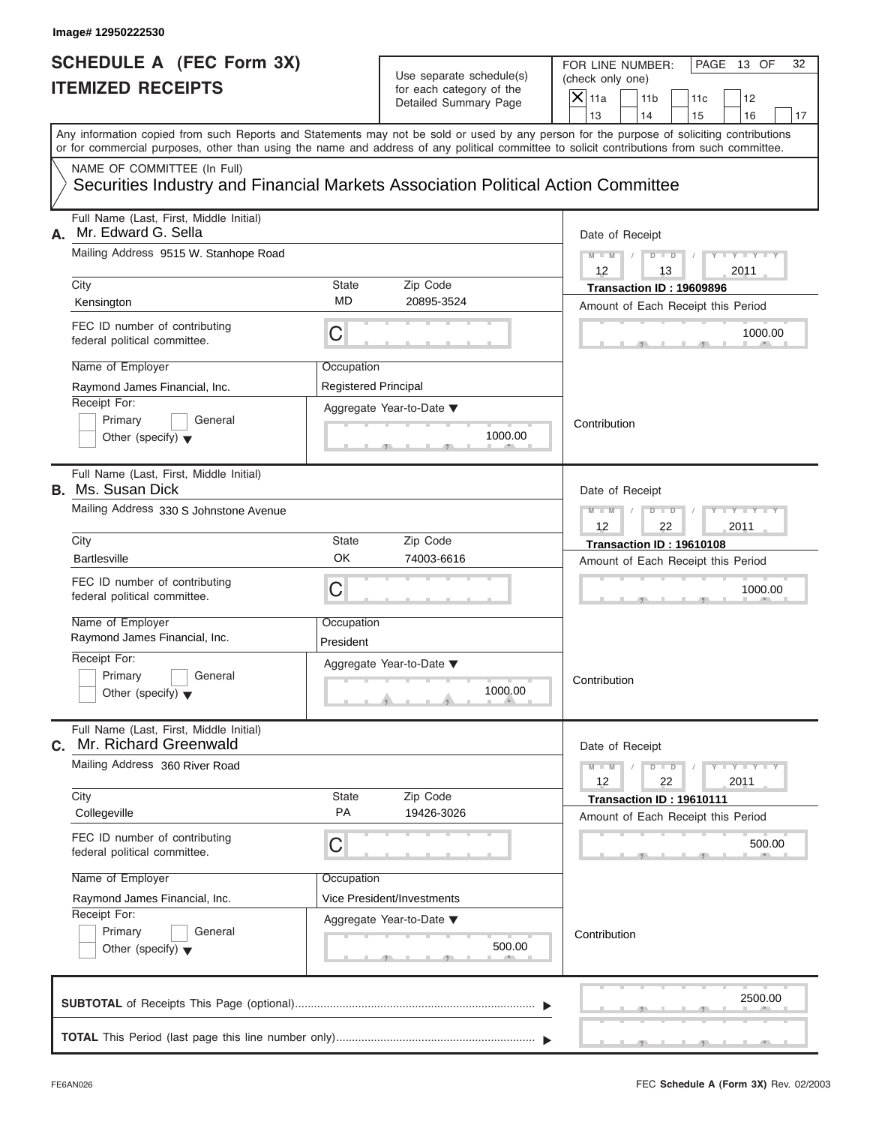# Use separate schedule(s) (check only one)<br>for each category of the  $\Box$

|    | Image# 12950222530                                                                                                                         |                                           |                                                                               |                                                                                                                                                             |
|----|--------------------------------------------------------------------------------------------------------------------------------------------|-------------------------------------------|-------------------------------------------------------------------------------|-------------------------------------------------------------------------------------------------------------------------------------------------------------|
|    | <b>SCHEDULE A (FEC Form 3X)</b><br><b>ITEMIZED RECEIPTS</b>                                                                                |                                           | Use separate schedule(s)<br>for each category of the<br>Detailed Summary Page | FOR LINE NUMBER:<br>PAGE 13 OF<br>32<br>(check only one)<br>$\mathsf{X}$ 11a<br>11 <sub>b</sub><br>11c<br>12<br>13<br>14                                    |
|    | or for commercial purposes, other than using the name and address of any political committee to solicit contributions from such committee. |                                           |                                                                               | 15<br>16<br>17<br>Any information copied from such Reports and Statements may not be sold or used by any person for the purpose of soliciting contributions |
|    | NAME OF COMMITTEE (In Full)<br>Securities Industry and Financial Markets Association Political Action Committee                            |                                           |                                                                               |                                                                                                                                                             |
| А. | Full Name (Last, First, Middle Initial)<br>Mr. Edward G. Sella<br>Mailing Address 9515 W. Stanhope Road<br>City                            | State                                     | Zip Code                                                                      | Date of Receipt<br>$D$ $\Box$ $D$<br>$Y - Y - T$<br>$M - M$<br>12<br>2011<br>13<br>Transaction ID: 19609896                                                 |
|    | Kensington                                                                                                                                 | MD                                        | 20895-3524                                                                    | Amount of Each Receipt this Period                                                                                                                          |
|    | FEC ID number of contributing<br>federal political committee.                                                                              | С                                         |                                                                               | 1000.00                                                                                                                                                     |
|    | Name of Employer<br>Raymond James Financial, Inc.<br>Receipt For:<br>Primary<br>General<br>Other (specify) $\blacktriangledown$            | Occupation<br><b>Registered Principal</b> | Aggregate Year-to-Date ▼<br>1000.00                                           | Contribution                                                                                                                                                |
|    | Full Name (Last, First, Middle Initial)<br><b>B.</b> Ms. Susan Dick<br>Mailing Address 330 S Johnstone Avenue                              |                                           |                                                                               | Date of Receipt<br>$M - M$<br>$D$ $D$<br>Y Y I<br>2011<br>12<br>22                                                                                          |
|    | City                                                                                                                                       | State                                     | Zip Code                                                                      | Transaction ID: 19610108                                                                                                                                    |
|    | <b>Bartlesville</b>                                                                                                                        | OK                                        | 74003-6616                                                                    | Amount of Each Receipt this Period                                                                                                                          |
|    | FEC ID number of contributing<br>federal political committee.                                                                              | С                                         |                                                                               | 1000.00                                                                                                                                                     |
|    | Name of Employer<br>Raymond James Financial, Inc.                                                                                          | Occupation<br>President                   |                                                                               |                                                                                                                                                             |
|    | Receipt For:<br>Primary<br>General<br>Other (specify) $\blacktriangledown$                                                                 |                                           | Aggregate Year-to-Date ▼<br>1000.00                                           | Contribution                                                                                                                                                |
| С. | Full Name (Last, First, Middle Initial)<br>Mr. Richard Greenwald                                                                           |                                           |                                                                               | Date of Receipt                                                                                                                                             |
|    | Mailing Address 360 River Road<br>City                                                                                                     | State                                     | Zip Code                                                                      | $M - M$<br>$Y = Y$<br>$D$ $D$<br>12<br>22<br>2011                                                                                                           |
|    | Collegeville                                                                                                                               | PA                                        | 19426-3026                                                                    | Transaction ID: 19610111<br>Amount of Each Receipt this Period                                                                                              |
|    | FEC ID number of contributing<br>federal political committee.                                                                              | С                                         |                                                                               | 500.00                                                                                                                                                      |
|    | Name of Employer                                                                                                                           | Occupation                                |                                                                               |                                                                                                                                                             |
|    | Raymond James Financial, Inc.                                                                                                              |                                           | Vice President/Investments                                                    |                                                                                                                                                             |
|    | Receipt For:<br>Primary<br>General<br>Other (specify) $\blacktriangledown$                                                                 |                                           | Aggregate Year-to-Date ▼<br>500.00                                            | Contribution                                                                                                                                                |
|    |                                                                                                                                            |                                           |                                                                               | 2500.00                                                                                                                                                     |
|    |                                                                                                                                            |                                           |                                                                               |                                                                                                                                                             |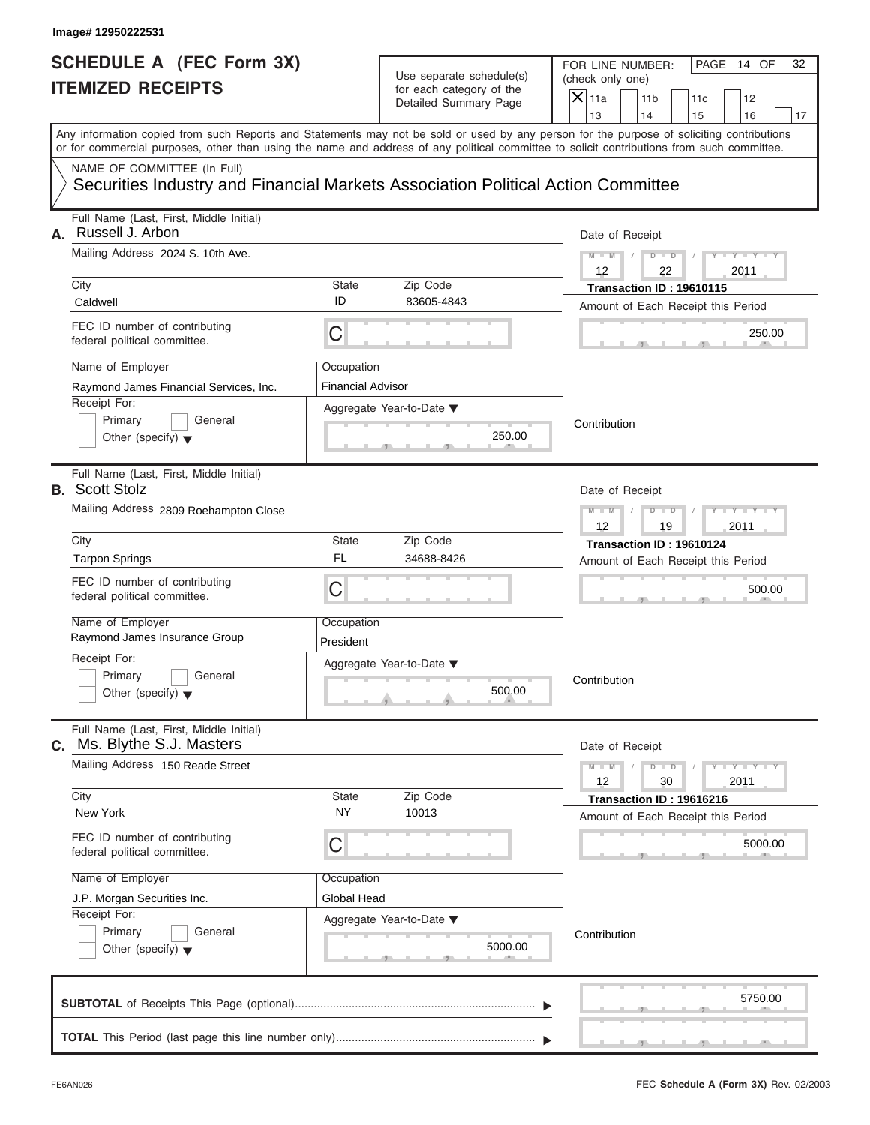## Use separate schedule(s) (check only one)<br>for each category of the  $\Box$

| Image# 12950222531                                                                                                                       |                                        |                                                                               |                                                                                                                                                                                                                                                                                                                       |
|------------------------------------------------------------------------------------------------------------------------------------------|----------------------------------------|-------------------------------------------------------------------------------|-----------------------------------------------------------------------------------------------------------------------------------------------------------------------------------------------------------------------------------------------------------------------------------------------------------------------|
| <b>SCHEDULE A (FEC Form 3X)</b><br><b>ITEMIZED RECEIPTS</b>                                                                              |                                        | Use separate schedule(s)<br>for each category of the<br>Detailed Summary Page | FOR LINE NUMBER:<br>PAGE 14 OF<br>32<br>(check only one)<br>$\mathsf{X}$ 11a<br>11 <sub>b</sub><br>11c<br>12                                                                                                                                                                                                          |
|                                                                                                                                          |                                        |                                                                               | 13<br>14<br>15<br>16<br>17<br>Any information copied from such Reports and Statements may not be sold or used by any person for the purpose of soliciting contributions<br>or for commercial purposes, other than using the name and address of any political committee to solicit contributions from such committee. |
| NAME OF COMMITTEE (In Full)<br>Securities Industry and Financial Markets Association Political Action Committee                          |                                        |                                                                               |                                                                                                                                                                                                                                                                                                                       |
| Full Name (Last, First, Middle Initial)<br>Russell J. Arbon<br>А.<br>Mailing Address 2024 S. 10th Ave.                                   |                                        |                                                                               | Date of Receipt<br>$M - M$<br>$D$ $D$<br>$Y - Y - Y$                                                                                                                                                                                                                                                                  |
| City<br>Caldwell                                                                                                                         | State<br>ID                            | Zip Code<br>83605-4843                                                        | 12<br>22<br>2011<br>Transaction ID: 19610115                                                                                                                                                                                                                                                                          |
| FEC ID number of contributing<br>federal political committee.                                                                            | C                                      |                                                                               | Amount of Each Receipt this Period<br>250.00                                                                                                                                                                                                                                                                          |
| Name of Employer<br>Raymond James Financial Services, Inc.<br>Receipt For:<br>Primary<br>General<br>Other (specify) $\blacktriangledown$ | Occupation<br><b>Financial Advisor</b> | Aggregate Year-to-Date ▼<br>250.00                                            | Contribution                                                                                                                                                                                                                                                                                                          |
| Full Name (Last, First, Middle Initial)<br><b>B.</b> Scott Stolz<br>Mailing Address 2809 Roehampton Close                                |                                        |                                                                               | Date of Receipt<br>$D - I - D$<br>Y T Y T Y T<br>$M - M$<br>2011<br>12<br>19                                                                                                                                                                                                                                          |
| City<br><b>Tarpon Springs</b><br>FEC ID number of contributing<br>federal political committee.<br>Name of Employer                       | State<br><b>FL</b><br>C<br>Occupation  | Zip Code<br>34688-8426                                                        | Transaction ID: 19610124<br>Amount of Each Receipt this Period<br>500.00                                                                                                                                                                                                                                              |
| Raymond James Insurance Group<br>Receipt For:<br>Primary<br>General<br>Other (specify) $\blacktriangledown$                              | President                              | Aggregate Year-to-Date ▼<br>500.00                                            | Contribution                                                                                                                                                                                                                                                                                                          |
| Full Name (Last, First, Middle Initial)<br>C. Ms. Blythe S.J. Masters<br>Mailing Address 150 Reade Street                                |                                        |                                                                               | Date of Receipt<br>$M - M$<br>$D$ $\Box$ $D$<br>$\mathbf{I} = \mathbf{Y} + \mathbf{I} - \mathbf{Y} + \mathbf{I}$                                                                                                                                                                                                      |
| City<br>New York                                                                                                                         | State<br><b>NY</b>                     | Zip Code<br>10013                                                             | 12<br>2011<br>30<br>Transaction ID: 19616216<br>Amount of Each Receipt this Period                                                                                                                                                                                                                                    |
| FEC ID number of contributing<br>federal political committee.                                                                            | С                                      |                                                                               | 5000.00                                                                                                                                                                                                                                                                                                               |
| Name of Employer<br>J.P. Morgan Securities Inc.<br>Receipt For:<br>Primary<br>General<br>Other (specify) $\blacktriangledown$            | Occupation<br>Global Head              | Aggregate Year-to-Date ▼<br>5000.00                                           | Contribution                                                                                                                                                                                                                                                                                                          |
|                                                                                                                                          |                                        |                                                                               | 5750.00                                                                                                                                                                                                                                                                                                               |
|                                                                                                                                          |                                        |                                                                               |                                                                                                                                                                                                                                                                                                                       |

FEC **Schedule A (Form 3X)** Rev. 02/2003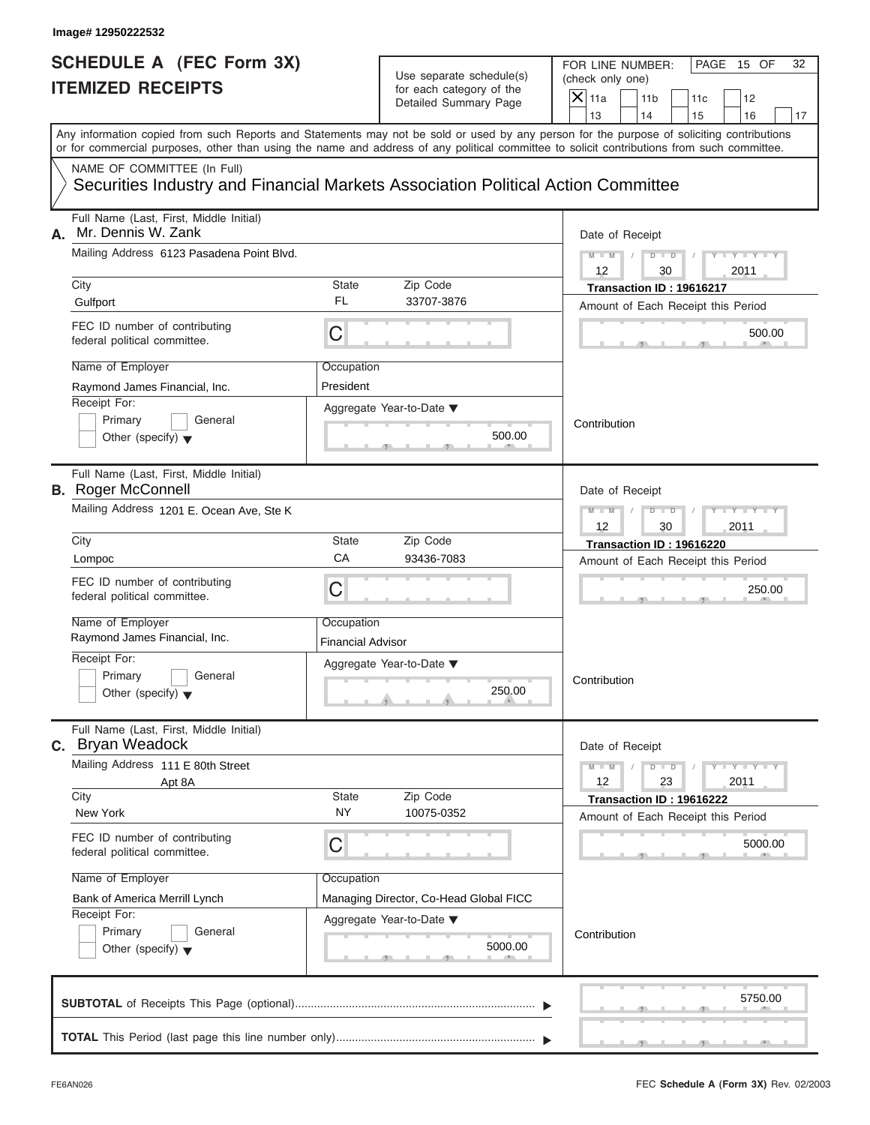# Use separate schedule(s) (check only one)<br>for each category of the  $\Box$

|    | Image# 12950222532                                                                                                                         |                                        |                                                                               |                                                                                                                                            |
|----|--------------------------------------------------------------------------------------------------------------------------------------------|----------------------------------------|-------------------------------------------------------------------------------|--------------------------------------------------------------------------------------------------------------------------------------------|
|    | <b>SCHEDULE A (FEC Form 3X)</b><br><b>ITEMIZED RECEIPTS</b>                                                                                |                                        | Use separate schedule(s)<br>for each category of the<br>Detailed Summary Page | FOR LINE NUMBER:<br>PAGE 15 OF<br>32<br>(check only one)<br>$\mathsf{X}$ 11a<br>11 <sub>b</sub><br>11c<br>12<br>13<br>14<br>15<br>16<br>17 |
|    | or for commercial purposes, other than using the name and address of any political committee to solicit contributions from such committee. |                                        |                                                                               | Any information copied from such Reports and Statements may not be sold or used by any person for the purpose of soliciting contributions  |
|    | NAME OF COMMITTEE (In Full)<br>Securities Industry and Financial Markets Association Political Action Committee                            |                                        |                                                                               |                                                                                                                                            |
| А. | Full Name (Last, First, Middle Initial)<br>Mr. Dennis W. Zank<br>Mailing Address 6123 Pasadena Point Blvd.                                 |                                        |                                                                               | Date of Receipt<br>$D$ $\Box$ $D$<br>Y TYT<br>$M - M$<br>12<br>2011<br>30                                                                  |
|    | City                                                                                                                                       | State<br><b>FL</b>                     | Zip Code                                                                      | Transaction ID: 19616217                                                                                                                   |
|    | Gulfport<br>FEC ID number of contributing<br>federal political committee.                                                                  | C                                      | 33707-3876                                                                    | Amount of Each Receipt this Period<br>500.00                                                                                               |
|    | Name of Employer<br>Raymond James Financial, Inc.<br>Receipt For:<br>Primary<br>General<br>Other (specify) $\blacktriangledown$            | Occupation<br>President                | Aggregate Year-to-Date $\blacktriangledown$<br>500.00                         | Contribution                                                                                                                               |
|    | Full Name (Last, First, Middle Initial)<br><b>B.</b> Roger McConnell<br>Mailing Address 1201 E. Ocean Ave, Ste K                           |                                        |                                                                               | Date of Receipt<br>Y TYT<br>$M - M$<br>$D$ $D$<br>2011<br>12<br>30                                                                         |
|    | City                                                                                                                                       | State                                  | Zip Code                                                                      | Transaction ID: 19616220                                                                                                                   |
|    | Lompoc                                                                                                                                     | CA                                     | 93436-7083                                                                    | Amount of Each Receipt this Period                                                                                                         |
|    | FEC ID number of contributing<br>federal political committee.                                                                              | C                                      |                                                                               | 250.00                                                                                                                                     |
|    | Name of Employer<br>Raymond James Financial, Inc.                                                                                          | Occupation<br><b>Financial Advisor</b> |                                                                               |                                                                                                                                            |
|    | Receipt For:<br>Primary<br>General<br>Other (specify) $\blacktriangledown$                                                                 |                                        | Aggregate Year-to-Date ▼<br>250.00                                            | Contribution                                                                                                                               |
|    | Full Name (Last, First, Middle Initial)<br>C. Bryan Weadock                                                                                |                                        |                                                                               | Date of Receipt                                                                                                                            |
|    | Mailing Address 111 E 80th Street<br>Apt 8A<br>City                                                                                        | State                                  | Zip Code                                                                      | $M - M$<br>$Y = Y$<br>$D - D$<br>12<br>23<br>2011<br>Transaction ID: 19616222                                                              |
|    | New York                                                                                                                                   | <b>NY</b>                              | 10075-0352                                                                    | Amount of Each Receipt this Period                                                                                                         |
|    | FEC ID number of contributing<br>federal political committee.                                                                              | С                                      |                                                                               | 5000.00                                                                                                                                    |
|    | Name of Employer                                                                                                                           | Occupation                             |                                                                               |                                                                                                                                            |
|    | Bank of America Merrill Lynch                                                                                                              |                                        | Managing Director, Co-Head Global FICC                                        |                                                                                                                                            |
|    | Receipt For:<br>Primary<br>General<br>Other (specify) $\blacktriangledown$                                                                 |                                        | Aggregate Year-to-Date ▼<br>5000.00                                           | Contribution                                                                                                                               |
|    |                                                                                                                                            |                                        |                                                                               | 5750.00                                                                                                                                    |
|    |                                                                                                                                            |                                        |                                                                               |                                                                                                                                            |

S S S , , .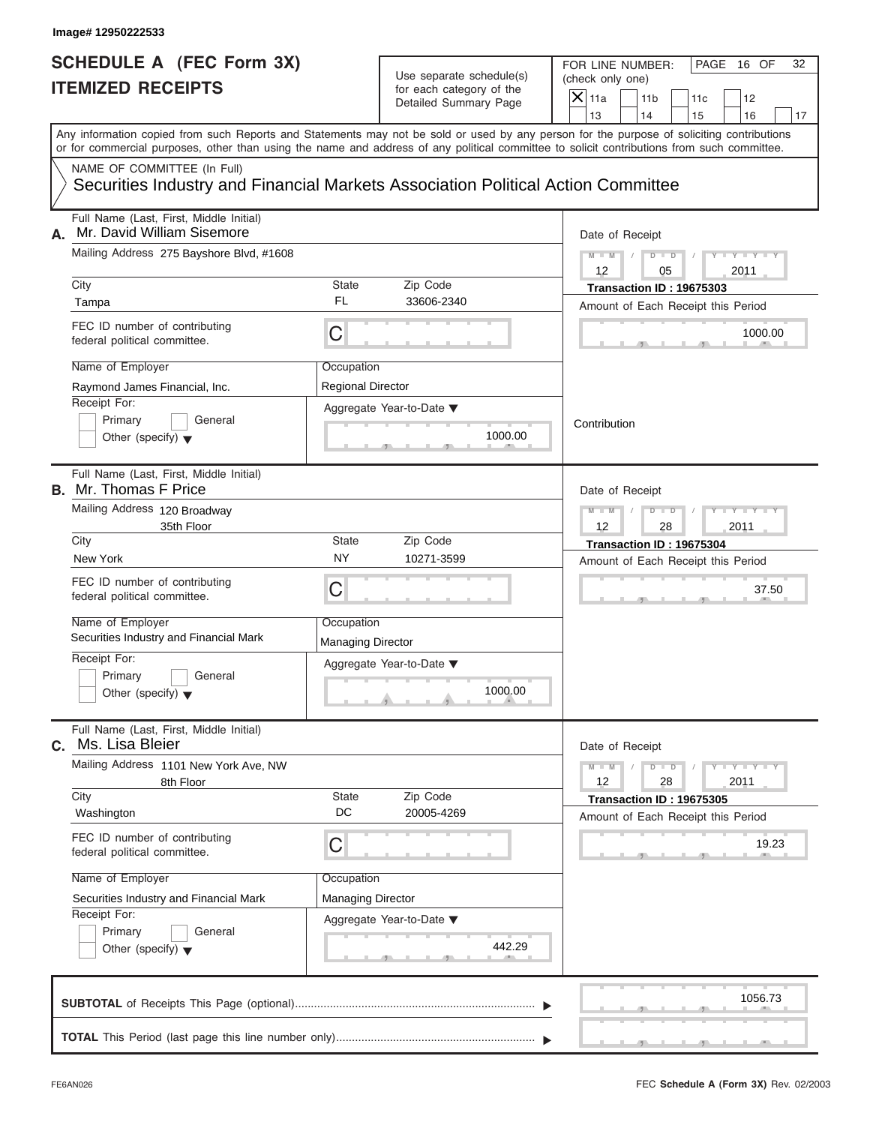|    | Image# 12950222533                                                                                                                         |                                        |                                                                               |                                                                                                                                            |
|----|--------------------------------------------------------------------------------------------------------------------------------------------|----------------------------------------|-------------------------------------------------------------------------------|--------------------------------------------------------------------------------------------------------------------------------------------|
|    | <b>SCHEDULE A (FEC Form 3X)</b><br><b>ITEMIZED RECEIPTS</b>                                                                                |                                        | Use separate schedule(s)<br>for each category of the<br>Detailed Summary Page | FOR LINE NUMBER:<br>PAGE 16 OF<br>32<br>(check only one)<br>$\mathsf{X}$ 11a<br>11 <sub>b</sub><br>11c<br>12<br>13<br>14<br>15<br>16<br>17 |
|    | or for commercial purposes, other than using the name and address of any political committee to solicit contributions from such committee. |                                        |                                                                               | Any information copied from such Reports and Statements may not be sold or used by any person for the purpose of soliciting contributions  |
|    | NAME OF COMMITTEE (In Full)<br>Securities Industry and Financial Markets Association Political Action Committee                            |                                        |                                                                               |                                                                                                                                            |
| А. | Full Name (Last, First, Middle Initial)<br>Mr. David William Sisemore                                                                      |                                        |                                                                               | Date of Receipt                                                                                                                            |
|    | Mailing Address 275 Bayshore Blvd, #1608                                                                                                   |                                        |                                                                               | $M - M$<br>$D$ $\Box$ $D$<br>$Y - Y - Y$<br>12<br>05<br>2011                                                                               |
|    | City<br>Tampa                                                                                                                              | State<br>FL                            | Zip Code<br>33606-2340                                                        | Transaction ID: 19675303<br>Amount of Each Receipt this Period                                                                             |
|    | FEC ID number of contributing<br>federal political committee.                                                                              | C                                      |                                                                               | 1000.00                                                                                                                                    |
|    | Name of Employer<br>Raymond James Financial, Inc.<br>Receipt For:<br>Primary<br>General<br>Other (specify) $\blacktriangledown$            | Occupation<br>Regional Director        | Aggregate Year-to-Date ▼<br>1000.00                                           | Contribution                                                                                                                               |
|    | Full Name (Last, First, Middle Initial)<br><b>B.</b> Mr. Thomas F Price<br>Mailing Address 120 Broadway<br>35th Floor                      |                                        |                                                                               | Date of Receipt<br>Y T Y T Y T<br>$M - M$<br>$D$ $D$<br>2011<br>12<br>28                                                                   |
|    | City<br>New York                                                                                                                           | State<br><b>NY</b>                     | Zip Code<br>10271-3599                                                        | Transaction ID: 19675304<br>Amount of Each Receipt this Period                                                                             |
|    | FEC ID number of contributing<br>federal political committee.                                                                              | C                                      |                                                                               | 37.50                                                                                                                                      |
|    | Name of Employer<br>Securities Industry and Financial Mark                                                                                 | Occupation<br><b>Managing Director</b> |                                                                               |                                                                                                                                            |
|    | Receipt For:<br>Primary<br>General<br>Other (specify) $\blacktriangledown$                                                                 |                                        | Aggregate Year-to-Date ▼<br>1000.00                                           |                                                                                                                                            |
| С. | Full Name (Last, First, Middle Initial)<br>Ms. Lisa Bleier                                                                                 |                                        |                                                                               | Date of Receipt                                                                                                                            |
|    | Mailing Address 1101 New York Ave, NW<br>8th Floor                                                                                         |                                        |                                                                               | $M - M$<br>$\mathbf{I} = \mathbf{Y} + \mathbf{I} - \mathbf{Y}$<br>$D$ $D$<br>12<br>2011<br>28                                              |
|    | City<br>Washington                                                                                                                         | State<br>DC                            | Zip Code<br>20005-4269                                                        | Transaction ID: 19675305<br>Amount of Each Receipt this Period                                                                             |
|    | FEC ID number of contributing<br>federal political committee.                                                                              | С                                      |                                                                               | 19.23                                                                                                                                      |
|    | Name of Employer                                                                                                                           | Occupation                             |                                                                               |                                                                                                                                            |
|    | Securities Industry and Financial Mark                                                                                                     | <b>Managing Director</b>               |                                                                               |                                                                                                                                            |
|    | Receipt For:<br>Primary<br>General<br>Other (specify) $\blacktriangledown$                                                                 |                                        | Aggregate Year-to-Date ▼<br>442.29                                            |                                                                                                                                            |
|    |                                                                                                                                            |                                        |                                                                               | 1056.73                                                                                                                                    |
|    |                                                                                                                                            |                                        |                                                                               |                                                                                                                                            |

S S S , , .

a.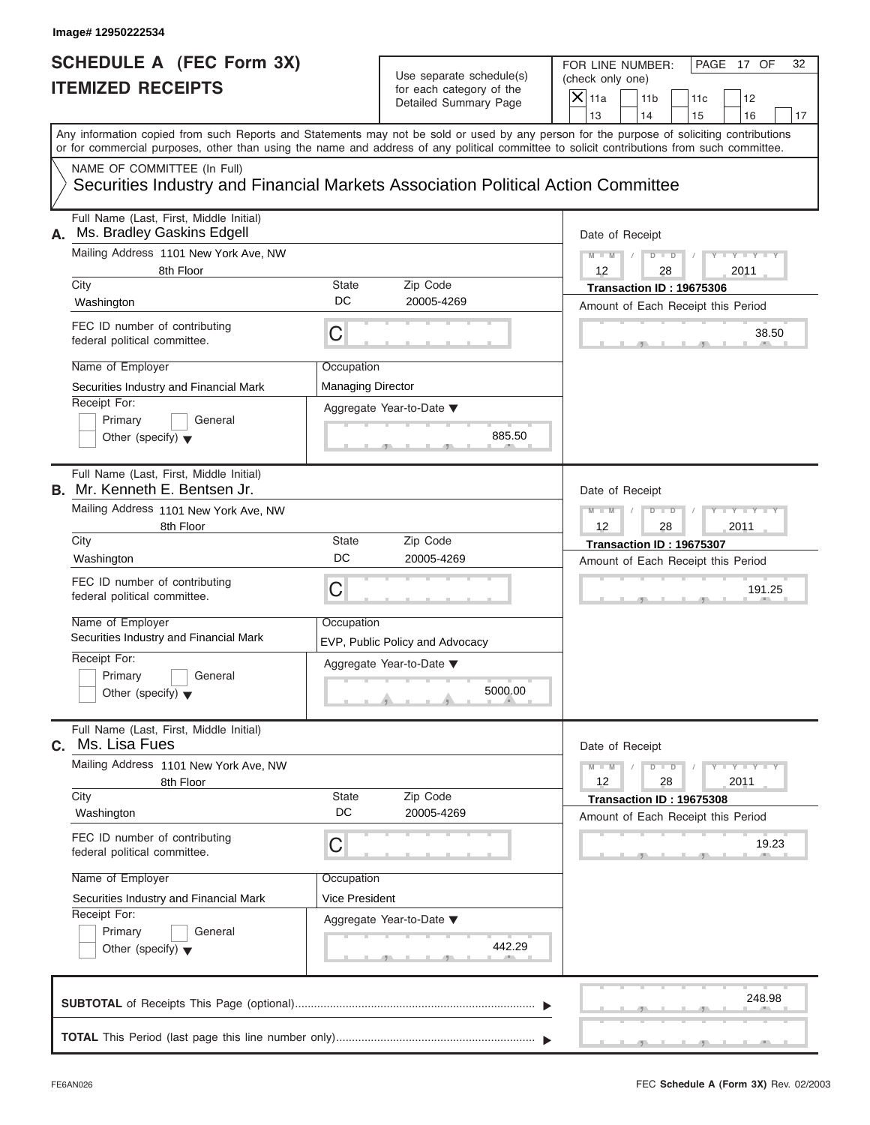|                                                                                                                                                                                                                                                                                                                                                        | Image# 12950222534                                                                                              |                          |                                                      |                                                                      |                                                                |     |                             |    |
|--------------------------------------------------------------------------------------------------------------------------------------------------------------------------------------------------------------------------------------------------------------------------------------------------------------------------------------------------------|-----------------------------------------------------------------------------------------------------------------|--------------------------|------------------------------------------------------|----------------------------------------------------------------------|----------------------------------------------------------------|-----|-----------------------------|----|
| <b>SCHEDULE A (FEC Form 3X)</b><br><b>ITEMIZED RECEIPTS</b><br>Any information copied from such Reports and Statements may not be sold or used by any person for the purpose of soliciting contributions<br>or for commercial purposes, other than using the name and address of any political committee to solicit contributions from such committee. |                                                                                                                 |                          | Use separate schedule(s)<br>for each category of the | FOR LINE NUMBER:<br>(check only one)<br>$\mathsf{X} _{\mathsf{11a}}$ | 11 <sub>b</sub>                                                | 11c | PAGE 17 OF<br>12            | 32 |
|                                                                                                                                                                                                                                                                                                                                                        |                                                                                                                 |                          | Detailed Summary Page                                | 13                                                                   | 14                                                             | 15  | 16                          | 17 |
|                                                                                                                                                                                                                                                                                                                                                        |                                                                                                                 |                          |                                                      |                                                                      |                                                                |     |                             |    |
|                                                                                                                                                                                                                                                                                                                                                        | NAME OF COMMITTEE (In Full)<br>Securities Industry and Financial Markets Association Political Action Committee |                          |                                                      |                                                                      |                                                                |     |                             |    |
| А.                                                                                                                                                                                                                                                                                                                                                     | Full Name (Last, First, Middle Initial)<br>Ms. Bradley Gaskins Edgell                                           |                          |                                                      | Date of Receipt                                                      |                                                                |     |                             |    |
|                                                                                                                                                                                                                                                                                                                                                        | Mailing Address 1101 New York Ave, NW                                                                           |                          |                                                      | $M - M$                                                              | $D$ $D$                                                        |     | $Y - Y - Y - Y - Y$         |    |
|                                                                                                                                                                                                                                                                                                                                                        | 8th Floor<br>City                                                                                               | <b>State</b>             |                                                      | $12 \overline{ }$                                                    | 28                                                             |     | 2011                        |    |
|                                                                                                                                                                                                                                                                                                                                                        | Washington                                                                                                      | DC                       | Zip Code<br>20005-4269                               |                                                                      | Transaction ID: 19675306<br>Amount of Each Receipt this Period |     |                             |    |
|                                                                                                                                                                                                                                                                                                                                                        | FEC ID number of contributing<br>federal political committee.                                                   | C                        |                                                      |                                                                      |                                                                |     | 38.50                       |    |
|                                                                                                                                                                                                                                                                                                                                                        | Name of Employer                                                                                                | Occupation               |                                                      |                                                                      |                                                                |     |                             |    |
|                                                                                                                                                                                                                                                                                                                                                        | Securities Industry and Financial Mark                                                                          | <b>Managing Director</b> |                                                      |                                                                      |                                                                |     |                             |    |
|                                                                                                                                                                                                                                                                                                                                                        | Receipt For:                                                                                                    |                          | Aggregate Year-to-Date ▼                             |                                                                      |                                                                |     |                             |    |
|                                                                                                                                                                                                                                                                                                                                                        | Primary<br>General<br>Other (specify) $\blacktriangledown$                                                      |                          | 885.50                                               |                                                                      |                                                                |     |                             |    |
|                                                                                                                                                                                                                                                                                                                                                        | Full Name (Last, First, Middle Initial)<br>B. Mr. Kenneth E. Bentsen Jr.                                        |                          |                                                      | Date of Receipt                                                      |                                                                |     |                             |    |
|                                                                                                                                                                                                                                                                                                                                                        | Mailing Address 1101 New York Ave, NW                                                                           |                          |                                                      |                                                                      | $D$ $\Box$ $D$                                                 |     | Y TYTTY                     |    |
|                                                                                                                                                                                                                                                                                                                                                        | 8th Floor                                                                                                       |                          |                                                      |                                                                      | 28                                                             |     | 2011                        |    |
|                                                                                                                                                                                                                                                                                                                                                        | City<br>Washington                                                                                              | <b>State</b><br>DC       | Zip Code<br>20005-4269                               | Transaction ID: 19675307<br>Amount of Each Receipt this Period       |                                                                |     |                             |    |
|                                                                                                                                                                                                                                                                                                                                                        |                                                                                                                 |                          |                                                      |                                                                      |                                                                |     |                             |    |
|                                                                                                                                                                                                                                                                                                                                                        | FEC ID number of contributing<br>federal political committee.                                                   | C                        |                                                      |                                                                      |                                                                |     | 191.25                      |    |
|                                                                                                                                                                                                                                                                                                                                                        | Name of Employer                                                                                                | Occupation               |                                                      |                                                                      |                                                                |     |                             |    |
|                                                                                                                                                                                                                                                                                                                                                        | Securities Industry and Financial Mark                                                                          |                          | EVP, Public Policy and Advocacy                      |                                                                      |                                                                |     |                             |    |
|                                                                                                                                                                                                                                                                                                                                                        | Receipt For:<br>Primary<br>General                                                                              |                          | Aggregate Year-to-Date ▼                             |                                                                      |                                                                |     |                             |    |
|                                                                                                                                                                                                                                                                                                                                                        | Other (specify) $\blacktriangledown$                                                                            |                          | 5000.00                                              |                                                                      |                                                                |     |                             |    |
| С.                                                                                                                                                                                                                                                                                                                                                     | Full Name (Last, First, Middle Initial)<br>Ms. Lisa Fues                                                        |                          |                                                      | Date of Receipt                                                      |                                                                |     |                             |    |
|                                                                                                                                                                                                                                                                                                                                                        | Mailing Address 1101 New York Ave, NW<br>8th Floor                                                              |                          |                                                      | $M - M$<br>12                                                        | $D - D$<br>28                                                  |     | $Y - Y - Y - Y - I$<br>2011 |    |
|                                                                                                                                                                                                                                                                                                                                                        | City                                                                                                            | <b>State</b><br>DC       | Zip Code<br>20005-4269                               |                                                                      | Transaction ID: 19675308                                       |     |                             |    |
|                                                                                                                                                                                                                                                                                                                                                        | Washington                                                                                                      |                          |                                                      |                                                                      | Amount of Each Receipt this Period                             |     |                             |    |
|                                                                                                                                                                                                                                                                                                                                                        | FEC ID number of contributing<br>federal political committee.                                                   | С                        |                                                      |                                                                      |                                                                |     | 19.23                       |    |
|                                                                                                                                                                                                                                                                                                                                                        | Name of Employer                                                                                                | Occupation               |                                                      |                                                                      |                                                                |     |                             |    |
|                                                                                                                                                                                                                                                                                                                                                        | Securities Industry and Financial Mark                                                                          | Vice President           |                                                      |                                                                      |                                                                |     |                             |    |
|                                                                                                                                                                                                                                                                                                                                                        | Receipt For:<br>Primary<br>General                                                                              |                          | Aggregate Year-to-Date ▼                             |                                                                      |                                                                |     |                             |    |
|                                                                                                                                                                                                                                                                                                                                                        | Other (specify) $\blacktriangledown$                                                                            |                          | 442.29                                               |                                                                      |                                                                |     |                             |    |
|                                                                                                                                                                                                                                                                                                                                                        |                                                                                                                 |                          |                                                      |                                                                      |                                                                |     | 248.98                      |    |
|                                                                                                                                                                                                                                                                                                                                                        |                                                                                                                 |                          |                                                      |                                                                      |                                                                |     |                             |    |
|                                                                                                                                                                                                                                                                                                                                                        |                                                                                                                 |                          |                                                      |                                                                      |                                                                |     |                             |    |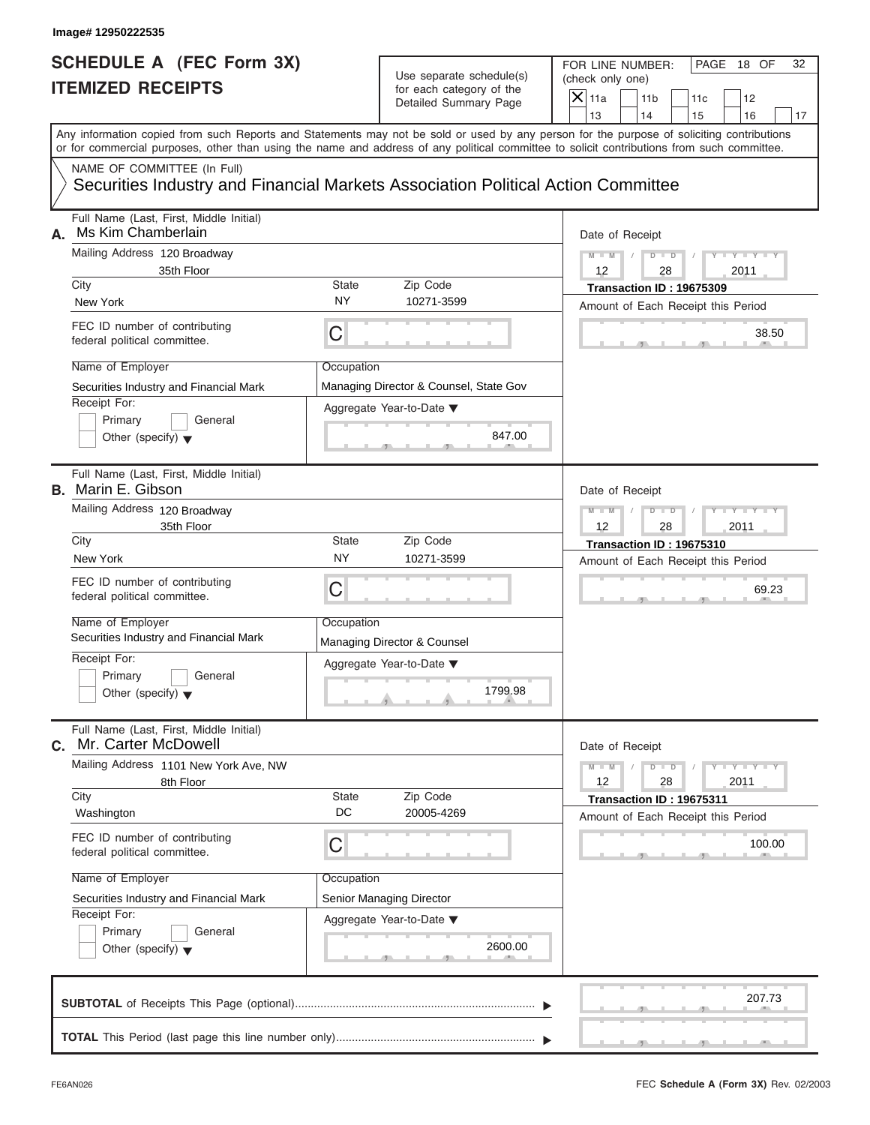#### Use separate schedule(s) for each category of the

|                                                             | Image# 12950222535                                                                                                                                                                                                                                                                      |             |                                                                               |                        |                                                                |     |                     |    |
|-------------------------------------------------------------|-----------------------------------------------------------------------------------------------------------------------------------------------------------------------------------------------------------------------------------------------------------------------------------------|-------------|-------------------------------------------------------------------------------|------------------------|----------------------------------------------------------------|-----|---------------------|----|
| <b>SCHEDULE A (FEC Form 3X)</b><br><b>ITEMIZED RECEIPTS</b> |                                                                                                                                                                                                                                                                                         |             | Use separate schedule(s)<br>for each category of the<br>Detailed Summary Page |                        | FOR LINE NUMBER:<br>(check only one)<br>11 <sub>b</sub>        | 11c | PAGE 18 OF<br>12    | 32 |
|                                                             |                                                                                                                                                                                                                                                                                         |             |                                                                               | $\mathsf{X}$ 11a<br>13 | 14                                                             | 15  | 16                  | 17 |
|                                                             | Any information copied from such Reports and Statements may not be sold or used by any person for the purpose of soliciting contributions<br>or for commercial purposes, other than using the name and address of any political committee to solicit contributions from such committee. |             |                                                                               |                        |                                                                |     |                     |    |
|                                                             | NAME OF COMMITTEE (In Full)<br>Securities Industry and Financial Markets Association Political Action Committee                                                                                                                                                                         |             |                                                                               |                        |                                                                |     |                     |    |
| А.                                                          | Full Name (Last, First, Middle Initial)<br>Ms Kim Chamberlain                                                                                                                                                                                                                           |             |                                                                               | Date of Receipt        |                                                                |     |                     |    |
|                                                             | Mailing Address 120 Broadway                                                                                                                                                                                                                                                            |             |                                                                               | $M - M$                | $D$ $\Box$ $D$                                                 |     | $Y = Y =$           |    |
|                                                             | 35th Floor<br>City                                                                                                                                                                                                                                                                      | State       | Zip Code                                                                      | 12                     | 28<br>Transaction ID: 19675309                                 |     | 2011                |    |
|                                                             | New York                                                                                                                                                                                                                                                                                | <b>NY</b>   | 10271-3599                                                                    |                        | Amount of Each Receipt this Period                             |     |                     |    |
|                                                             | FEC ID number of contributing<br>federal political committee.                                                                                                                                                                                                                           | С           |                                                                               |                        |                                                                |     | 38.50               |    |
|                                                             | Name of Employer                                                                                                                                                                                                                                                                        | Occupation  |                                                                               |                        |                                                                |     |                     |    |
|                                                             | Securities Industry and Financial Mark                                                                                                                                                                                                                                                  |             | Managing Director & Counsel, State Gov                                        |                        |                                                                |     |                     |    |
|                                                             | Receipt For:<br>Primary<br>General                                                                                                                                                                                                                                                      |             | Aggregate Year-to-Date ▼                                                      |                        |                                                                |     |                     |    |
|                                                             | Other (specify) $\blacktriangledown$                                                                                                                                                                                                                                                    |             | 847.00                                                                        |                        |                                                                |     |                     |    |
|                                                             | Full Name (Last, First, Middle Initial)<br><b>B.</b> Marin E. Gibson                                                                                                                                                                                                                    |             |                                                                               | Date of Receipt        |                                                                |     |                     |    |
|                                                             | Mailing Address 120 Broadway                                                                                                                                                                                                                                                            |             |                                                                               | $M - M$                | $D$ $D$                                                        |     | $T - Y = T - Y = T$ |    |
|                                                             | 35th Floor<br>City                                                                                                                                                                                                                                                                      | State       | Zip Code                                                                      | 12                     | 28                                                             |     | 2011                |    |
|                                                             | New York                                                                                                                                                                                                                                                                                | <b>NY</b>   | 10271-3599                                                                    |                        | Transaction ID: 19675310<br>Amount of Each Receipt this Period |     |                     |    |
|                                                             | FEC ID number of contributing<br>federal political committee.                                                                                                                                                                                                                           | С           |                                                                               |                        |                                                                |     | 69.23               |    |
|                                                             | Name of Employer<br>Securities Industry and Financial Mark                                                                                                                                                                                                                              | Occupation  | Managing Director & Counsel                                                   |                        |                                                                |     |                     |    |
|                                                             | Receipt For:                                                                                                                                                                                                                                                                            |             | Aggregate Year-to-Date ▼                                                      |                        |                                                                |     |                     |    |
|                                                             | Primary<br>General<br>Other (specify) $\blacktriangledown$                                                                                                                                                                                                                              |             | 1799.98                                                                       |                        |                                                                |     |                     |    |
| С.                                                          | Full Name (Last, First, Middle Initial)<br>Mr. Carter McDowell                                                                                                                                                                                                                          |             |                                                                               | Date of Receipt        |                                                                |     |                     |    |
|                                                             | Mailing Address 1101 New York Ave, NW<br>8th Floor                                                                                                                                                                                                                                      |             |                                                                               | $M - M$<br>12          | $D - D$<br>28                                                  |     | $Y = Y$<br>2011     |    |
|                                                             | City<br>Washington                                                                                                                                                                                                                                                                      | State<br>DC | Zip Code<br>20005-4269                                                        |                        | Transaction ID: 19675311<br>Amount of Each Receipt this Period |     |                     |    |
|                                                             | FEC ID number of contributing<br>federal political committee.                                                                                                                                                                                                                           | С           |                                                                               |                        |                                                                |     | 100.00              |    |
|                                                             | Name of Employer                                                                                                                                                                                                                                                                        | Occupation  |                                                                               |                        |                                                                |     |                     |    |
|                                                             | Securities Industry and Financial Mark                                                                                                                                                                                                                                                  |             | Senior Managing Director                                                      |                        |                                                                |     |                     |    |
|                                                             | Receipt For:<br>Primary<br>General                                                                                                                                                                                                                                                      |             | Aggregate Year-to-Date ▼                                                      |                        |                                                                |     |                     |    |
|                                                             | Other (specify) $\blacktriangledown$                                                                                                                                                                                                                                                    |             | 2600.00                                                                       |                        |                                                                |     |                     |    |
|                                                             |                                                                                                                                                                                                                                                                                         |             |                                                                               |                        |                                                                |     | 207.73              |    |
|                                                             |                                                                                                                                                                                                                                                                                         |             |                                                                               |                        |                                                                |     |                     |    |

FEC **Schedule A (Form 3X)** Rev. 02/2003

S S S , , .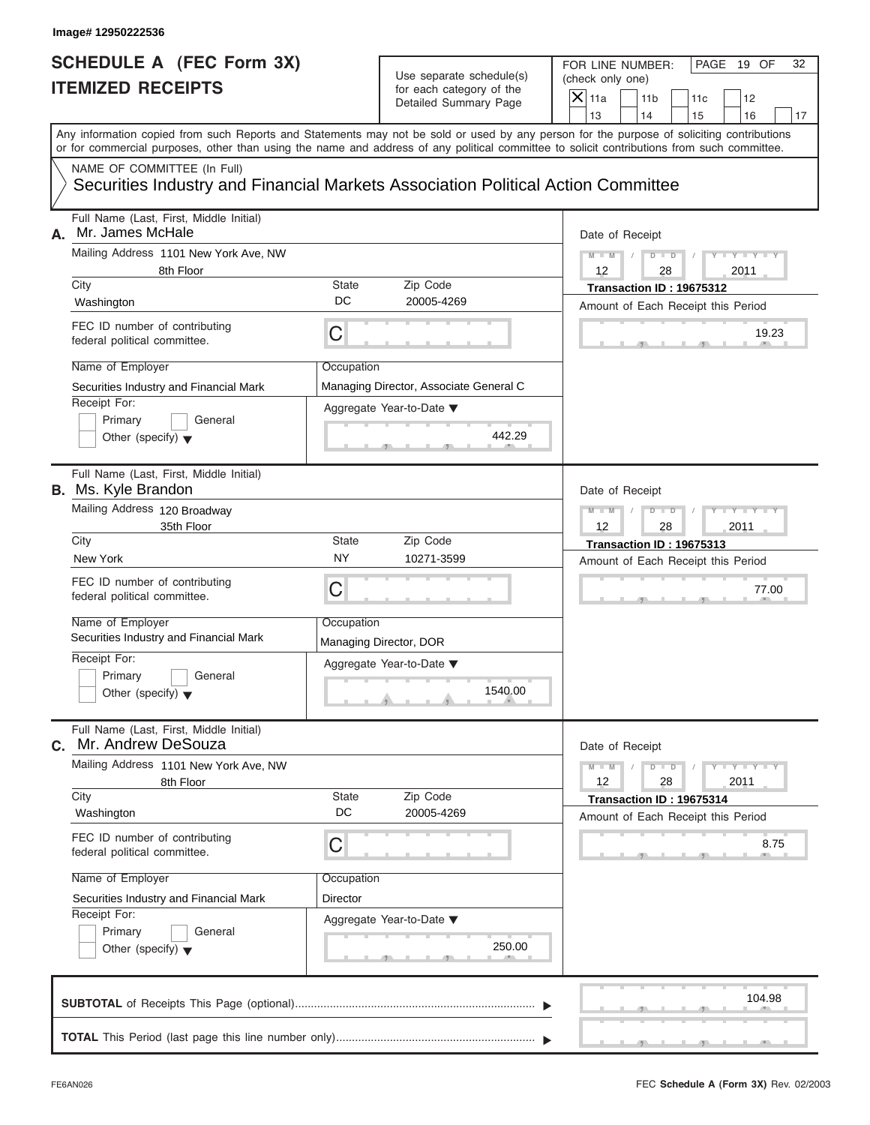| Image# 12950222536                                                    |                                                                                                                                                                                                                                                                                         |                                                                               |                                                                             |                               |
|-----------------------------------------------------------------------|-----------------------------------------------------------------------------------------------------------------------------------------------------------------------------------------------------------------------------------------------------------------------------------------|-------------------------------------------------------------------------------|-----------------------------------------------------------------------------|-------------------------------|
| <b>SCHEDULE A (FEC Form 3X)</b><br><b>ITEMIZED RECEIPTS</b>           |                                                                                                                                                                                                                                                                                         | Use separate schedule(s)<br>for each category of the<br>Detailed Summary Page | FOR LINE NUMBER:<br>(check only one)<br>$\mathsf{X}$ 11a<br>11 <sub>b</sub> | PAGE 19 OF<br>32<br>11c<br>12 |
|                                                                       | Any information copied from such Reports and Statements may not be sold or used by any person for the purpose of soliciting contributions<br>or for commercial purposes, other than using the name and address of any political committee to solicit contributions from such committee. |                                                                               | 13<br>14                                                                    | 15<br>16<br>17                |
| NAME OF COMMITTEE (In Full)                                           | Securities Industry and Financial Markets Association Political Action Committee                                                                                                                                                                                                        |                                                                               |                                                                             |                               |
| Full Name (Last, First, Middle Initial)<br>Mr. James McHale<br>А.     |                                                                                                                                                                                                                                                                                         |                                                                               | Date of Receipt                                                             |                               |
| Mailing Address 1101 New York Ave, NW<br>8th Floor                    |                                                                                                                                                                                                                                                                                         |                                                                               | $M - M$<br>$D$ $\Box$ $D$<br>12<br>28                                       | $Y - Y - Y$<br>2011           |
| City                                                                  | State                                                                                                                                                                                                                                                                                   | Zip Code                                                                      | Transaction ID: 19675312                                                    |                               |
| Washington                                                            | DC                                                                                                                                                                                                                                                                                      | 20005-4269                                                                    | Amount of Each Receipt this Period                                          |                               |
| FEC ID number of contributing<br>federal political committee.         | C                                                                                                                                                                                                                                                                                       |                                                                               |                                                                             | 19.23                         |
| Name of Employer                                                      | Occupation                                                                                                                                                                                                                                                                              |                                                                               |                                                                             |                               |
| Securities Industry and Financial Mark                                |                                                                                                                                                                                                                                                                                         | Managing Director, Associate General C                                        |                                                                             |                               |
| Receipt For:<br>Primary<br>Other (specify) $\blacktriangledown$       | General                                                                                                                                                                                                                                                                                 | Aggregate Year-to-Date ▼<br>442.29                                            |                                                                             |                               |
| Full Name (Last, First, Middle Initial)<br><b>B.</b> Ms. Kyle Brandon |                                                                                                                                                                                                                                                                                         |                                                                               | Date of Receipt                                                             |                               |
| Mailing Address 120 Broadway                                          |                                                                                                                                                                                                                                                                                         |                                                                               | $M - M$<br>$D$ $D$                                                          | Y T Y T Y T                   |
| 35th Floor<br>City                                                    | State                                                                                                                                                                                                                                                                                   | Zip Code                                                                      | 12<br>28<br>Transaction ID: 19675313                                        | 2011                          |
| New York                                                              | <b>NY</b>                                                                                                                                                                                                                                                                               | 10271-3599                                                                    | Amount of Each Receipt this Period                                          |                               |
| FEC ID number of contributing<br>federal political committee.         | C                                                                                                                                                                                                                                                                                       |                                                                               |                                                                             | 77.00                         |
| Name of Employer<br>Securities Industry and Financial Mark            | Occupation                                                                                                                                                                                                                                                                              | Managing Director, DOR                                                        |                                                                             |                               |
| Receipt For:<br>Primary<br>Other (specify) $\blacktriangledown$       | General                                                                                                                                                                                                                                                                                 | Aggregate Year-to-Date ▼<br>1540.00                                           |                                                                             |                               |
| Full Name (Last, First, Middle Initial)<br>Mr. Andrew DeSouza<br>С.   |                                                                                                                                                                                                                                                                                         |                                                                               | Date of Receipt                                                             |                               |
| Mailing Address 1101 New York Ave, NW<br>8th Floor                    |                                                                                                                                                                                                                                                                                         |                                                                               | $M - M$<br>$D$ $D$<br>12<br>28                                              | $Y + Y + Y + Y$<br>2011       |
| City<br>Washington                                                    | <b>State</b><br>DC                                                                                                                                                                                                                                                                      | Zip Code<br>20005-4269                                                        | Transaction ID: 19675314<br>Amount of Each Receipt this Period              |                               |
| FEC ID number of contributing<br>federal political committee.         | С                                                                                                                                                                                                                                                                                       |                                                                               |                                                                             | 8.75                          |
| Name of Employer                                                      | Occupation                                                                                                                                                                                                                                                                              |                                                                               |                                                                             |                               |
| Securities Industry and Financial Mark                                | Director                                                                                                                                                                                                                                                                                |                                                                               |                                                                             |                               |
| Receipt For:<br>Primary<br>Other (specify) $\blacktriangledown$       | General                                                                                                                                                                                                                                                                                 | Aggregate Year-to-Date ▼<br>250.00                                            |                                                                             |                               |
|                                                                       |                                                                                                                                                                                                                                                                                         |                                                                               |                                                                             | 104.98                        |
|                                                                       |                                                                                                                                                                                                                                                                                         |                                                                               |                                                                             |                               |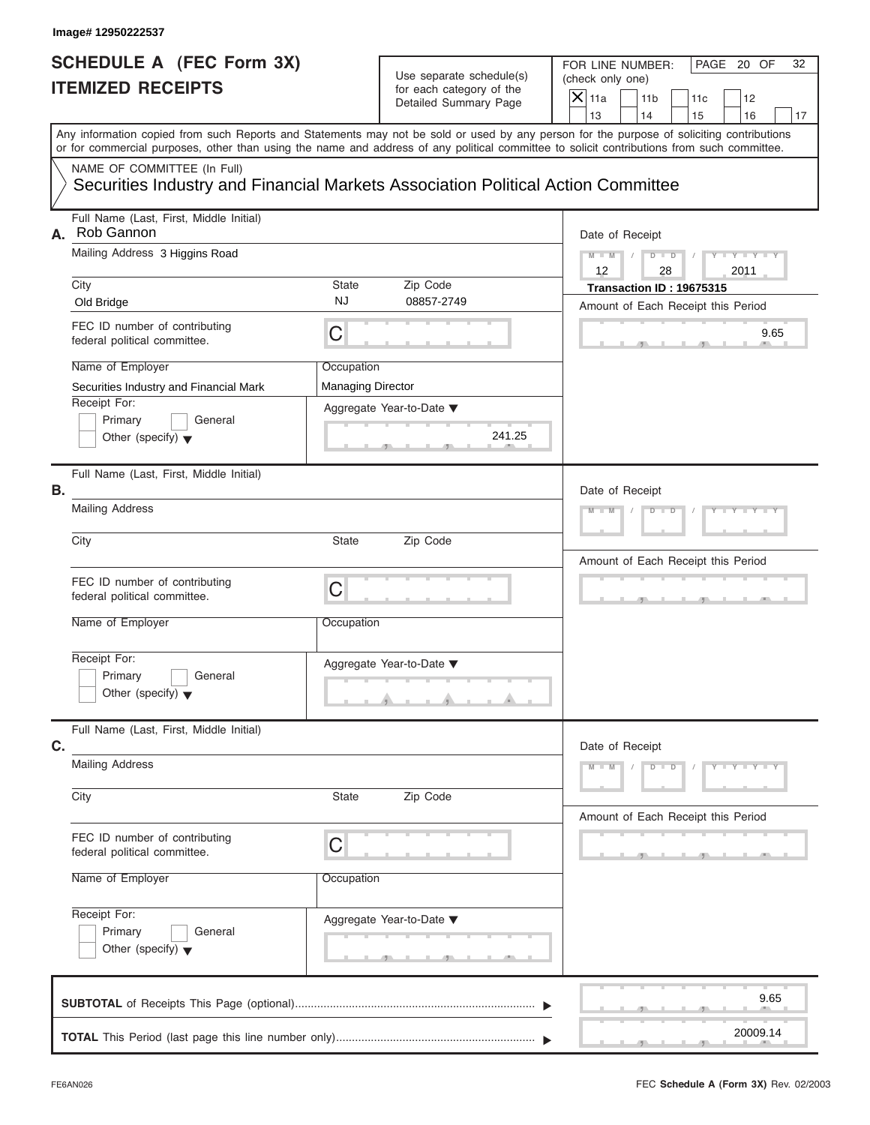#### Use separate schedule(s) (check only one)<br>for each category of the for each category of the

|    | Image# 12950222537                                                                                                                         |                                        |                                                      |                                                                                                                                           |
|----|--------------------------------------------------------------------------------------------------------------------------------------------|----------------------------------------|------------------------------------------------------|-------------------------------------------------------------------------------------------------------------------------------------------|
|    | <b>SCHEDULE A (FEC Form 3X)</b><br><b>ITEMIZED RECEIPTS</b>                                                                                |                                        | Use separate schedule(s)<br>for each category of the | FOR LINE NUMBER:<br>PAGE 20 OF<br>32<br>(check only one)<br>$\mathsf{X}$ 11a                                                              |
|    |                                                                                                                                            |                                        | Detailed Summary Page                                | 11 <sub>b</sub><br>11c<br>12<br>13<br>14<br>15<br>16<br>17                                                                                |
|    | or for commercial purposes, other than using the name and address of any political committee to solicit contributions from such committee. |                                        |                                                      | Any information copied from such Reports and Statements may not be sold or used by any person for the purpose of soliciting contributions |
|    | NAME OF COMMITTEE (In Full)<br>Securities Industry and Financial Markets Association Political Action Committee                            |                                        |                                                      |                                                                                                                                           |
| А. | Full Name (Last, First, Middle Initial)<br>Rob Gannon                                                                                      |                                        |                                                      | Date of Receipt                                                                                                                           |
|    | Mailing Address 3 Higgins Road                                                                                                             |                                        |                                                      | $Y = Y = Y - Y = 1$<br>$M - M$<br>$D$ $D$<br>12<br>28<br>2011                                                                             |
|    | City<br>Old Bridge                                                                                                                         | State<br><b>NJ</b>                     | Zip Code<br>08857-2749                               | Transaction ID: 19675315<br>Amount of Each Receipt this Period                                                                            |
|    | FEC ID number of contributing<br>federal political committee.                                                                              | $\mathsf C$                            |                                                      | 9.65                                                                                                                                      |
|    | Name of Employer<br>Securities Industry and Financial Mark                                                                                 | Occupation<br><b>Managing Director</b> |                                                      |                                                                                                                                           |
|    | Receipt For:<br>Primary<br>General<br>Other (specify) $\blacktriangledown$                                                                 |                                        | Aggregate Year-to-Date ▼<br>241.25                   |                                                                                                                                           |
| В. | Full Name (Last, First, Middle Initial)                                                                                                    |                                        |                                                      | Date of Receipt                                                                                                                           |
|    | <b>Mailing Address</b>                                                                                                                     |                                        |                                                      | $Y - Y - Y - Y - Y$<br>$D - D$<br>$M - M$                                                                                                 |
|    | City                                                                                                                                       | State                                  | Zip Code                                             | Amount of Each Receipt this Period                                                                                                        |
|    | FEC ID number of contributing<br>federal political committee.                                                                              | $\mathsf C$                            |                                                      |                                                                                                                                           |
|    | Name of Employer                                                                                                                           | Occupation                             |                                                      |                                                                                                                                           |
|    | Receipt For:<br>Primary<br>General<br>Other (specify) $\blacktriangledown$                                                                 |                                        | Aggregate Year-to-Date ▼                             |                                                                                                                                           |
| C. | Full Name (Last, First, Middle Initial)                                                                                                    |                                        |                                                      | Date of Receipt                                                                                                                           |
|    | <b>Mailing Address</b>                                                                                                                     |                                        |                                                      | $M - M$<br>$D$ $D$<br>$Y - Y - Y - Y - I$                                                                                                 |
|    | City                                                                                                                                       | State                                  | Zip Code                                             | Amount of Each Receipt this Period                                                                                                        |
|    | FEC ID number of contributing<br>federal political committee.                                                                              | C                                      |                                                      |                                                                                                                                           |
|    | Name of Employer                                                                                                                           | Occupation                             |                                                      |                                                                                                                                           |
|    | Receipt For:<br>Primary<br>General                                                                                                         |                                        | Aggregate Year-to-Date ▼                             |                                                                                                                                           |
|    | Other (specify) $\blacktriangledown$                                                                                                       |                                        |                                                      |                                                                                                                                           |
|    |                                                                                                                                            |                                        |                                                      | 9.65                                                                                                                                      |
|    |                                                                                                                                            |                                        |                                                      | 20009.14                                                                                                                                  |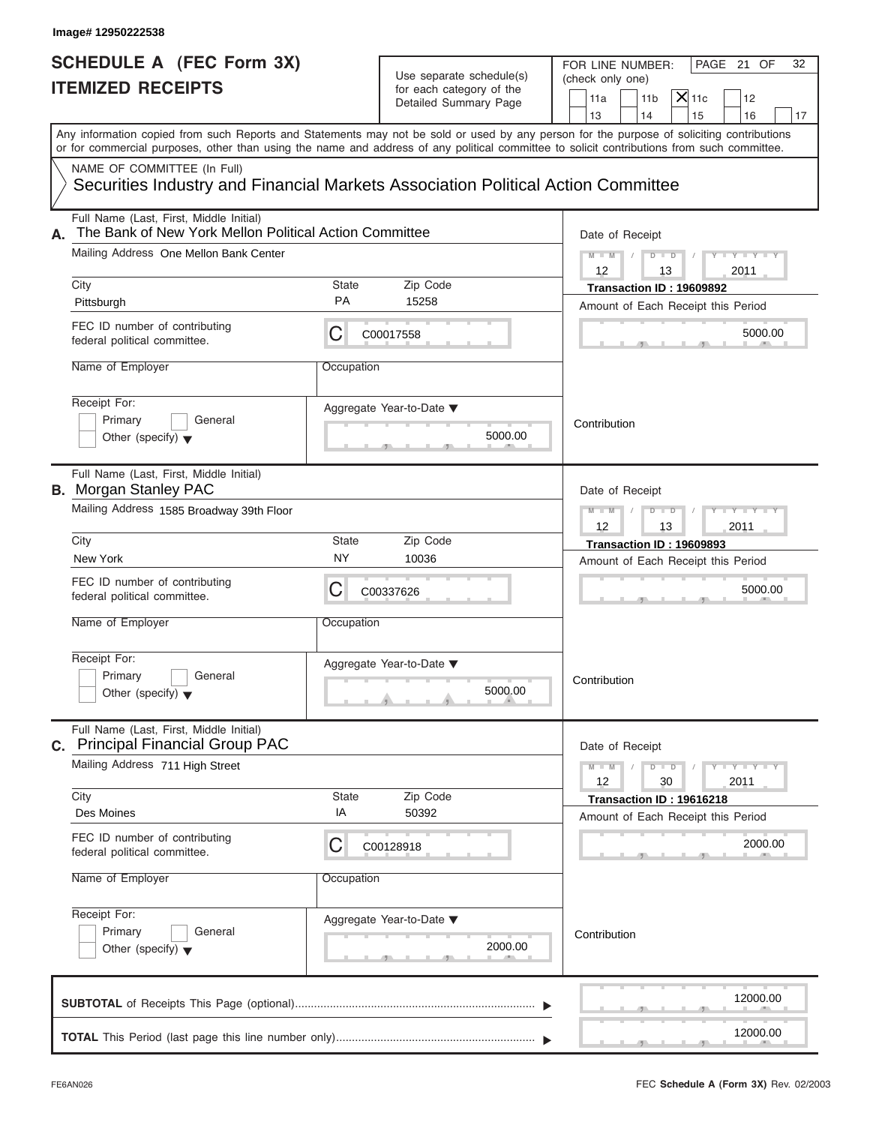| Image# 12950222538                                                                                                                                |                           |                                                                               |                                                                                                                                                                                                                                                                                         |
|---------------------------------------------------------------------------------------------------------------------------------------------------|---------------------------|-------------------------------------------------------------------------------|-----------------------------------------------------------------------------------------------------------------------------------------------------------------------------------------------------------------------------------------------------------------------------------------|
| <b>SCHEDULE A (FEC Form 3X)</b><br><b>ITEMIZED RECEIPTS</b>                                                                                       |                           | Use separate schedule(s)<br>for each category of the<br>Detailed Summary Page | FOR LINE NUMBER:<br>PAGE 21 OF<br>32<br>(check only one)<br>$X$ 11c<br>11 <sub>b</sub><br>11a<br>12<br>13<br>14<br>15<br>16<br>17                                                                                                                                                       |
|                                                                                                                                                   |                           |                                                                               | Any information copied from such Reports and Statements may not be sold or used by any person for the purpose of soliciting contributions<br>or for commercial purposes, other than using the name and address of any political committee to solicit contributions from such committee. |
| NAME OF COMMITTEE (In Full)<br>Securities Industry and Financial Markets Association Political Action Committee                                   |                           |                                                                               |                                                                                                                                                                                                                                                                                         |
| Full Name (Last, First, Middle Initial)<br>The Bank of New York Mellon Political Action Committee<br>А.<br>Mailing Address One Mellon Bank Center |                           |                                                                               | Date of Receipt<br>$M - M$<br>$D$ $D$<br>$Y = Y + Y + Y$                                                                                                                                                                                                                                |
|                                                                                                                                                   |                           |                                                                               | 12<br>2011<br>13                                                                                                                                                                                                                                                                        |
| City<br>Pittsburgh                                                                                                                                | <b>State</b><br><b>PA</b> | Zip Code<br>15258                                                             | Transaction ID: 19609892                                                                                                                                                                                                                                                                |
| FEC ID number of contributing<br>federal political committee.                                                                                     | С                         | C00017558                                                                     | Amount of Each Receipt this Period<br>5000.00                                                                                                                                                                                                                                           |
| Name of Employer                                                                                                                                  | Occupation                |                                                                               |                                                                                                                                                                                                                                                                                         |
| Receipt For:<br>Primary<br>General<br>Other (specify) $\blacktriangledown$                                                                        |                           | Aggregate Year-to-Date ▼<br>5000.00                                           | Contribution                                                                                                                                                                                                                                                                            |
| Full Name (Last, First, Middle Initial)<br><b>B.</b> Morgan Stanley PAC                                                                           |                           |                                                                               | Date of Receipt                                                                                                                                                                                                                                                                         |
| Mailing Address 1585 Broadway 39th Floor                                                                                                          |                           |                                                                               | $D - I - D$<br>Y T Y T Y T<br>$M - M$<br>2011<br>12<br>13                                                                                                                                                                                                                               |
| City                                                                                                                                              | State                     | Zip Code                                                                      | Transaction ID: 19609893                                                                                                                                                                                                                                                                |
| New York                                                                                                                                          | <b>NY</b>                 | 10036                                                                         | Amount of Each Receipt this Period                                                                                                                                                                                                                                                      |
| FEC ID number of contributing<br>federal political committee.                                                                                     | С                         | C00337626                                                                     | 5000.00                                                                                                                                                                                                                                                                                 |
| Name of Employer                                                                                                                                  | Occupation                |                                                                               |                                                                                                                                                                                                                                                                                         |
| Receipt For:<br>Primary<br>General<br>Other (specify) $\blacktriangledown$                                                                        |                           | Aggregate Year-to-Date ▼<br>5000.00                                           | Contribution                                                                                                                                                                                                                                                                            |
| Full Name (Last, First, Middle Initial)<br>C. Principal Financial Group PAC                                                                       |                           |                                                                               | Date of Receipt                                                                                                                                                                                                                                                                         |
| Mailing Address 711 High Street<br>City                                                                                                           | State                     | Zip Code                                                                      | $M - M$<br>$\mathbf{I} = \mathbf{Y} - \mathbf{I} - \mathbf{Y} - \mathbf{I}$<br>$D$ $D$<br>12<br>2011<br>30                                                                                                                                                                              |
| Des Moines                                                                                                                                        | ΙA                        | 50392                                                                         | Transaction ID: 19616218<br>Amount of Each Receipt this Period                                                                                                                                                                                                                          |
| FEC ID number of contributing<br>federal political committee.                                                                                     | С                         | C00128918                                                                     | 2000.00                                                                                                                                                                                                                                                                                 |
| Name of Employer                                                                                                                                  | Occupation                |                                                                               |                                                                                                                                                                                                                                                                                         |
| Receipt For:<br>Primary<br>General<br>Other (specify) $\blacktriangledown$                                                                        |                           | Aggregate Year-to-Date ▼<br>2000.00                                           | Contribution                                                                                                                                                                                                                                                                            |
|                                                                                                                                                   |                           |                                                                               | 12000.00                                                                                                                                                                                                                                                                                |
|                                                                                                                                                   |                           |                                                                               | 12000.00                                                                                                                                                                                                                                                                                |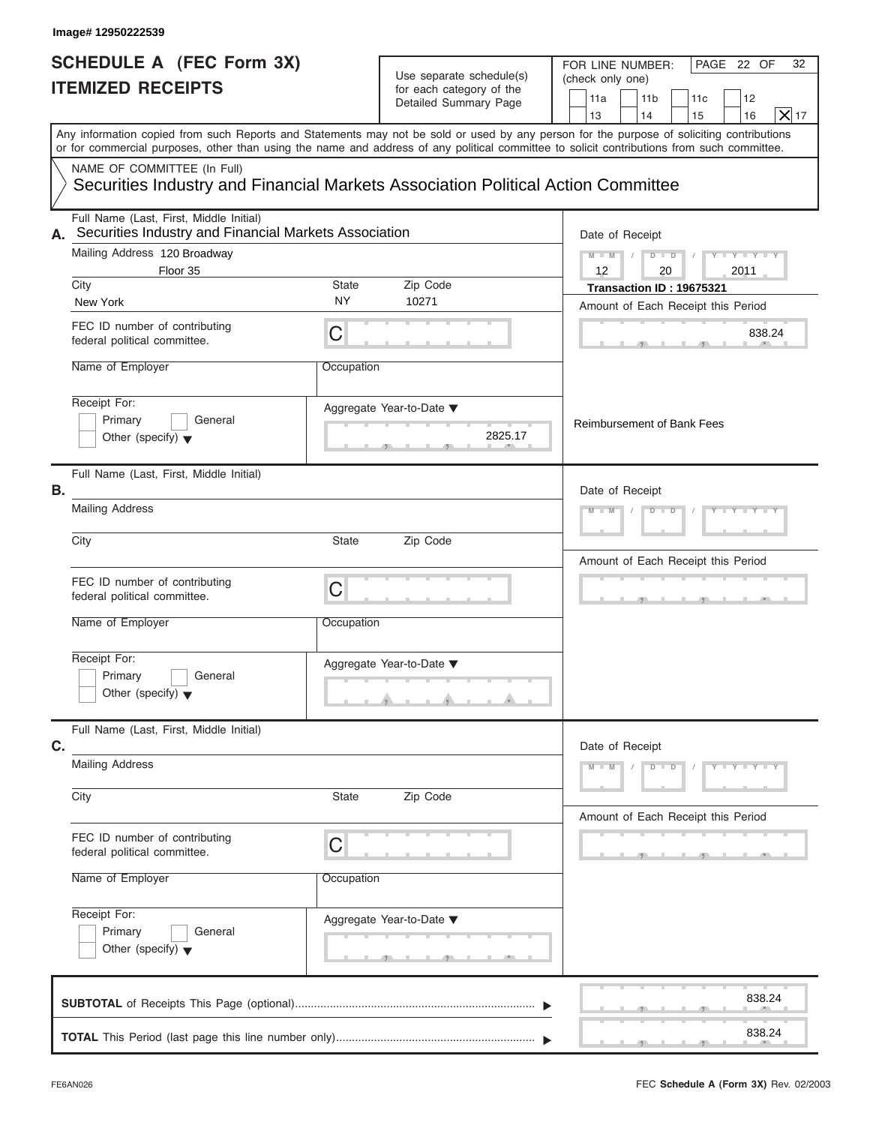| <b>SCHEDULE A (FEC Form 3X)</b><br><b>ITEMIZED RECEIPTS</b>                                         |            | Use separate schedule(s)<br>for each category of the<br>Detailed Summary Page | PAGE 22 OF<br>FOR LINE NUMBER:<br>32<br>(check only one)<br>11a<br>11 <sub>b</sub><br>11c<br>12<br>X 17<br>14<br>13<br>15<br>16                                                                                                                                                         |
|-----------------------------------------------------------------------------------------------------|------------|-------------------------------------------------------------------------------|-----------------------------------------------------------------------------------------------------------------------------------------------------------------------------------------------------------------------------------------------------------------------------------------|
| NAME OF COMMITTEE (In Full)                                                                         |            |                                                                               | Any information copied from such Reports and Statements may not be sold or used by any person for the purpose of soliciting contributions<br>or for commercial purposes, other than using the name and address of any political committee to solicit contributions from such committee. |
| Securities Industry and Financial Markets Association Political Action Committee                    |            |                                                                               |                                                                                                                                                                                                                                                                                         |
| Full Name (Last, First, Middle Initial)<br>A. Securities Industry and Financial Markets Association |            |                                                                               | Date of Receipt                                                                                                                                                                                                                                                                         |
| Mailing Address 120 Broadway                                                                        |            |                                                                               | $D$ $D$<br>$Y - Y - Y - Y - Y$<br>$M - M$                                                                                                                                                                                                                                               |
| Floor 35<br>City                                                                                    | State      | Zip Code                                                                      | $12 \overline{ }$<br>20<br>2011<br>Transaction ID: 19675321                                                                                                                                                                                                                             |
| New York                                                                                            | <b>NY</b>  | 10271                                                                         | Amount of Each Receipt this Period                                                                                                                                                                                                                                                      |
| FEC ID number of contributing<br>federal political committee.                                       | C          |                                                                               | 838.24                                                                                                                                                                                                                                                                                  |
| Name of Employer                                                                                    | Occupation |                                                                               |                                                                                                                                                                                                                                                                                         |
| Receipt For:<br>Primary<br>General<br>Other (specify) $\blacktriangledown$                          |            | Aggregate Year-to-Date ▼<br>2825.17                                           | <b>Reimbursement of Bank Fees</b>                                                                                                                                                                                                                                                       |
| Full Name (Last, First, Middle Initial)<br>Β.                                                       |            |                                                                               | Date of Receipt                                                                                                                                                                                                                                                                         |
| <b>Mailing Address</b>                                                                              |            |                                                                               | Y I Y I Y I Y<br>$M - M$<br>$D$ $D$                                                                                                                                                                                                                                                     |
| City                                                                                                | State      | Zip Code                                                                      | Amount of Each Receipt this Period                                                                                                                                                                                                                                                      |
| FEC ID number of contributing<br>federal political committee.                                       | C          |                                                                               | <u>____</u>                                                                                                                                                                                                                                                                             |
| Name of Employer                                                                                    | Occupation |                                                                               |                                                                                                                                                                                                                                                                                         |
| Receipt For:<br>Primary<br>General<br>Other (specify) $\blacktriangledown$                          |            | Aggregate Year-to-Date ▼                                                      |                                                                                                                                                                                                                                                                                         |
| Full Name (Last, First, Middle Initial)<br>C.                                                       |            |                                                                               | Date of Receipt                                                                                                                                                                                                                                                                         |
| <b>Mailing Address</b>                                                                              |            |                                                                               | $M - M$<br>$D$ $D$<br>$Y = Y = Y = Y$                                                                                                                                                                                                                                                   |
| City                                                                                                | State      | Zip Code                                                                      | Amount of Each Receipt this Period                                                                                                                                                                                                                                                      |
| FEC ID number of contributing<br>federal political committee.                                       | C          |                                                                               |                                                                                                                                                                                                                                                                                         |
| Name of Employer                                                                                    | Occupation |                                                                               |                                                                                                                                                                                                                                                                                         |
| Receipt For:                                                                                        |            | Aggregate Year-to-Date ▼                                                      |                                                                                                                                                                                                                                                                                         |
| Primary<br>General<br>Other (specify) $\blacktriangledown$                                          |            |                                                                               |                                                                                                                                                                                                                                                                                         |
|                                                                                                     |            |                                                                               | 838.24                                                                                                                                                                                                                                                                                  |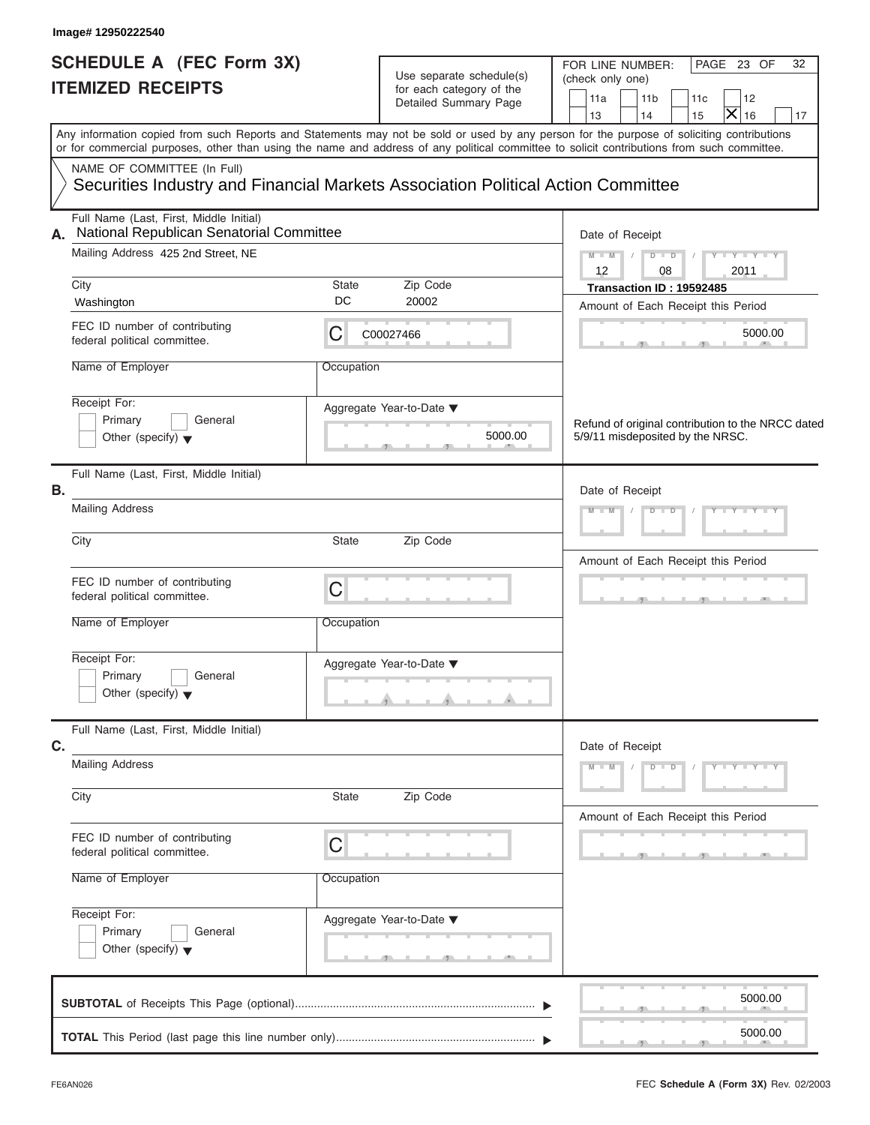| Image# 12950222540                                                                                                              |             |                                                                               |                                                                                                                                                                                                                                                                                         |
|---------------------------------------------------------------------------------------------------------------------------------|-------------|-------------------------------------------------------------------------------|-----------------------------------------------------------------------------------------------------------------------------------------------------------------------------------------------------------------------------------------------------------------------------------------|
| <b>SCHEDULE A (FEC Form 3X)</b><br><b>ITEMIZED RECEIPTS</b>                                                                     |             | Use separate schedule(s)<br>for each category of the<br>Detailed Summary Page | FOR LINE NUMBER:<br>PAGE 23 OF<br>32<br>(check only one)<br>11c<br>11a<br>11 <sub>b</sub><br>12<br>×<br>13<br>14<br>16<br>15<br>17                                                                                                                                                      |
|                                                                                                                                 |             |                                                                               | Any information copied from such Reports and Statements may not be sold or used by any person for the purpose of soliciting contributions<br>or for commercial purposes, other than using the name and address of any political committee to solicit contributions from such committee. |
| NAME OF COMMITTEE (In Full)<br>Securities Industry and Financial Markets Association Political Action Committee                 |             |                                                                               |                                                                                                                                                                                                                                                                                         |
| Full Name (Last, First, Middle Initial)<br>National Republican Senatorial Committee<br>А.<br>Mailing Address 425 2nd Street, NE |             |                                                                               | Date of Receipt<br>$Y - Y - Y - Y - Y$<br>$M - M$<br>$D$ $D$ $/$                                                                                                                                                                                                                        |
| City<br>Washington                                                                                                              | State<br>DC | Zip Code<br>20002                                                             | $12 \overline{ }$<br>08<br>2011<br>Transaction ID: 19592485                                                                                                                                                                                                                             |
| FEC ID number of contributing<br>federal political committee.                                                                   | С           | C00027466                                                                     | Amount of Each Receipt this Period<br>5000.00                                                                                                                                                                                                                                           |
| Name of Employer                                                                                                                | Occupation  |                                                                               |                                                                                                                                                                                                                                                                                         |
| Receipt For:<br>Primary<br>General<br>Other (specify) $\blacktriangledown$                                                      |             | Aggregate Year-to-Date ▼<br>5000.00                                           | Refund of original contribution to the NRCC dated<br>5/9/11 misdeposited by the NRSC.                                                                                                                                                                                                   |
| Full Name (Last, First, Middle Initial)<br>В.                                                                                   |             |                                                                               | Date of Receipt                                                                                                                                                                                                                                                                         |
| <b>Mailing Address</b>                                                                                                          |             |                                                                               | $Y = Y = Y' + Y' + Y$<br>$D$ $D$<br>$M - M$                                                                                                                                                                                                                                             |
| City                                                                                                                            | State       | Zip Code                                                                      | Amount of Each Receipt this Period                                                                                                                                                                                                                                                      |
| FEC ID number of contributing<br>federal political committee.                                                                   | C           |                                                                               | $\sim$                                                                                                                                                                                                                                                                                  |
| Name of Employer                                                                                                                | Occupation  |                                                                               |                                                                                                                                                                                                                                                                                         |
| Receipt For:<br>Primary<br>General<br>Other (specify) $\blacktriangledown$                                                      |             | Aggregate Year-to-Date ▼                                                      |                                                                                                                                                                                                                                                                                         |
| Full Name (Last, First, Middle Initial)<br>C.                                                                                   |             |                                                                               | Date of Receipt                                                                                                                                                                                                                                                                         |
| <b>Mailing Address</b>                                                                                                          |             |                                                                               | $M - M$<br>$Y - Y - Y - Y - Y$<br>$D$ $D$                                                                                                                                                                                                                                               |
| City                                                                                                                            | State       | Zip Code                                                                      | Amount of Each Receipt this Period                                                                                                                                                                                                                                                      |
| FEC ID number of contributing<br>federal political committee.                                                                   | С           |                                                                               |                                                                                                                                                                                                                                                                                         |
| Name of Employer                                                                                                                | Occupation  |                                                                               |                                                                                                                                                                                                                                                                                         |
| Receipt For:<br>Primary<br>General<br>Other (specify) $\blacktriangledown$                                                      |             | Aggregate Year-to-Date ▼                                                      |                                                                                                                                                                                                                                                                                         |
|                                                                                                                                 |             |                                                                               | 5000.00                                                                                                                                                                                                                                                                                 |
|                                                                                                                                 |             |                                                                               | 5000.00                                                                                                                                                                                                                                                                                 |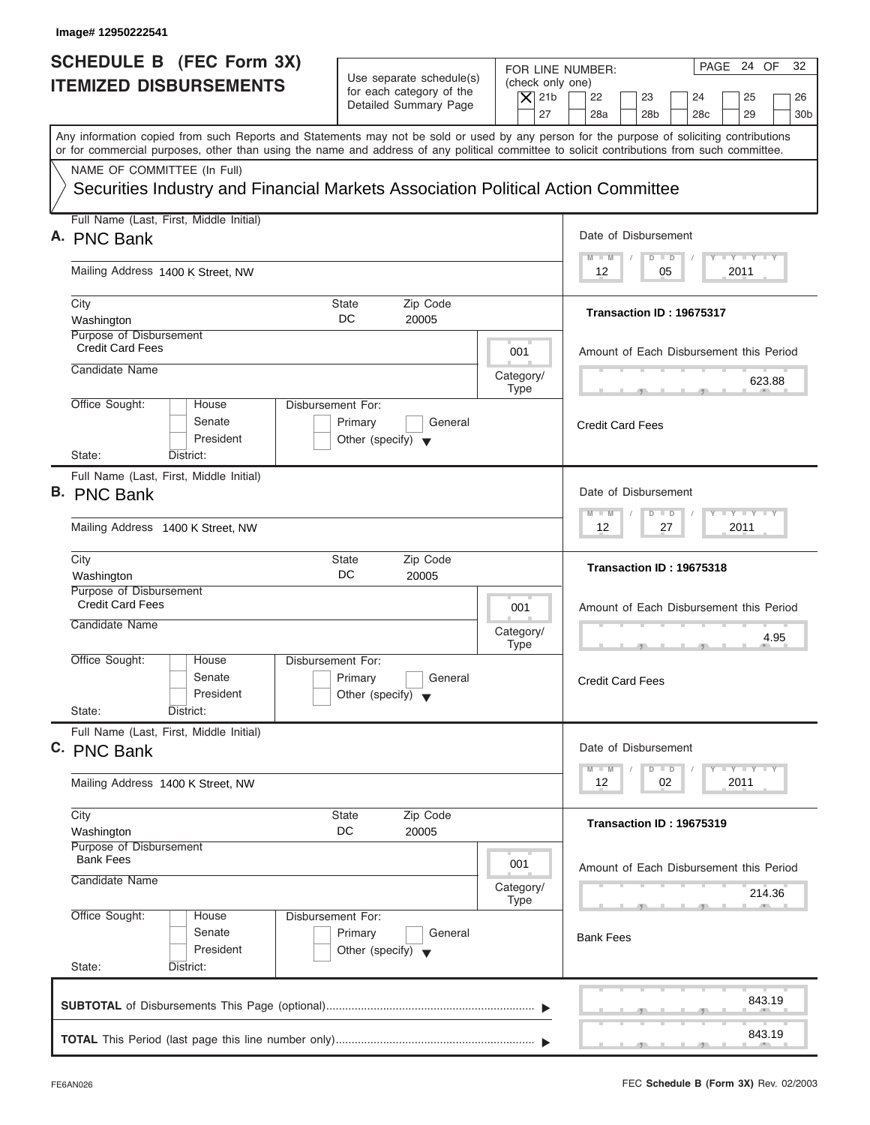| Image# 12950222541                                                                                                                         |                                                                                                |                                                                                                                                                                                          |  |  |
|--------------------------------------------------------------------------------------------------------------------------------------------|------------------------------------------------------------------------------------------------|------------------------------------------------------------------------------------------------------------------------------------------------------------------------------------------|--|--|
| <b>SCHEDULE B</b> (FEC Form 3X)<br><b>ITEMIZED DISBURSEMENTS</b>                                                                           | Use separate schedule(s)<br>for each category of the<br>Detailed Summary Page                  | PAGE 24 OF<br>32<br>FOR LINE NUMBER:<br>(check only one)<br>$\overline{X}$ 21b<br>22<br>23<br>24<br>25<br>26<br>27<br>28a<br>28 <sub>b</sub><br>29<br>28 <sub>c</sub><br>30 <sub>b</sub> |  |  |
| or for commercial purposes, other than using the name and address of any political committee to solicit contributions from such committee. |                                                                                                | Any information copied from such Reports and Statements may not be sold or used by any person for the purpose of soliciting contributions                                                |  |  |
| NAME OF COMMITTEE (In Full)<br>Securities Industry and Financial Markets Association Political Action Committee                            |                                                                                                |                                                                                                                                                                                          |  |  |
| Full Name (Last, First, Middle Initial)<br>A. PNC Bank                                                                                     |                                                                                                | Date of Disbursement                                                                                                                                                                     |  |  |
| Mailing Address 1400 K Street, NW                                                                                                          |                                                                                                | $T - Y = T - Y = T - Y$<br>$D$ $D$<br>$M - M$<br>2011<br>12<br>05                                                                                                                        |  |  |
| City<br>Washington                                                                                                                         | State<br>Zip Code<br>DC<br>20005                                                               | Transaction ID: 19675317                                                                                                                                                                 |  |  |
| Purpose of Disbursement<br><b>Credit Card Fees</b>                                                                                         | 001                                                                                            | Amount of Each Disbursement this Period                                                                                                                                                  |  |  |
| Candidate Name                                                                                                                             | Category/<br><b>Type</b>                                                                       | 623.88                                                                                                                                                                                   |  |  |
| Office Sought:<br>House<br>Senate<br>President<br>State:<br>District:                                                                      | Disbursement For:<br>Primary<br>General<br>Other (specify) $\blacktriangledown$                | <b>Credit Card Fees</b>                                                                                                                                                                  |  |  |
| Full Name (Last, First, Middle Initial)<br><b>B. PNC Bank</b>                                                                              |                                                                                                | Date of Disbursement                                                                                                                                                                     |  |  |
| Mailing Address 1400 K Street, NW                                                                                                          | <b>LEYTEY LEY</b><br>$M - M$<br>$D$ $D$<br>2011<br>12<br>27                                    |                                                                                                                                                                                          |  |  |
| City<br>Washington                                                                                                                         | Zip Code<br>State<br>DC<br>20005                                                               | Transaction ID: 19675318                                                                                                                                                                 |  |  |
| Purpose of Disbursement<br><b>Credit Card Fees</b><br>Candidate Name                                                                       | 001<br>Category/                                                                               | Amount of Each Disbursement this Period<br>4.95                                                                                                                                          |  |  |
| Office Sought:<br>House<br>Senate<br>President<br>State:<br>District:                                                                      | <b>Type</b><br>Disbursement For:<br>Primary<br>General<br>Other (specify) $\blacktriangledown$ | $\overline{1}$<br>$\overline{2}$<br><b>Credit Card Fees</b>                                                                                                                              |  |  |
| Full Name (Last, First, Middle Initial)<br>C. PNC Bank                                                                                     |                                                                                                | Date of Disbursement<br>$T - Y$ $T - Y$<br>$M - M$<br>$\overline{D}$<br>$\Box$                                                                                                           |  |  |
| Mailing Address 1400 K Street, NW                                                                                                          |                                                                                                |                                                                                                                                                                                          |  |  |
| City                                                                                                                                       | Zip Code<br>State                                                                              | Transaction ID: 19675319                                                                                                                                                                 |  |  |
| Washington                                                                                                                                 | DC<br>20005                                                                                    |                                                                                                                                                                                          |  |  |
| Purpose of Disbursement<br><b>Bank Fees</b><br>Candidate Name                                                                              | 001<br>Category/                                                                               | Amount of Each Disbursement this Period<br>214.36                                                                                                                                        |  |  |
| Office Sought:<br>House<br>Senate<br>President<br>State:<br>District:                                                                      | <b>Type</b><br>Disbursement For:<br>Primary<br>General<br>Other (specify) $\blacktriangledown$ | <b>Bank Fees</b>                                                                                                                                                                         |  |  |
|                                                                                                                                            |                                                                                                | 843.19                                                                                                                                                                                   |  |  |

I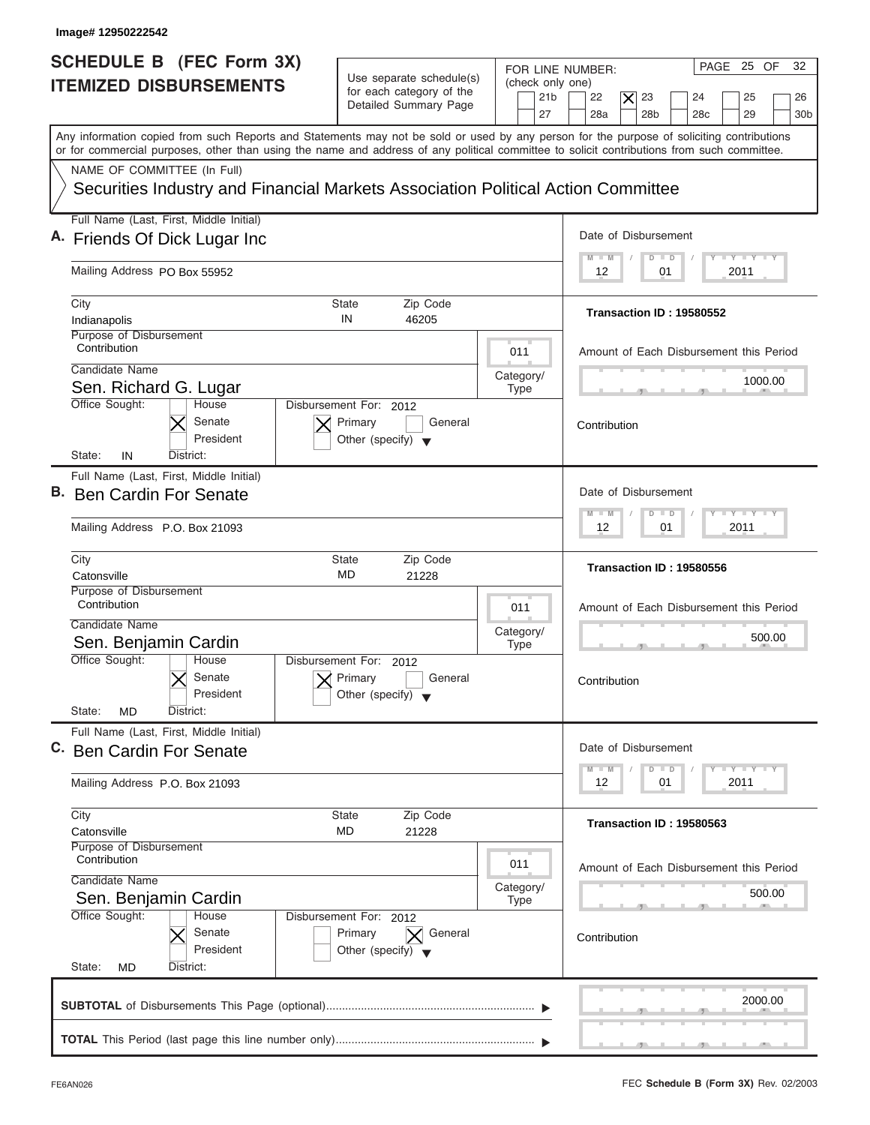| Image# 12950222542                                                                                                                         |                                                                                      |                                                                                                                                                                                                                  |
|--------------------------------------------------------------------------------------------------------------------------------------------|--------------------------------------------------------------------------------------|------------------------------------------------------------------------------------------------------------------------------------------------------------------------------------------------------------------|
| <b>SCHEDULE B</b> (FEC Form 3X)<br><b>ITEMIZED DISBURSEMENTS</b>                                                                           | Use separate schedule(s)<br>for each category of the<br>Detailed Summary Page        | 32<br>PAGE 25 OF<br>FOR LINE NUMBER:<br>(check only one)<br>21 <sub>b</sub><br>22<br>$ \boldsymbol{\times} $<br>23<br>25<br>24<br>26<br>27<br>28a<br>28 <sub>b</sub><br>28 <sub>c</sub><br>29<br>30 <sub>b</sub> |
| or for commercial purposes, other than using the name and address of any political committee to solicit contributions from such committee. |                                                                                      | Any information copied from such Reports and Statements may not be sold or used by any person for the purpose of soliciting contributions                                                                        |
| NAME OF COMMITTEE (In Full)<br>Securities Industry and Financial Markets Association Political Action Committee                            |                                                                                      |                                                                                                                                                                                                                  |
| Full Name (Last, First, Middle Initial)                                                                                                    |                                                                                      | Date of Disbursement                                                                                                                                                                                             |
| A. Friends Of Dick Lugar Inc                                                                                                               |                                                                                      | $L - Y = L - Y = L - Y$<br>$M$ $M$<br>$D$ $D$                                                                                                                                                                    |
| Mailing Address PO Box 55952                                                                                                               |                                                                                      | 2011<br>12<br>01                                                                                                                                                                                                 |
| City<br>Indianapolis<br>Purpose of Disbursement                                                                                            | Zip Code<br>State<br>IN<br>46205                                                     | Transaction ID: 19580552                                                                                                                                                                                         |
| Contribution                                                                                                                               | 011                                                                                  | Amount of Each Disbursement this Period                                                                                                                                                                          |
| Candidate Name<br>Sen. Richard G. Lugar                                                                                                    | Category/<br><b>Type</b>                                                             | 1000.00                                                                                                                                                                                                          |
| Office Sought:<br>House<br>Senate<br>President<br>State:<br>IN<br>District:                                                                | Disbursement For: 2012<br>Primary<br>General<br>Other (specify) $\blacktriangledown$ | Contribution                                                                                                                                                                                                     |
| Full Name (Last, First, Middle Initial)<br>B. Ben Cardin For Senate                                                                        |                                                                                      | Date of Disbursement                                                                                                                                                                                             |
| Mailing Address P.O. Box 21093                                                                                                             |                                                                                      | $-1 - Y - 1 - Y - 1 - Y$<br>$M - M$<br>$\blacksquare$<br>D<br>12<br>2011<br>01                                                                                                                                   |
| City<br>Catonsville                                                                                                                        | <b>State</b><br>Zip Code<br>MD<br>21228                                              | Transaction ID: 19580556                                                                                                                                                                                         |
| Purpose of Disbursement<br>Contribution<br>Candidate Name<br>Sen. Benjamin Cardin                                                          | 011<br>Category/<br><b>Type</b>                                                      | Amount of Each Disbursement this Period<br>500.00<br>__                                                                                                                                                          |
| Office Sought:<br>House<br>Senate<br>President<br>State:<br><b>MD</b><br>District:                                                         | Disbursement For:<br>2012<br>Primary<br>General<br>Other (specify)                   | Contribution                                                                                                                                                                                                     |
| Full Name (Last, First, Middle Initial)<br>C. Ben Cardin For Senate                                                                        |                                                                                      | Date of Disbursement                                                                                                                                                                                             |
| Mailing Address P.O. Box 21093                                                                                                             |                                                                                      | $\mathsf{L} \mathsf{Y} \mathsf{L} \mathsf{Y} \mathsf{L} \mathsf{Y}$<br>$M - M$<br>D<br>$\Box$<br>12<br>01<br>2011                                                                                                |
| City<br>Catonsville                                                                                                                        | Zip Code<br>State<br>MD<br>21228                                                     | Transaction ID: 19580563                                                                                                                                                                                         |
| Purpose of Disbursement<br>Contribution<br>Candidate Name                                                                                  | 011                                                                                  | Amount of Each Disbursement this Period                                                                                                                                                                          |
| Sen. Benjamin Cardin                                                                                                                       | Category/<br><b>Type</b>                                                             | 500.00                                                                                                                                                                                                           |
| Office Sought:<br>House<br>Senate<br>President<br>State:<br>District:                                                                      | Disbursement For: 2012<br>Primary<br>General<br>Other (specify) $\blacktriangledown$ | Contribution                                                                                                                                                                                                     |
| <b>MD</b>                                                                                                                                  |                                                                                      | 2000.00                                                                                                                                                                                                          |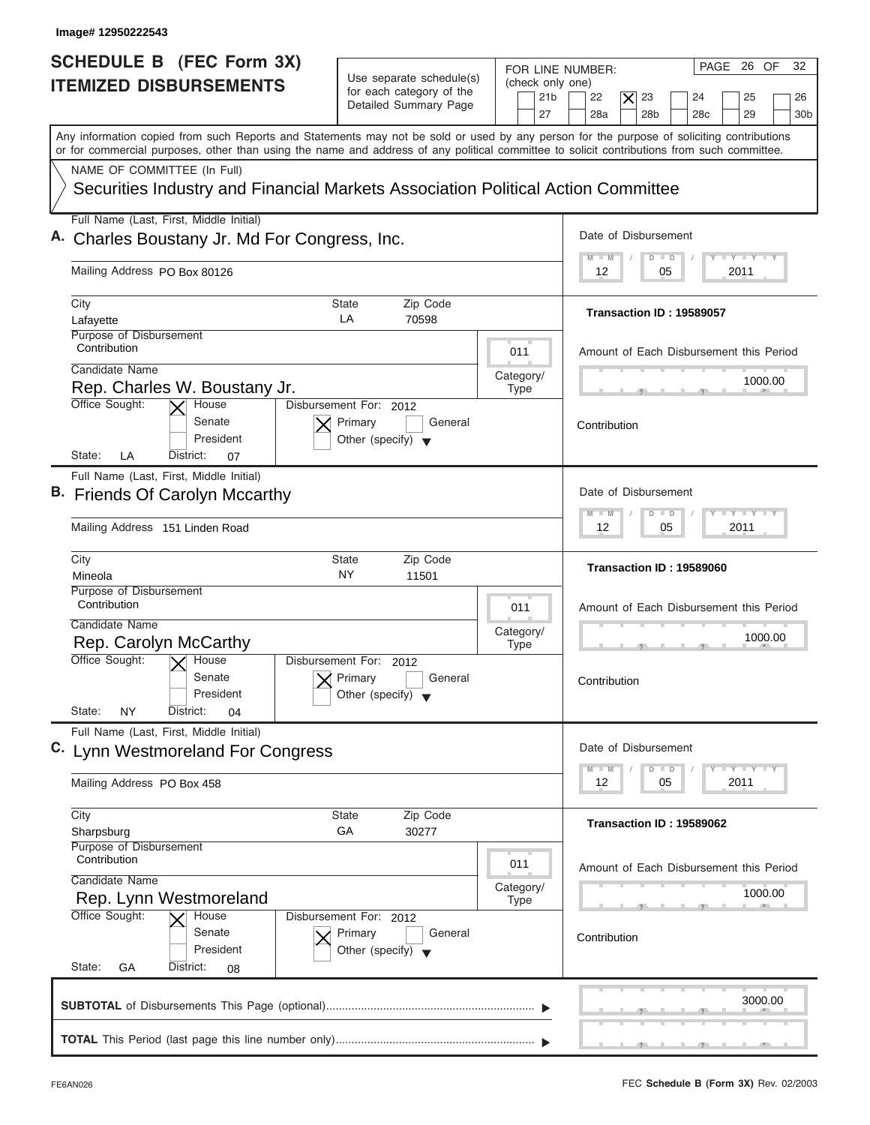| Image# 12950222543                                                                                                                                                                                                                                                                      |                                                                               |                                                               |                                                                                                                                                 |
|-----------------------------------------------------------------------------------------------------------------------------------------------------------------------------------------------------------------------------------------------------------------------------------------|-------------------------------------------------------------------------------|---------------------------------------------------------------|-------------------------------------------------------------------------------------------------------------------------------------------------|
| <b>SCHEDULE B</b> (FEC Form 3X)<br><b>ITEMIZED DISBURSEMENTS</b>                                                                                                                                                                                                                        | Use separate schedule(s)<br>for each category of the<br>Detailed Summary Page | FOR LINE NUMBER:<br>(check only one)<br>21 <sub>b</sub><br>27 | 32<br>PAGE 26 OF<br>22<br>23<br>25<br>$ \boldsymbol{\times} $<br>24<br>26<br>28a<br>28 <sub>b</sub><br>28 <sub>c</sub><br>29<br>30 <sub>b</sub> |
| Any information copied from such Reports and Statements may not be sold or used by any person for the purpose of soliciting contributions<br>or for commercial purposes, other than using the name and address of any political committee to solicit contributions from such committee. |                                                                               |                                                               |                                                                                                                                                 |
| NAME OF COMMITTEE (In Full)<br>Securities Industry and Financial Markets Association Political Action Committee                                                                                                                                                                         |                                                                               |                                                               |                                                                                                                                                 |
| Full Name (Last, First, Middle Initial)<br>Charles Boustany Jr. Md For Congress, Inc.                                                                                                                                                                                                   |                                                                               |                                                               | Date of Disbursement                                                                                                                            |
| Mailing Address PO Box 80126                                                                                                                                                                                                                                                            |                                                                               |                                                               | $I - Y - I - Y - I - Y$<br>$M - M$<br>$D$ $D$<br>2011<br>12<br>05                                                                               |
| City<br>State<br>LA<br>Lafayette                                                                                                                                                                                                                                                        | Zip Code<br>70598                                                             |                                                               | Transaction ID: 19589057                                                                                                                        |
| Purpose of Disbursement<br>Contribution<br>Candidate Name                                                                                                                                                                                                                               |                                                                               | 011                                                           | Amount of Each Disbursement this Period                                                                                                         |
| Rep. Charles W. Boustany Jr.<br>Office Sought:<br>Disbursement For: 2012<br>House                                                                                                                                                                                                       |                                                                               | Category/<br><b>Type</b>                                      | 1000.00                                                                                                                                         |
| Senate<br>Primary<br>President<br>State:<br>LA<br>District:<br>07                                                                                                                                                                                                                       | General<br>Other (specify) $\blacktriangledown$                               |                                                               | Contribution                                                                                                                                    |
| Full Name (Last, First, Middle Initial)<br>B. Friends Of Carolyn Mccarthy                                                                                                                                                                                                               |                                                                               |                                                               | Date of Disbursement                                                                                                                            |
| Mailing Address 151 Linden Road                                                                                                                                                                                                                                                         |                                                                               |                                                               | $-1$ $-1$ $-1$ $-1$ $-1$<br>$M - M$<br>$\Box$<br>D<br>2011<br>12<br>05                                                                          |
| City<br>State<br>NY<br>Mineola                                                                                                                                                                                                                                                          | Zip Code<br>11501                                                             |                                                               | Transaction ID: 19589060                                                                                                                        |
| Purpose of Disbursement<br>Contribution<br>Candidate Name                                                                                                                                                                                                                               |                                                                               | 011<br>Category/                                              | Amount of Each Disbursement this Period<br>1000.00                                                                                              |
| Rep. Carolyn McCarthy<br>Office Sought:<br>$\overline{X}$ House<br>Disbursement For:<br>Senate<br>Primary<br>President<br>State:<br><b>NY</b><br>District:<br>04                                                                                                                        | 2012<br>General<br>Other (specify)                                            | <b>Type</b>                                                   | - -<br>Contribution                                                                                                                             |
| Full Name (Last, First, Middle Initial)<br>C. Lynn Westmoreland For Congress                                                                                                                                                                                                            |                                                                               |                                                               | Date of Disbursement                                                                                                                            |
| Mailing Address PO Box 458                                                                                                                                                                                                                                                              |                                                                               |                                                               | $\mathsf{L} \mathsf{Y} \mathsf{L} \mathsf{Y} \mathsf{L} \mathsf{Y}$<br>$M - M$<br>D<br>$\Box$<br>12<br>05<br>2011                               |
| City<br><b>State</b><br>GA<br>Sharpsburg                                                                                                                                                                                                                                                | Zip Code<br>30277                                                             |                                                               | Transaction ID: 19589062                                                                                                                        |
| Purpose of Disbursement<br>Contribution<br>Candidate Name                                                                                                                                                                                                                               |                                                                               | 011<br>Category/                                              | Amount of Each Disbursement this Period                                                                                                         |
| Rep. Lynn Westmoreland<br>Office Sought:<br>House<br>Disbursement For: 2012                                                                                                                                                                                                             | General                                                                       | <b>Type</b>                                                   | 1000.00<br>Contribution                                                                                                                         |
| Senate<br>Primary<br>President<br>State:<br>GА<br>District:<br>08                                                                                                                                                                                                                       | Other (specify) $\blacktriangledown$                                          |                                                               |                                                                                                                                                 |
|                                                                                                                                                                                                                                                                                         |                                                                               |                                                               | 3000.00                                                                                                                                         |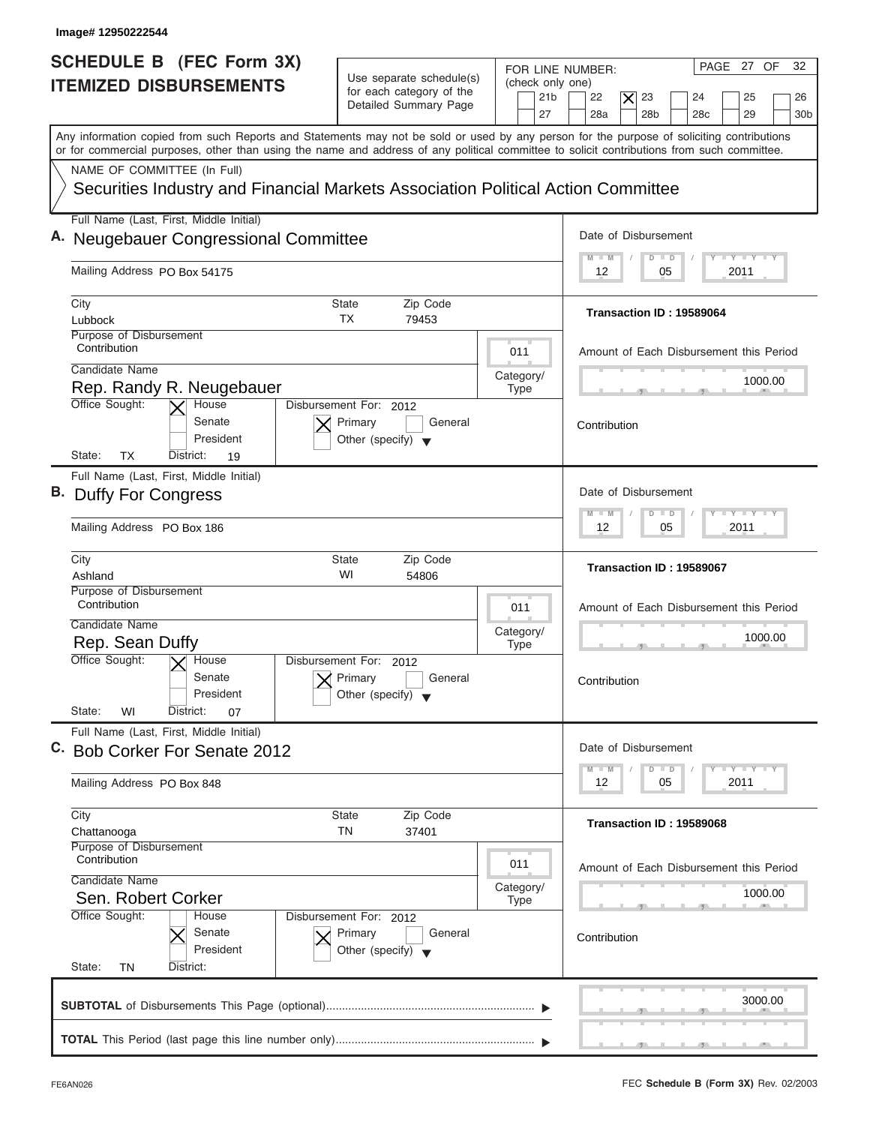| Image# 12950222544                                                                                                                                                                                                                                                                      |                                                                                      |                                                               |                                                                                                                                  |
|-----------------------------------------------------------------------------------------------------------------------------------------------------------------------------------------------------------------------------------------------------------------------------------------|--------------------------------------------------------------------------------------|---------------------------------------------------------------|----------------------------------------------------------------------------------------------------------------------------------|
| <b>SCHEDULE B (FEC Form 3X)</b><br><b>ITEMIZED DISBURSEMENTS</b>                                                                                                                                                                                                                        | Use separate schedule(s)<br>for each category of the<br>Detailed Summary Page        | FOR LINE NUMBER:<br>(check only one)<br>21 <sub>b</sub><br>27 | 32<br>PAGE 27 OF<br>22<br>$\times$<br>23<br>25<br>24<br>26<br>28a<br>28 <sub>b</sub><br>28 <sub>c</sub><br>29<br>30 <sub>b</sub> |
| Any information copied from such Reports and Statements may not be sold or used by any person for the purpose of soliciting contributions<br>or for commercial purposes, other than using the name and address of any political committee to solicit contributions from such committee. |                                                                                      |                                                               |                                                                                                                                  |
| NAME OF COMMITTEE (In Full)<br>Securities Industry and Financial Markets Association Political Action Committee                                                                                                                                                                         |                                                                                      |                                                               |                                                                                                                                  |
| Full Name (Last, First, Middle Initial)<br>A. Neugebauer Congressional Committee                                                                                                                                                                                                        |                                                                                      |                                                               | Date of Disbursement                                                                                                             |
| Mailing Address PO Box 54175                                                                                                                                                                                                                                                            |                                                                                      |                                                               | $T - Y = T - Y = T - Y$<br>$\blacksquare$<br>$D$ $D$<br>2011<br>12<br>05                                                         |
| City<br>Lubbock<br>Purpose of Disbursement                                                                                                                                                                                                                                              | Zip Code<br>State<br>ТX<br>79453                                                     |                                                               | Transaction ID: 19589064                                                                                                         |
| Contribution<br>Candidate Name<br>Rep. Randy R. Neugebauer                                                                                                                                                                                                                              |                                                                                      | 011<br>Category/                                              | Amount of Each Disbursement this Period<br>1000.00                                                                               |
| Office Sought:<br>House<br>Senate<br>President<br>State:<br><b>TX</b><br>District:<br>19                                                                                                                                                                                                | Disbursement For: 2012<br>Primary<br>General<br>Other (specify) $\blacktriangledown$ | <b>Type</b>                                                   | Contribution                                                                                                                     |
| Full Name (Last, First, Middle Initial)<br>B. Duffy For Congress                                                                                                                                                                                                                        |                                                                                      |                                                               | Date of Disbursement<br>$-1 - Y - 1 - Y - 1 - Y$<br>$M - M$<br>$\overline{D}$<br>$\Box$                                          |
| Mailing Address PO Box 186<br>City                                                                                                                                                                                                                                                      | <b>State</b><br>Zip Code                                                             |                                                               | 2011<br>12<br>05<br>Transaction ID: 19589067                                                                                     |
| Ashland<br>Purpose of Disbursement<br>Contribution<br>Candidate Name<br>Rep. Sean Duffy<br>Office Sought:<br>$\overline{X}$ House<br>Senate                                                                                                                                             | WI<br>54806<br>Disbursement For:<br>2012<br>Primary<br>General                       | 011<br>Category/<br><b>Type</b>                               | Amount of Each Disbursement this Period<br>1000.00<br>__<br>Contribution                                                         |
| President<br>State:<br>WI<br>District:<br>07                                                                                                                                                                                                                                            | Other (specify)                                                                      |                                                               |                                                                                                                                  |
| Full Name (Last, First, Middle Initial)<br>C. Bob Corker For Senate 2012<br>Mailing Address PO Box 848                                                                                                                                                                                  |                                                                                      |                                                               | Date of Disbursement<br>$T - Y$ $T - Y$<br>$M - M$<br>D<br>$\Box$<br>12<br>05<br>2011                                            |
| City<br>Chattanooga<br>Purpose of Disbursement<br>Contribution                                                                                                                                                                                                                          | Zip Code<br><b>State</b><br>TN<br>37401                                              |                                                               | Transaction ID: 19589068                                                                                                         |
| Candidate Name<br>Sen. Robert Corker<br>Office Sought:<br>House                                                                                                                                                                                                                         | Disbursement For: 2012                                                               | 011<br>Category/<br><b>Type</b>                               | Amount of Each Disbursement this Period<br>1000.00                                                                               |
| Senate<br>President<br>State:<br>TN<br>District:                                                                                                                                                                                                                                        | Primary<br>General<br>Other (specify) $\blacktriangledown$                           |                                                               | Contribution                                                                                                                     |
|                                                                                                                                                                                                                                                                                         |                                                                                      |                                                               | 3000.00                                                                                                                          |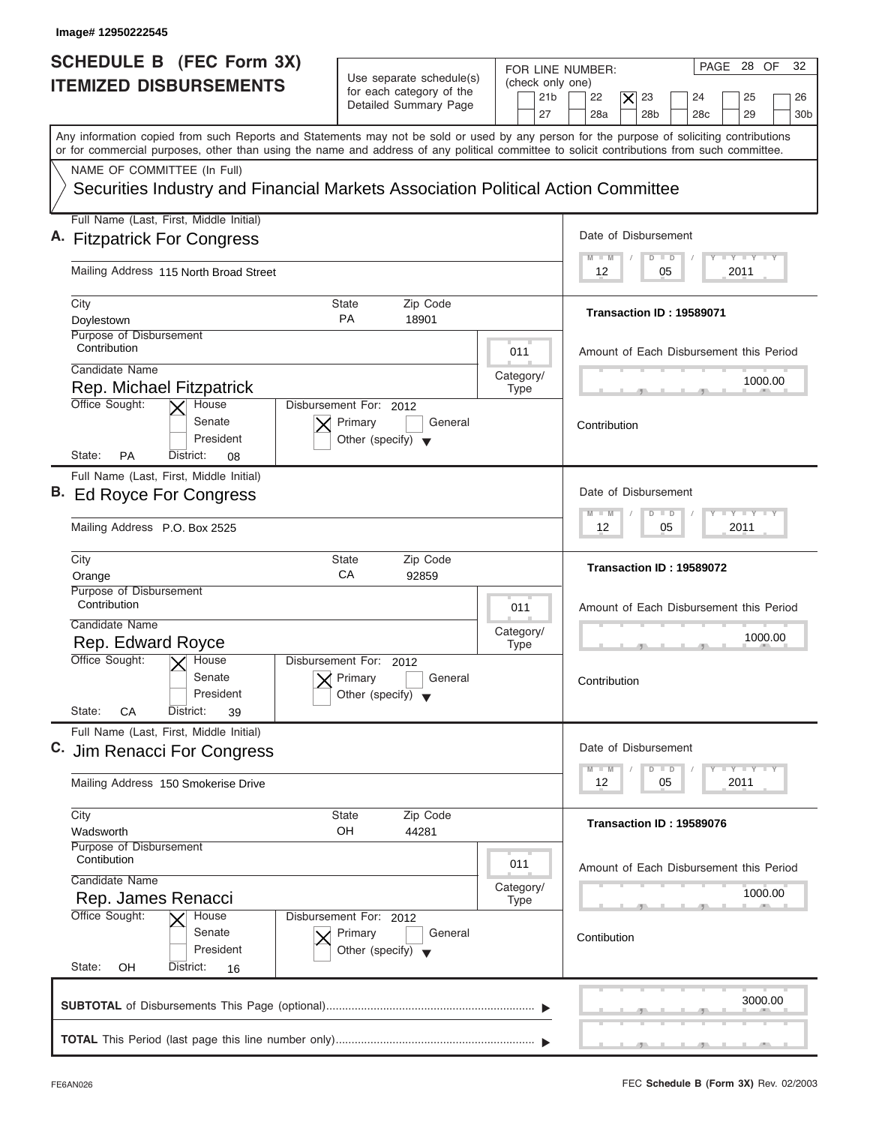| SCHEDULE B (FEC Form 3X)<br><b>ITEMIZED DISBURSEMENTS</b>                                                       | Use separate schedule(s)<br>for each category of the<br>Detailed Summary Page        | 32<br>PAGE 28 OF<br>FOR LINE NUMBER:<br>(check only one)<br>21 <sub>b</sub><br>22<br>$ \boldsymbol{\times} $<br>23<br>24<br>25<br>26<br>27<br>28a<br>28 <sub>b</sub><br>28 <sub>c</sub><br>29<br>30 <sub>b</sub>                                                                        |
|-----------------------------------------------------------------------------------------------------------------|--------------------------------------------------------------------------------------|-----------------------------------------------------------------------------------------------------------------------------------------------------------------------------------------------------------------------------------------------------------------------------------------|
|                                                                                                                 |                                                                                      | Any information copied from such Reports and Statements may not be sold or used by any person for the purpose of soliciting contributions<br>or for commercial purposes, other than using the name and address of any political committee to solicit contributions from such committee. |
| NAME OF COMMITTEE (In Full)<br>Securities Industry and Financial Markets Association Political Action Committee |                                                                                      |                                                                                                                                                                                                                                                                                         |
| Full Name (Last, First, Middle Initial)                                                                         |                                                                                      | Date of Disbursement                                                                                                                                                                                                                                                                    |
| A. Fitzpatrick For Congress                                                                                     |                                                                                      | $I - Y - I - Y - I - Y$<br>$M$ $M$<br>$D$ $D$                                                                                                                                                                                                                                           |
| Mailing Address 115 North Broad Street                                                                          |                                                                                      | 2011<br>12<br>05                                                                                                                                                                                                                                                                        |
| City<br>Doylestown                                                                                              | Zip Code<br>State<br><b>PA</b><br>18901                                              | Transaction ID: 19589071                                                                                                                                                                                                                                                                |
| Purpose of Disbursement<br>Contribution                                                                         |                                                                                      | 011<br>Amount of Each Disbursement this Period                                                                                                                                                                                                                                          |
| Candidate Name<br>Rep. Michael Fitzpatrick                                                                      |                                                                                      | Category/<br>1000.00<br><b>Type</b>                                                                                                                                                                                                                                                     |
| Office Sought:<br>House<br>Senate<br>President<br><b>PA</b><br>State:<br>District:<br>08                        | Disbursement For: 2012<br>Primary<br>General<br>Other (specify) $\blacktriangledown$ | Contribution                                                                                                                                                                                                                                                                            |
| Full Name (Last, First, Middle Initial)<br>B. Ed Royce For Congress                                             |                                                                                      | Date of Disbursement                                                                                                                                                                                                                                                                    |
| Mailing Address P.O. Box 2525                                                                                   |                                                                                      | $-1 - Y - 1 - Y - 1 - Y$<br>$M - M$<br>$\blacksquare$<br>D<br>2011<br>12<br>05                                                                                                                                                                                                          |
| City<br>Orange                                                                                                  | <b>State</b><br>Zip Code<br>СA<br>92859                                              | Transaction ID: 19589072                                                                                                                                                                                                                                                                |
| Purpose of Disbursement<br>Contribution                                                                         |                                                                                      | 011<br>Amount of Each Disbursement this Period                                                                                                                                                                                                                                          |
| Candidate Name<br>Rep. Edward Royce                                                                             |                                                                                      | Category/<br>1000.00<br><b>Type</b><br>__                                                                                                                                                                                                                                               |
| Office Sought:<br>$X$ House<br>Senate<br>President<br>State:<br>CA<br>District:<br>39                           | Disbursement For:<br>2012<br>Primary<br>General<br>Other (specify)                   | Contribution                                                                                                                                                                                                                                                                            |
| Full Name (Last, First, Middle Initial)<br>C. Jim Renacci For Congress                                          |                                                                                      | Date of Disbursement                                                                                                                                                                                                                                                                    |
| Mailing Address 150 Smokerise Drive                                                                             |                                                                                      | $\Box$ $\Upsilon$ $\Box$ $\Upsilon$ $\Box$ $\Upsilon$<br>$M - M$<br>D<br>$\Box$<br>12<br>05<br>2011                                                                                                                                                                                     |
| City<br>Wadsworth                                                                                               | Zip Code<br>State<br>OH<br>44281                                                     | Transaction ID: 19589076                                                                                                                                                                                                                                                                |
| Purpose of Disbursement<br>Contibution<br>Candidate Name                                                        |                                                                                      | 011<br>Amount of Each Disbursement this Period                                                                                                                                                                                                                                          |
| Rep. James Renacci                                                                                              |                                                                                      | Category/<br>1000.00<br><b>Type</b>                                                                                                                                                                                                                                                     |
| Office Sought:<br>House<br>Senate<br>President<br>State:<br>OΗ<br>District:<br>16                               | Disbursement For: 2012<br>Primary<br>General<br>Other (specify) $\blacktriangledown$ | Contibution                                                                                                                                                                                                                                                                             |
|                                                                                                                 |                                                                                      |                                                                                                                                                                                                                                                                                         |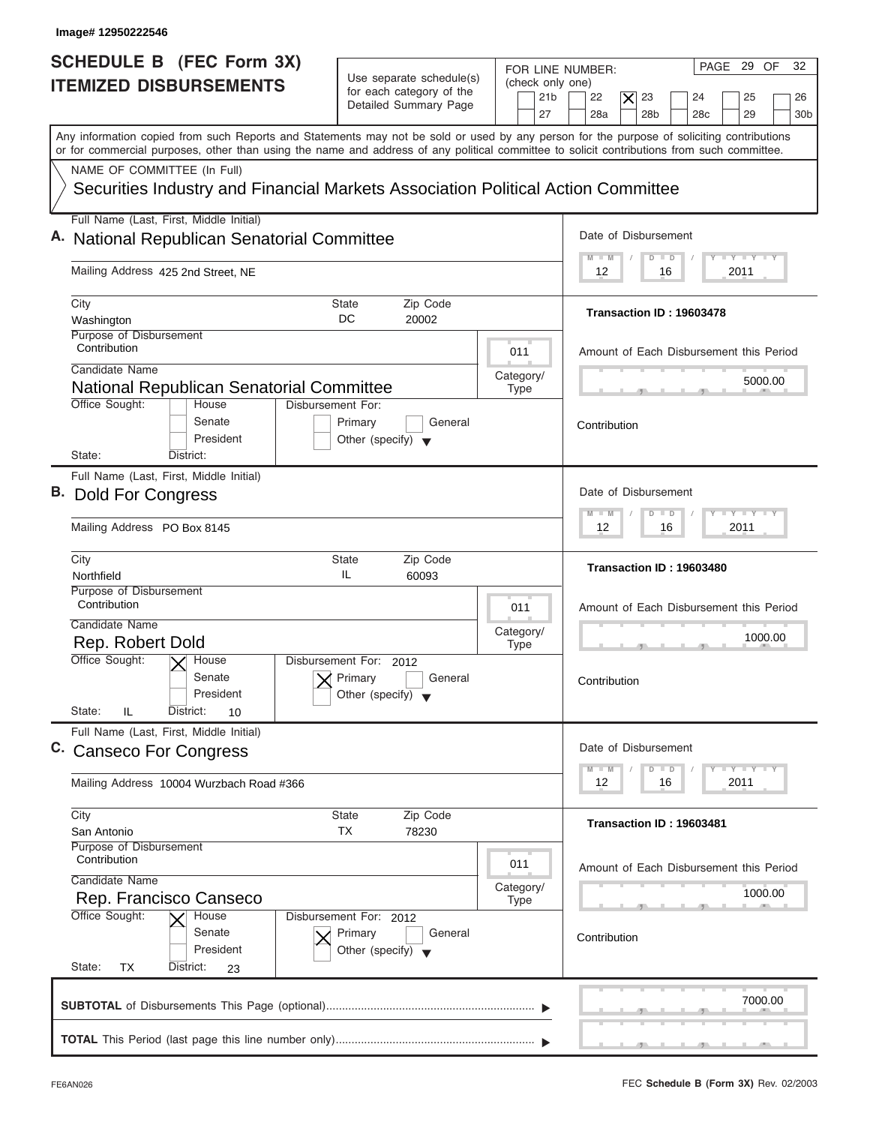| Image# 12950222546                                                                                                                                                                                                                                                                      |                                                                                                                                                                                                   |
|-----------------------------------------------------------------------------------------------------------------------------------------------------------------------------------------------------------------------------------------------------------------------------------------|---------------------------------------------------------------------------------------------------------------------------------------------------------------------------------------------------|
| <b>SCHEDULE B (FEC Form 3X)</b><br>Use separate schedule(s)<br><b>ITEMIZED DISBURSEMENTS</b><br>for each category of the<br>Detailed Summary Page                                                                                                                                       | PAGE 29 OF<br>32<br>FOR LINE NUMBER:<br>(check only one)<br>21 <sub>b</sub><br>22<br>23<br>24<br>25<br>$\times$<br>26<br>27<br>28a<br>28 <sub>b</sub><br>28 <sub>c</sub><br>29<br>30 <sub>b</sub> |
| Any information copied from such Reports and Statements may not be sold or used by any person for the purpose of soliciting contributions<br>or for commercial purposes, other than using the name and address of any political committee to solicit contributions from such committee. |                                                                                                                                                                                                   |
| NAME OF COMMITTEE (In Full)<br>Securities Industry and Financial Markets Association Political Action Committee                                                                                                                                                                         |                                                                                                                                                                                                   |
| Full Name (Last, First, Middle Initial)<br>A. National Republican Senatorial Committee                                                                                                                                                                                                  | Date of Disbursement                                                                                                                                                                              |
| Mailing Address 425 2nd Street, NE                                                                                                                                                                                                                                                      | $I - Y - I - Y - I - Y$<br>$M$ $M$<br>$D$ $D$<br>2011<br>12<br>16                                                                                                                                 |
| City<br>Zip Code<br>State<br>DC<br>20002<br>Washington                                                                                                                                                                                                                                  | Transaction ID: 19603478                                                                                                                                                                          |
| Purpose of Disbursement<br>Contribution<br>Candidate Name                                                                                                                                                                                                                               | 011<br>Amount of Each Disbursement this Period                                                                                                                                                    |
| National Republican Senatorial Committee<br>Office Sought:<br>Disbursement For:<br>House                                                                                                                                                                                                | Category/<br>5000.00<br><b>Type</b>                                                                                                                                                               |
| Senate<br>Primary<br>General<br>President<br>Other (specify) $\blacktriangledown$<br>State:<br>District:                                                                                                                                                                                | Contribution                                                                                                                                                                                      |
| Full Name (Last, First, Middle Initial)<br>B. Dold For Congress                                                                                                                                                                                                                         | Date of Disbursement                                                                                                                                                                              |
| Mailing Address PO Box 8145                                                                                                                                                                                                                                                             | $-1$ $-1$ $-1$ $-1$ $-1$<br>$M - M$<br>$\Box$<br>D<br>2011<br>12<br>16                                                                                                                            |
| City<br><b>State</b><br>Zip Code<br>IL<br>Northfield<br>60093                                                                                                                                                                                                                           | Transaction ID: 19603480                                                                                                                                                                          |
| Purpose of Disbursement<br>Contribution<br>Candidate Name                                                                                                                                                                                                                               | 011<br>Amount of Each Disbursement this Period                                                                                                                                                    |
| Rep. Robert Dold<br>Office Sought:<br>$\times$ House<br>Disbursement For:<br>2012                                                                                                                                                                                                       | Category/<br>1000.00<br><b>Type</b><br>__                                                                                                                                                         |
| Senate<br>Primary<br>General<br>President<br>Other (specify)<br>State:<br>IL<br>District:<br>10                                                                                                                                                                                         | Contribution                                                                                                                                                                                      |
| Full Name (Last, First, Middle Initial)<br>C. Canseco For Congress                                                                                                                                                                                                                      | Date of Disbursement                                                                                                                                                                              |
| Mailing Address 10004 Wurzbach Road #366                                                                                                                                                                                                                                                | $\mathbf{I}$ $\mathbf{Y}$ $\mathbf{I}$ $\mathbf{Y}$ $\mathbf{I}$ $\mathbf{Y}$<br>$M - M$<br>D<br>$\Box$<br>12<br>16<br>2011                                                                       |
|                                                                                                                                                                                                                                                                                         |                                                                                                                                                                                                   |
| City<br>State<br>Zip Code<br>ТX<br>78230<br>San Antonio                                                                                                                                                                                                                                 | Transaction ID: 19603481                                                                                                                                                                          |
| Purpose of Disbursement<br>Contribution<br>Candidate Name                                                                                                                                                                                                                               | 011<br>Amount of Each Disbursement this Period                                                                                                                                                    |
| Rep. Francisco Canseco<br>Office Sought:<br>House<br>Disbursement For: 2012<br>Senate<br>Primary<br>General<br>President<br>Other (specify) $\blacktriangledown$                                                                                                                        | Category/<br>1000.00<br><b>Type</b><br>Contribution                                                                                                                                               |
| State:<br>ТX<br>District:<br>23                                                                                                                                                                                                                                                         | 7000.00                                                                                                                                                                                           |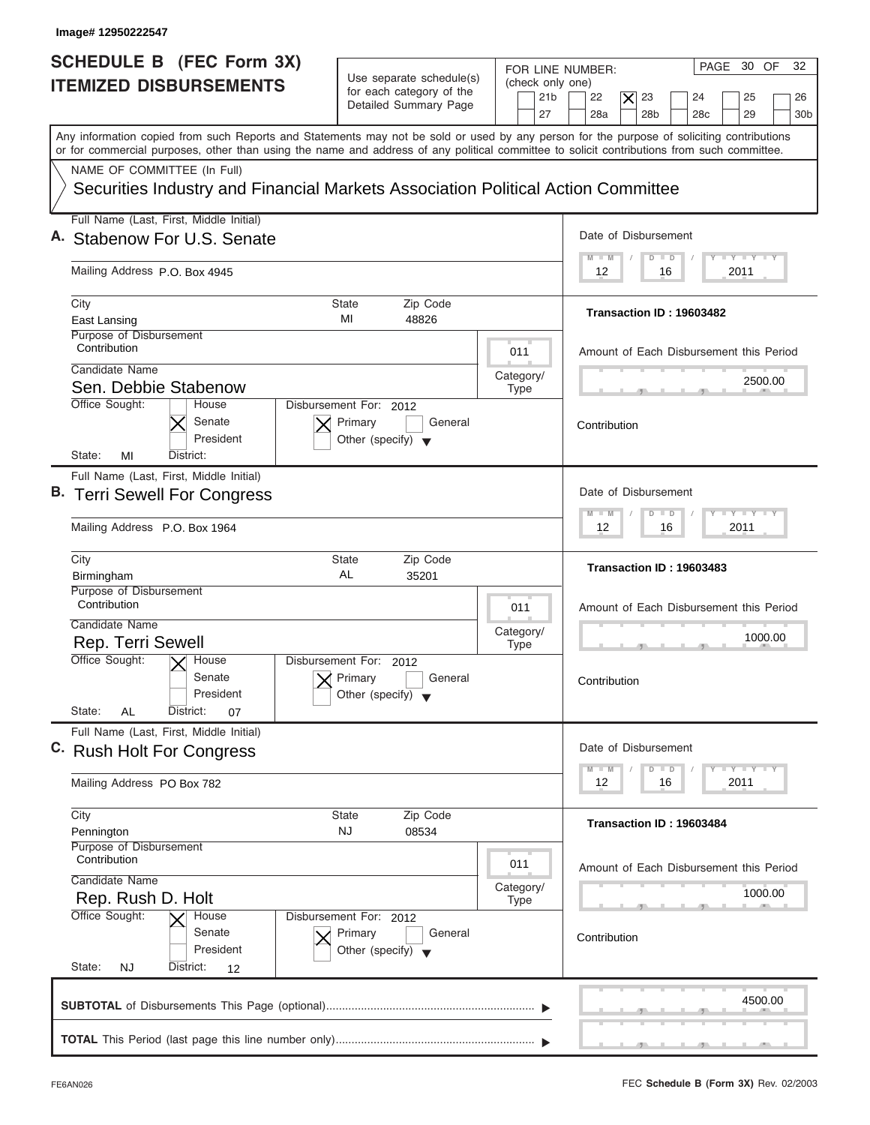| Image# 12950222547                                                                                                                                                                                                                                                                      |                                                                                      |                                                                                                                                                                                                   |
|-----------------------------------------------------------------------------------------------------------------------------------------------------------------------------------------------------------------------------------------------------------------------------------------|--------------------------------------------------------------------------------------|---------------------------------------------------------------------------------------------------------------------------------------------------------------------------------------------------|
| <b>SCHEDULE B (FEC Form 3X)</b><br><b>ITEMIZED DISBURSEMENTS</b>                                                                                                                                                                                                                        | Use separate schedule(s)<br>for each category of the<br>Detailed Summary Page        | PAGE 30 OF<br>32<br>FOR LINE NUMBER:<br>(check only one)<br>21 <sub>b</sub><br>22<br>$\times$<br>23<br>25<br>24<br>26<br>27<br>28a<br>28 <sub>b</sub><br>28 <sub>c</sub><br>29<br>30 <sub>b</sub> |
| Any information copied from such Reports and Statements may not be sold or used by any person for the purpose of soliciting contributions<br>or for commercial purposes, other than using the name and address of any political committee to solicit contributions from such committee. |                                                                                      |                                                                                                                                                                                                   |
| NAME OF COMMITTEE (In Full)<br>Securities Industry and Financial Markets Association Political Action Committee                                                                                                                                                                         |                                                                                      |                                                                                                                                                                                                   |
| Full Name (Last, First, Middle Initial)<br>A. Stabenow For U.S. Senate                                                                                                                                                                                                                  |                                                                                      | Date of Disbursement                                                                                                                                                                              |
| Mailing Address P.O. Box 4945                                                                                                                                                                                                                                                           |                                                                                      | $T - Y = T - Y = T - Y$<br>$D$ $D$<br>$M - M$<br>2011<br>12<br>16                                                                                                                                 |
| City<br>East Lansing<br>Purpose of Disbursement                                                                                                                                                                                                                                         | Zip Code<br>State<br>MI<br>48826                                                     | Transaction ID: 19603482                                                                                                                                                                          |
| Contribution<br>Candidate Name<br>Sen. Debbie Stabenow                                                                                                                                                                                                                                  |                                                                                      | 011<br>Amount of Each Disbursement this Period<br>Category/<br>2500.00<br><b>Type</b>                                                                                                             |
| Office Sought:<br>House<br>Senate<br>President<br>State:<br>MI<br>District:                                                                                                                                                                                                             | Disbursement For: 2012<br>Primary<br>General<br>Other (specify) $\blacktriangledown$ | Contribution                                                                                                                                                                                      |
| Full Name (Last, First, Middle Initial)<br>B. Terri Sewell For Congress                                                                                                                                                                                                                 |                                                                                      | Date of Disbursement<br>$-1 - Y - 1 - Y - 1 - Y$<br>$\Box$<br>$M - M$<br>$\overline{D}$                                                                                                           |
| Mailing Address P.O. Box 1964<br>City                                                                                                                                                                                                                                                   | <b>State</b><br>Zip Code                                                             | 2011<br>12<br>16                                                                                                                                                                                  |
| Birmingham<br>Purpose of Disbursement                                                                                                                                                                                                                                                   | AL<br>35201                                                                          | Transaction ID: 19603483                                                                                                                                                                          |
| Contribution<br>Candidate Name<br>Rep. Terri Sewell                                                                                                                                                                                                                                     |                                                                                      | 011<br>Amount of Each Disbursement this Period<br>Category/<br>1000.00<br><b>Type</b><br>__                                                                                                       |
| Office Sought:<br>$\overline{X}$ House<br>Senate<br>President<br>State:<br>AL<br>District:<br>07                                                                                                                                                                                        | Disbursement For:<br>2012<br>Primary<br>General<br>Other (specify)                   | Contribution                                                                                                                                                                                      |
| Full Name (Last, First, Middle Initial)<br>C. Rush Holt For Congress                                                                                                                                                                                                                    |                                                                                      | Date of Disbursement<br>$\bot$ $\gamma$ $\bot$ $\gamma$ $\bot$ $\gamma$<br>$M - M$<br>$\Box$<br>D                                                                                                 |
| Mailing Address PO Box 782                                                                                                                                                                                                                                                              |                                                                                      | 12<br>16<br>2011                                                                                                                                                                                  |
| City<br>Pennington<br>Purpose of Disbursement                                                                                                                                                                                                                                           | Zip Code<br><b>State</b><br><b>NJ</b><br>08534                                       | Transaction ID: 19603484                                                                                                                                                                          |
| Contribution<br>Candidate Name<br>Rep. Rush D. Holt                                                                                                                                                                                                                                     |                                                                                      | 011<br>Amount of Each Disbursement this Period<br>Category/<br>1000.00<br><b>Type</b>                                                                                                             |
| Office Sought:<br>House<br>Senate<br>President<br>State:<br>District:<br><b>NJ</b><br>12                                                                                                                                                                                                | Disbursement For: 2012<br>Primary<br>General<br>Other (specify) $\blacktriangledown$ | Contribution                                                                                                                                                                                      |
|                                                                                                                                                                                                                                                                                         |                                                                                      | 4500.00                                                                                                                                                                                           |
|                                                                                                                                                                                                                                                                                         |                                                                                      |                                                                                                                                                                                                   |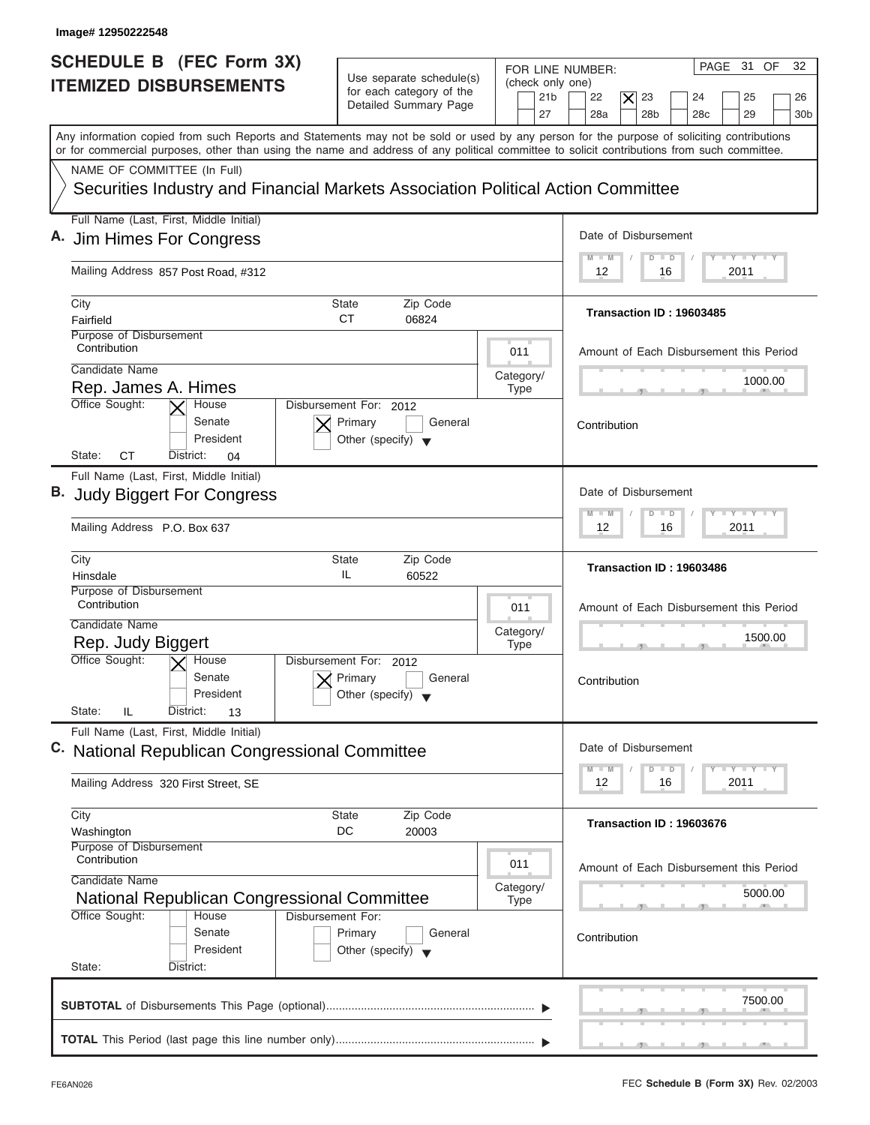| Image# 12950222548                                                                                                                                                                                                                                                                      |                                                                                 |                                                               |                                                                                                                                                         |
|-----------------------------------------------------------------------------------------------------------------------------------------------------------------------------------------------------------------------------------------------------------------------------------------|---------------------------------------------------------------------------------|---------------------------------------------------------------|---------------------------------------------------------------------------------------------------------------------------------------------------------|
| SCHEDULE B (FEC Form 3X)<br><b>ITEMIZED DISBURSEMENTS</b>                                                                                                                                                                                                                               | Use separate schedule(s)<br>for each category of the<br>Detailed Summary Page   | FOR LINE NUMBER:<br>(check only one)<br>21 <sub>b</sub><br>27 | 32<br>PAGE 31 OF<br>22<br>$\vert\boldsymbol{\times}\vert$<br>23<br>24<br>25<br>26<br>28a<br>28 <sub>b</sub><br>28 <sub>c</sub><br>29<br>30 <sub>b</sub> |
| Any information copied from such Reports and Statements may not be sold or used by any person for the purpose of soliciting contributions<br>or for commercial purposes, other than using the name and address of any political committee to solicit contributions from such committee. |                                                                                 |                                                               |                                                                                                                                                         |
| NAME OF COMMITTEE (In Full)<br>Securities Industry and Financial Markets Association Political Action Committee                                                                                                                                                                         |                                                                                 |                                                               |                                                                                                                                                         |
| Full Name (Last, First, Middle Initial)                                                                                                                                                                                                                                                 |                                                                                 |                                                               |                                                                                                                                                         |
| A. Jim Himes For Congress                                                                                                                                                                                                                                                               |                                                                                 |                                                               | Date of Disbursement                                                                                                                                    |
| Mailing Address 857 Post Road, #312                                                                                                                                                                                                                                                     |                                                                                 |                                                               | $I - Y - I - Y - I - Y$<br>$M$ $M$<br>$D$ $D$<br>2011<br>12<br>16                                                                                       |
| City<br>Fairfield                                                                                                                                                                                                                                                                       | Zip Code<br><b>State</b><br><b>CT</b><br>06824                                  |                                                               | Transaction ID: 19603485                                                                                                                                |
| Purpose of Disbursement<br>Contribution                                                                                                                                                                                                                                                 |                                                                                 | 011                                                           | Amount of Each Disbursement this Period                                                                                                                 |
| Candidate Name                                                                                                                                                                                                                                                                          |                                                                                 | Category/                                                     | 1000.00                                                                                                                                                 |
| Rep. James A. Himes<br>Office Sought:<br>House                                                                                                                                                                                                                                          | Disbursement For: 2012                                                          | <b>Type</b>                                                   |                                                                                                                                                         |
| Senate<br>President<br>СT<br>State:<br>District:<br>04                                                                                                                                                                                                                                  | Primary<br>General<br>Other (specify) $\blacktriangledown$                      |                                                               | Contribution                                                                                                                                            |
| Full Name (Last, First, Middle Initial)                                                                                                                                                                                                                                                 |                                                                                 |                                                               |                                                                                                                                                         |
| <b>B.</b> Judy Biggert For Congress                                                                                                                                                                                                                                                     |                                                                                 |                                                               | Date of Disbursement                                                                                                                                    |
| Mailing Address P.O. Box 637                                                                                                                                                                                                                                                            |                                                                                 |                                                               | $-1 - Y - 1 - Y - 1 - Y$<br>$M - M$<br>$\blacksquare$<br>D<br>2011<br>12<br>16                                                                          |
| City<br>Hinsdale                                                                                                                                                                                                                                                                        | <b>State</b><br>Zip Code<br>IL<br>60522                                         |                                                               | Transaction ID: 19603486                                                                                                                                |
| Purpose of Disbursement<br>Contribution                                                                                                                                                                                                                                                 |                                                                                 | 011                                                           | Amount of Each Disbursement this Period                                                                                                                 |
| Candidate Name                                                                                                                                                                                                                                                                          |                                                                                 | Category/                                                     | 1500.00                                                                                                                                                 |
| Rep. Judy Biggert<br>Office Sought:<br>$\overline{X}$ House                                                                                                                                                                                                                             | Disbursement For:<br>2012                                                       | <b>Type</b>                                                   | __                                                                                                                                                      |
| Senate<br>President<br>State:<br>IL.<br>District:                                                                                                                                                                                                                                       | Primary<br>General<br>Other (specify)                                           |                                                               | Contribution                                                                                                                                            |
| 13<br>Full Name (Last, First, Middle Initial)                                                                                                                                                                                                                                           |                                                                                 |                                                               |                                                                                                                                                         |
| C. National Republican Congressional Committee                                                                                                                                                                                                                                          |                                                                                 |                                                               | Date of Disbursement<br>$\mathbf{I}$ $\mathbf{Y}$ $\mathbf{I}$ $\mathbf{Y}$ $\mathbf{I}$ $\mathbf{Y}$<br>$M - M$<br>D<br>$\Box$                         |
| Mailing Address 320 First Street, SE                                                                                                                                                                                                                                                    |                                                                                 |                                                               | 12<br>2011<br>16                                                                                                                                        |
| City<br>Washington                                                                                                                                                                                                                                                                      | Zip Code<br>State<br>DC<br>20003                                                |                                                               | Transaction ID: 19603676                                                                                                                                |
| Purpose of Disbursement<br>Contribution<br>Candidate Name                                                                                                                                                                                                                               |                                                                                 | 011                                                           | Amount of Each Disbursement this Period                                                                                                                 |
| National Republican Congressional Committee                                                                                                                                                                                                                                             |                                                                                 | Category/<br><b>Type</b>                                      | 5000.00                                                                                                                                                 |
| Office Sought:<br>House<br>Senate                                                                                                                                                                                                                                                       | Disbursement For:<br>Primary<br>General<br>Other (specify) $\blacktriangledown$ |                                                               | Contribution                                                                                                                                            |
| President                                                                                                                                                                                                                                                                               |                                                                                 |                                                               |                                                                                                                                                         |
| State:<br>District:                                                                                                                                                                                                                                                                     |                                                                                 |                                                               |                                                                                                                                                         |